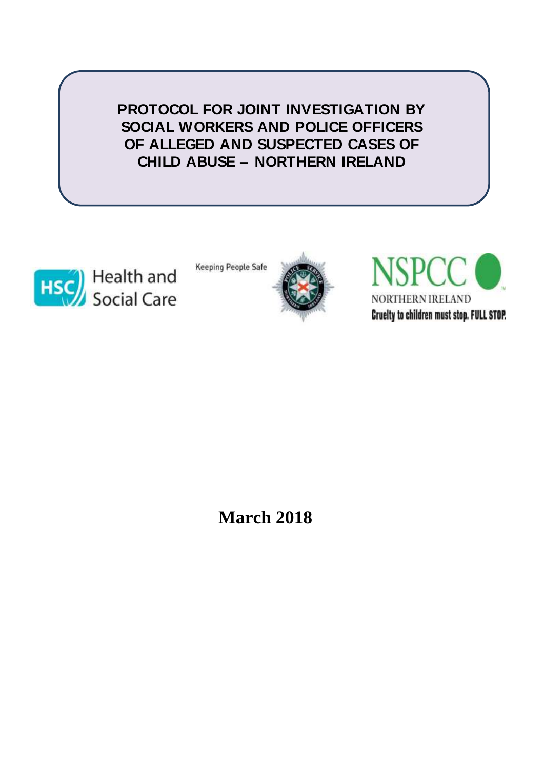**PROTOCOL FOR JOINT INVESTIGATION BY SOCIAL WORKERS AND POLICE OFFICERS OF ALLEGED AND SUSPECTED CASES OF CHILD ABUSE – NORTHERN IRELAND**



**Keeping People Safe** 





**March 2018**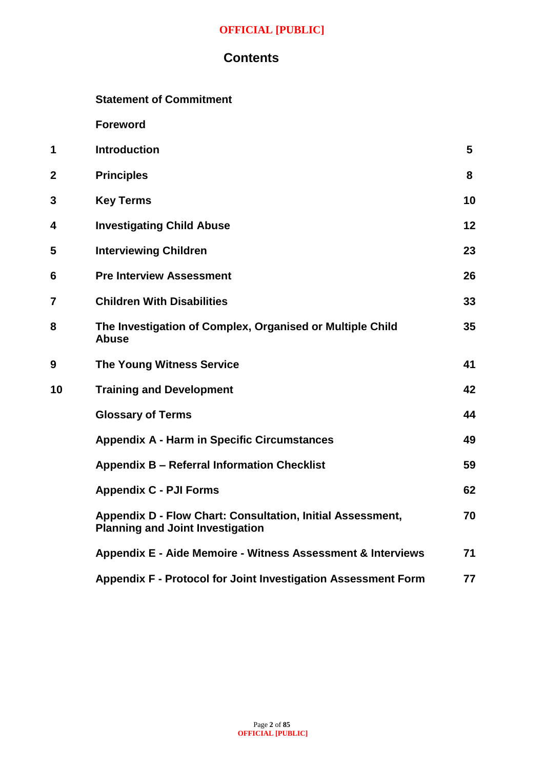## **Contents**

**Foreword** 

| 1              | <b>Introduction</b>                                                                                          | 5  |
|----------------|--------------------------------------------------------------------------------------------------------------|----|
| $\mathbf{2}$   | <b>Principles</b>                                                                                            | 8  |
| 3              | <b>Key Terms</b>                                                                                             | 10 |
| 4              | <b>Investigating Child Abuse</b>                                                                             | 12 |
| 5              | <b>Interviewing Children</b>                                                                                 | 23 |
| 6              | <b>Pre Interview Assessment</b>                                                                              | 26 |
| $\overline{7}$ | <b>Children With Disabilities</b>                                                                            | 33 |
| 8              | The Investigation of Complex, Organised or Multiple Child<br><b>Abuse</b>                                    | 35 |
| 9              | <b>The Young Witness Service</b>                                                                             | 41 |
| 10             | <b>Training and Development</b>                                                                              | 42 |
|                | <b>Glossary of Terms</b>                                                                                     | 44 |
|                | <b>Appendix A - Harm in Specific Circumstances</b>                                                           | 49 |
|                | <b>Appendix B - Referral Information Checklist</b>                                                           | 59 |
|                | <b>Appendix C - PJI Forms</b>                                                                                | 62 |
|                | <b>Appendix D - Flow Chart: Consultation, Initial Assessment,</b><br><b>Planning and Joint Investigation</b> | 70 |
|                | Appendix E - Aide Memoire - Witness Assessment & Interviews                                                  | 71 |
|                | Appendix F - Protocol for Joint Investigation Assessment Form                                                | 77 |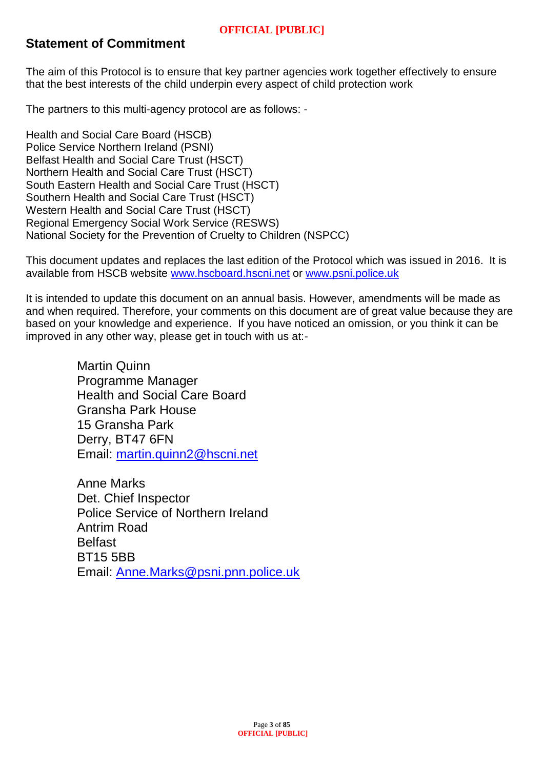# **Statement of Commitment**

The aim of this Protocol is to ensure that key partner agencies work together effectively to ensure that the best interests of the child underpin every aspect of child protection work

The partners to this multi-agency protocol are as follows: -

Health and Social Care Board (HSCB) Police Service Northern Ireland (PSNI) Belfast Health and Social Care Trust (HSCT) Northern Health and Social Care Trust (HSCT) South Eastern Health and Social Care Trust (HSCT) Southern Health and Social Care Trust (HSCT) Western Health and Social Care Trust (HSCT) Regional Emergency Social Work Service (RESWS) National Society for the Prevention of Cruelty to Children (NSPCC)

This document updates and replaces the last edition of the Protocol which was issued in 2016. It is available from HSCB website [www.hscboard.hscni.net](http://www.hscboard.hscni.net/) or [www.psni.police.uk](http://www.psni.police.uk/) 

It is intended to update this document on an annual basis. However, amendments will be made as and when required. Therefore, your comments on this document are of great value because they are based on your knowledge and experience. If you have noticed an omission, or you think it can be improved in any other way, please get in touch with us at:-

> Martin Quinn Programme Manager Health and Social Care Board Gransha Park House 15 Gransha Park Derry, BT47 6FN Email: [martin.quinn2@hscni.net](mailto:martin.quinn2@hscni.net)

Anne Marks Det. Chief Inspector Police Service of Northern Ireland Antrim Road **Belfast** BT15 5BB Email: [Anne.Marks@psni.pnn.police.uk](mailto:Anne.Marks@psni.pnn.police.uk)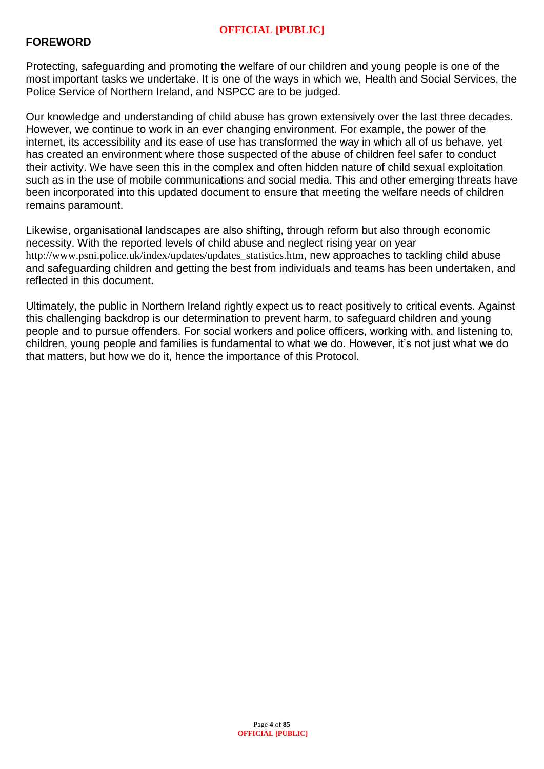## **FOREWORD**

Protecting, safeguarding and promoting the welfare of our children and young people is one of the most important tasks we undertake. It is one of the ways in which we, Health and Social Services, the Police Service of Northern Ireland, and NSPCC are to be judged.

Our knowledge and understanding of child abuse has grown extensively over the last three decades. However, we continue to work in an ever changing environment. For example, the power of the internet, its accessibility and its ease of use has transformed the way in which all of us behave, yet has created an environment where those suspected of the abuse of children feel safer to conduct their activity. We have seen this in the complex and often hidden nature of child sexual exploitation such as in the use of mobile communications and social media. This and other emerging threats have been incorporated into this updated document to ensure that meeting the welfare needs of children remains paramount.

Likewise, organisational landscapes are also shifting, through reform but also through economic necessity. With the reported levels of child abuse and neglect rising year on year [http://www.psni.police.uk/index/updates/updates\\_statistics.htm](http://www.psni.police.uk/index/updates/updates_statistics.htm), new approaches to tackling child abuse and safeguarding children and getting the best from individuals and teams has been undertaken, and reflected in this document.

Ultimately, the public in Northern Ireland rightly expect us to react positively to critical events. Against this challenging backdrop is our determination to prevent harm, to safeguard children and young people and to pursue offenders. For social workers and police officers, working with, and listening to, children, young people and families is fundamental to what we do. However, it's not just what we do that matters, but how we do it, hence the importance of this Protocol.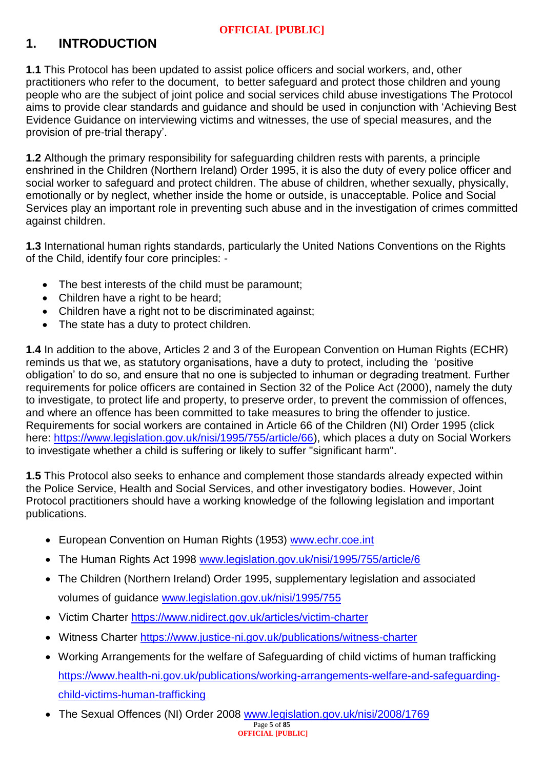# **1. INTRODUCTION**

**1.1** This Protocol has been updated to assist police officers and social workers, and, other practitioners who refer to the document, to better safeguard and protect those children and young people who are the subject of joint police and social services child abuse investigations The Protocol aims to provide clear standards and guidance and should be used in conjunction with 'Achieving Best Evidence Guidance on interviewing victims and witnesses, the use of special measures, and the provision of pre-trial therapy'.

**1.2** Although the primary responsibility for safeguarding children rests with parents, a principle enshrined in the Children (Northern Ireland) Order 1995, it is also the duty of every police officer and social worker to safeguard and protect children. The abuse of children, whether sexually, physically, emotionally or by neglect, whether inside the home or outside, is unacceptable. Police and Social Services play an important role in preventing such abuse and in the investigation of crimes committed against children.

**1.3** International human rights standards, particularly the United Nations Conventions on the Rights of the Child, identify four core principles: -

- The best interests of the child must be paramount;
- Children have a right to be heard;
- Children have a right not to be discriminated against;
- The state has a duty to protect children.

**1.4** In addition to the above, Articles 2 and 3 of the European Convention on Human Rights (ECHR) reminds us that we, as statutory organisations, have a duty to protect, including the 'positive obligation' to do so, and ensure that no one is subjected to inhuman or degrading treatment. Further requirements for police officers are contained in Section 32 of the Police Act (2000), namely the duty to investigate, to protect life and property, to preserve order, to prevent the commission of offences, and where an offence has been committed to take measures to bring the offender to justice. Requirements for social workers are contained in Article 66 of the Children (NI) Order 1995 (click here: [https://www.legislation.gov.uk/nisi/1995/755/article/66\)](https://www.legislation.gov.uk/nisi/1995/755/article/66), which places a duty on Social Workers to investigate whether a child is suffering or likely to suffer "significant harm".

**1.5** This Protocol also seeks to enhance and complement those standards already expected within the Police Service, Health and Social Services, and other investigatory bodies. However, Joint Protocol practitioners should have a working knowledge of the following legislation and important publications.

- European Convention on Human Rights (1953) [www.echr.coe.int](http://www.echr.coe.int/)
- The Human Rights Act 1998 [www.legislation.gov.uk/nisi/1995/755/article/6](http://www.legislation.gov.uk/nisi/1995/755/article/6)
- The Children (Northern Ireland) Order 1995, supplementary legislation and associated volumes of guidance [www.legislation.gov.uk/nisi/1995/755](http://www.legislation.gov.uk/nisi/1995/755)
- Victim Charter<https://www.nidirect.gov.uk/articles/victim-charter>
- Witness Charter<https://www.justice-ni.gov.uk/publications/witness-charter>
- Working Arrangements for the welfare of Safeguarding of child victims of human trafficking [https://www.health-ni.gov.uk/publications/working-arrangements-welfare-and-safeguarding](https://www.health-ni.gov.uk/publications/working-arrangements-welfare-and-safeguarding-child-victims-human-trafficking)[child-victims-human-trafficking](https://www.health-ni.gov.uk/publications/working-arrangements-welfare-and-safeguarding-child-victims-human-trafficking)
- The Sexual Offences (NI) Order 2008 [www.legislation.gov.uk/nisi/2008/1769](http://www.legislation.gov.uk/nisi/2008/1769)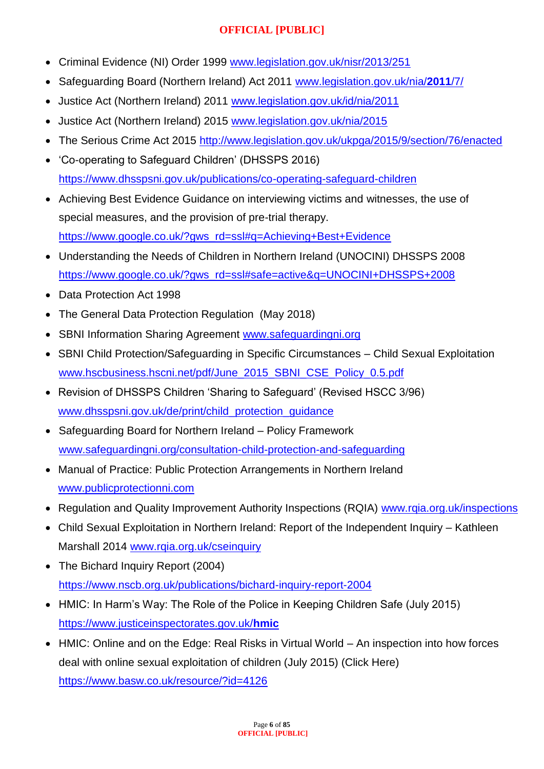- Criminal Evidence (NI) Order 1999 [www.legislation.gov.uk/nisr/2013/251](http://www.legislation.gov.uk/nisr/2013/251)
- Safeguarding Board (Northern Ireland) Act 2011 [www.legislation.gov.uk/nia/](http://www.legislation.gov.uk/nia/2011/7/)**2011**/7/
- Justice Act (Northern Ireland) 2011 [www.legislation.gov.uk/id/nia/2011](http://www.legislation.gov.uk/id/nia/2011)
- Justice Act (Northern Ireland) 2015 [www.legislation.gov.uk/nia/2015](http://www.legislation.gov.uk/nia/2015)
- The Serious Crime Act 2015 <http://www.legislation.gov.uk/ukpga/2015/9/section/76/enacted>
- 'Co-operating to Safeguard Children' (DHSSPS 2016) <https://www.dhsspsni.gov.uk/publications/co-operating-safeguard-children>
- Achieving Best Evidence Guidance on interviewing victims and witnesses, the use of special measures, and the provision of pre-trial therapy. [https://www.google.co.uk/?gws\\_rd=ssl#q=Achieving+Best+Evidence](https://www.google.co.uk/?gws_rd=ssl#q=Achieving+Best+Evidence)
- Understanding the Needs of Children in Northern Ireland (UNOCINI) DHSSPS 2008 https://www.google.co.uk/?gws\_rd=ssl#safe=active&q=UNOCINI+DHSSPS+2008
- Data Protection Act 1998
- The General Data Protection Regulation (May 2018)
- SBNI Information Sharing Agreement [www.safeguardingni.org](http://www.safeguardingni.org/)
- SBNI Child Protection/Safeguarding in Specific Circumstances Child Sexual Exploitation [www.hscbusiness.hscni.net/pdf/June\\_2015\\_SBNI\\_CSE\\_Policy\\_0.5.pdf](http://www.hscbusiness.hscni.net/pdf/June_2015_SBNI_CSE_Policy_0.5.pdf)
- Revision of DHSSPS Children 'Sharing to Safeguard' (Revised HSCC 3/96) [www.dhsspsni.gov.uk/de/print/child\\_protection\\_guidance](http://www.dhsspsni.gov.uk/de/print/child_protection_guidance)
- Safeguarding Board for Northern Ireland Policy Framework [www.safeguardingni.org/consultation-child-protection-and-safeguarding](http://www.safeguardingni.org/consultation-child-protection-and-safeguarding)
- Manual of Practice: Public Protection Arrangements in Northern Ireland [www.publicprotectionni.com](http://www.publicprotectionni.com/)
- Regulation and Quality Improvement Authority Inspections (RQIA) www.rgia.org.uk/inspections
- Child Sexual Exploitation in Northern Ireland: Report of the Independent Inquiry Kathleen Marshall 2014 [www.rqia.org.uk/cseinquiry](http://www.rqia.org.uk/cseinquiry)
- The Bichard Inquiry Report (2004) <https://www.nscb.org.uk/publications/bichard-inquiry-report-2004>
- HMIC: In Harm's Way: The Role of the Police in Keeping Children Safe (July 2015) [https://www.justiceinspectorates.gov.uk/](https://www.justiceinspectorates.gov.uk/hmic)**hmic**
- HMIC: Online and on the Edge: Real Risks in Virtual World An inspection into how forces deal with online sexual exploitation of children (July 2015) (Click Here) <https://www.basw.co.uk/resource/?id=4126>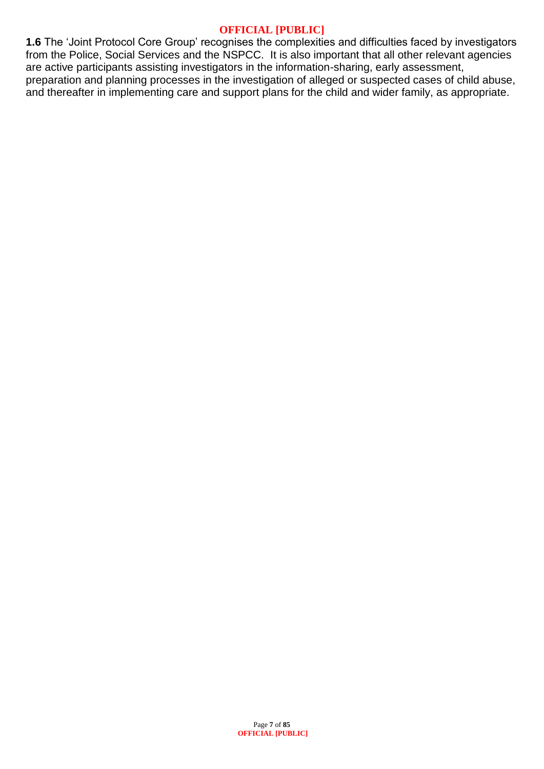**1.6** The 'Joint Protocol Core Group' recognises the complexities and difficulties faced by investigators from the Police, Social Services and the NSPCC. It is also important that all other relevant agencies are active participants assisting investigators in the information-sharing, early assessment, preparation and planning processes in the investigation of alleged or suspected cases of child abuse, and thereafter in implementing care and support plans for the child and wider family, as appropriate.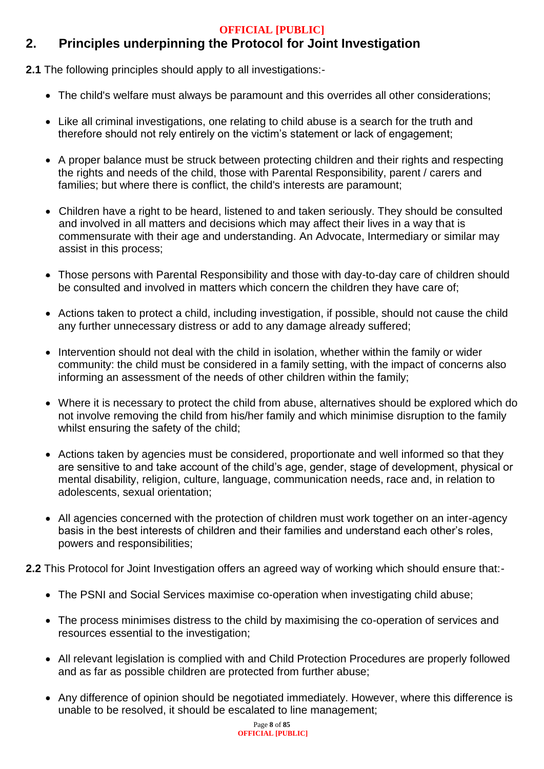# **2. Principles underpinning the Protocol for Joint Investigation**

**2.1** The following principles should apply to all investigations:-

- The child's welfare must always be paramount and this overrides all other considerations;
- Like all criminal investigations, one relating to child abuse is a search for the truth and therefore should not rely entirely on the victim's statement or lack of engagement;
- A proper balance must be struck between protecting children and their rights and respecting the rights and needs of the child, those with Parental Responsibility, parent / carers and families; but where there is conflict, the child's interests are paramount;
- Children have a right to be heard, listened to and taken seriously. They should be consulted and involved in all matters and decisions which may affect their lives in a way that is commensurate with their age and understanding. An Advocate, Intermediary or similar may assist in this process;
- Those persons with Parental Responsibility and those with day-to-day care of children should be consulted and involved in matters which concern the children they have care of;
- Actions taken to protect a child, including investigation, if possible, should not cause the child any further unnecessary distress or add to any damage already suffered;
- Intervention should not deal with the child in isolation, whether within the family or wider community: the child must be considered in a family setting, with the impact of concerns also informing an assessment of the needs of other children within the family;
- Where it is necessary to protect the child from abuse, alternatives should be explored which do not involve removing the child from his/her family and which minimise disruption to the family whilst ensuring the safety of the child;
- Actions taken by agencies must be considered, proportionate and well informed so that they are sensitive to and take account of the child's age, gender, stage of development, physical or mental disability, religion, culture, language, communication needs, race and, in relation to adolescents, sexual orientation;
- All agencies concerned with the protection of children must work together on an inter-agency basis in the best interests of children and their families and understand each other's roles, powers and responsibilities;
- **2.2** This Protocol for Joint Investigation offers an agreed way of working which should ensure that:-
	- The PSNI and Social Services maximise co-operation when investigating child abuse;
	- The process minimises distress to the child by maximising the co-operation of services and resources essential to the investigation;
	- All relevant legislation is complied with and Child Protection Procedures are properly followed and as far as possible children are protected from further abuse;
	- Any difference of opinion should be negotiated immediately. However, where this difference is unable to be resolved, it should be escalated to line management;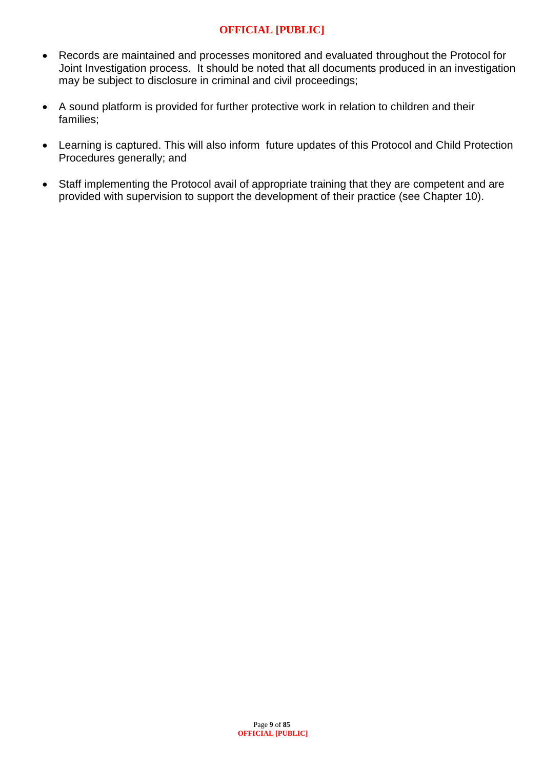- Records are maintained and processes monitored and evaluated throughout the Protocol for Joint Investigation process. It should be noted that all documents produced in an investigation may be subject to disclosure in criminal and civil proceedings;
- A sound platform is provided for further protective work in relation to children and their families;
- Learning is captured. This will also inform future updates of this Protocol and Child Protection Procedures generally; and
- Staff implementing the Protocol avail of appropriate training that they are competent and are provided with supervision to support the development of their practice (see Chapter 10).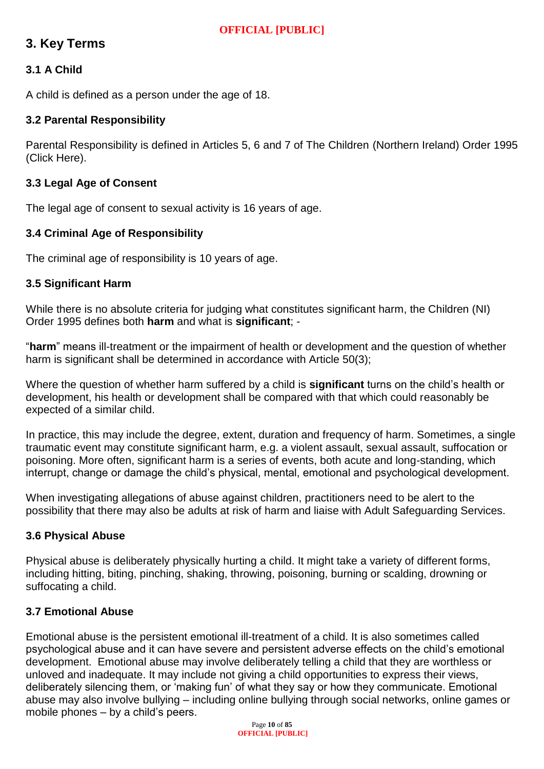# **3. Key Terms**

## **3.1 A Child**

A child is defined as a person under the age of 18.

#### **3.2 Parental Responsibility**

Parental Responsibility is defined in Articles 5, 6 and 7 of The Children (Northern Ireland) Order 1995 (Click Here).

#### **3.3 Legal Age of Consent**

The legal age of consent to sexual activity is 16 years of age.

## **3.4 Criminal Age of Responsibility**

The criminal age of responsibility is 10 years of age.

#### **3.5 Significant Harm**

While there is no absolute criteria for judging what constitutes significant harm, the Children (NI) Order 1995 defines both **harm** and what is **significant**; -

"**harm**" means ill-treatment or the impairment of health or development and the question of whether harm is significant shall be determined in accordance with Article 50(3):

Where the question of whether harm suffered by a child is **significant** turns on the child's health or development, his health or development shall be compared with that which could reasonably be expected of a similar child.

In practice, this may include the degree, extent, duration and frequency of harm. Sometimes, a single traumatic event may constitute significant harm, e.g. a violent assault, sexual assault, suffocation or poisoning. More often, significant harm is a series of events, both acute and long-standing, which interrupt, change or damage the child's physical, mental, emotional and psychological development.

When investigating allegations of abuse against children, practitioners need to be alert to the possibility that there may also be adults at risk of harm and liaise with Adult Safeguarding Services.

#### **3.6 Physical Abuse**

Physical abuse is deliberately physically hurting a child. It might take a variety of different forms, including hitting, biting, pinching, shaking, throwing, poisoning, burning or scalding, drowning or suffocating a child.

#### **3.7 Emotional Abuse**

Emotional abuse is the persistent emotional ill-treatment of a child. It is also sometimes called psychological abuse and it can have severe and persistent adverse effects on the child's emotional development. Emotional abuse may involve deliberately telling a child that they are worthless or unloved and inadequate. It may include not giving a child opportunities to express their views, deliberately silencing them, or 'making fun' of what they say or how they communicate. Emotional abuse may also involve bullying – including online bullying through social networks, online games or mobile phones – by a child's peers.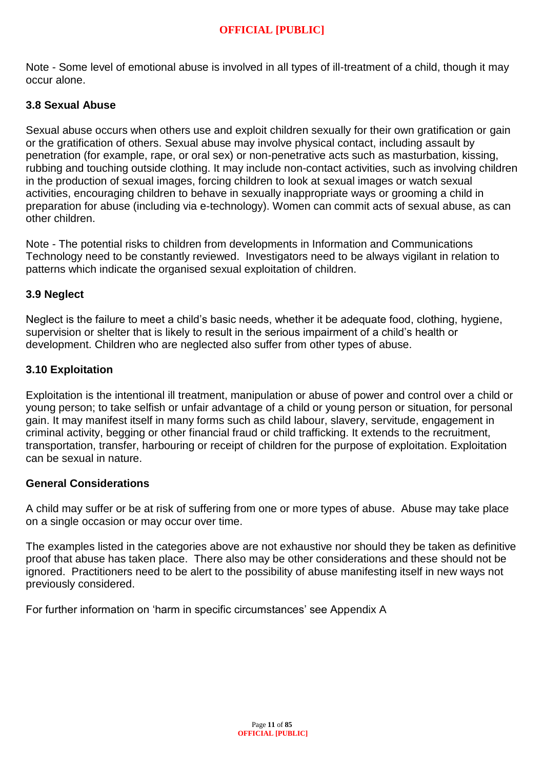Note - Some level of emotional abuse is involved in all types of ill-treatment of a child, though it may occur alone.

## **3.8 Sexual Abuse**

Sexual abuse occurs when others use and exploit children sexually for their own gratification or gain or the gratification of others. Sexual abuse may involve physical contact, including assault by penetration (for example, rape, or oral sex) or non-penetrative acts such as masturbation, kissing, rubbing and touching outside clothing. It may include non-contact activities, such as involving children in the production of sexual images, forcing children to look at sexual images or watch sexual activities, encouraging children to behave in sexually inappropriate ways or grooming a child in preparation for abuse (including via e-technology). Women can commit acts of sexual abuse, as can other children.

Note - The potential risks to children from developments in Information and Communications Technology need to be constantly reviewed. Investigators need to be always vigilant in relation to patterns which indicate the organised sexual exploitation of children.

#### **3.9 Neglect**

Neglect is the failure to meet a child's basic needs, whether it be adequate food, clothing, hygiene, supervision or shelter that is likely to result in the serious impairment of a child's health or development. Children who are neglected also suffer from other types of abuse.

#### **3.10 Exploitation**

Exploitation is the intentional ill treatment, manipulation or abuse of power and control over a child or young person; to take selfish or unfair advantage of a child or young person or situation, for personal gain. It may manifest itself in many forms such as child labour, slavery, servitude, engagement in criminal activity, begging or other financial fraud or child trafficking. It extends to the recruitment, transportation, transfer, harbouring or receipt of children for the purpose of exploitation. Exploitation can be sexual in nature.

#### **General Considerations**

A child may suffer or be at risk of suffering from one or more types of abuse. Abuse may take place on a single occasion or may occur over time.

The examples listed in the categories above are not exhaustive nor should they be taken as definitive proof that abuse has taken place. There also may be other considerations and these should not be ignored. Practitioners need to be alert to the possibility of abuse manifesting itself in new ways not previously considered.

For further information on 'harm in specific circumstances' see Appendix A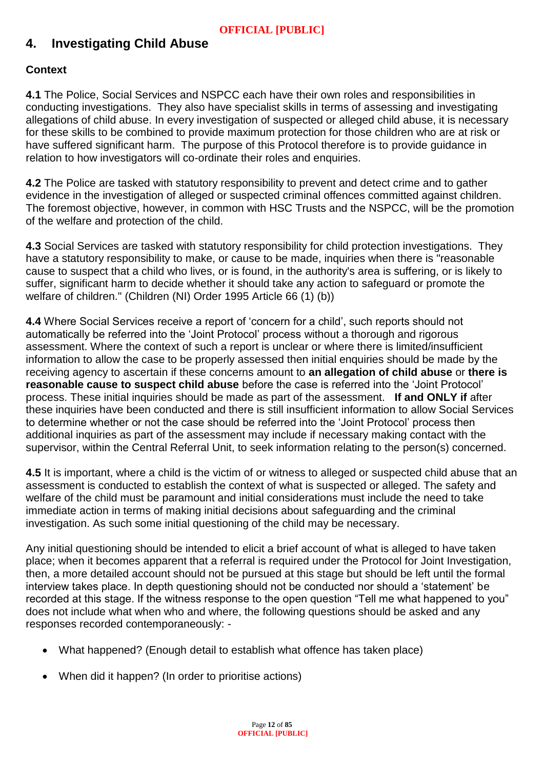# **4. Investigating Child Abuse**

## **Context**

**4.1** The Police, Social Services and NSPCC each have their own roles and responsibilities in conducting investigations. They also have specialist skills in terms of assessing and investigating allegations of child abuse. In every investigation of suspected or alleged child abuse, it is necessary for these skills to be combined to provide maximum protection for those children who are at risk or have suffered significant harm. The purpose of this Protocol therefore is to provide guidance in relation to how investigators will co-ordinate their roles and enquiries.

**4.2** The Police are tasked with statutory responsibility to prevent and detect crime and to gather evidence in the investigation of alleged or suspected criminal offences committed against children. The foremost objective, however, in common with HSC Trusts and the NSPCC, will be the promotion of the welfare and protection of the child.

**4.3** Social Services are tasked with statutory responsibility for child protection investigations. They have a statutory responsibility to make, or cause to be made, inquiries when there is "reasonable cause to suspect that a child who lives, or is found, in the authority's area is suffering, or is likely to suffer, significant harm to decide whether it should take any action to safeguard or promote the welfare of children." (Children (NI) Order 1995 Article 66 (1) (b))

**4.4** Where Social Services receive a report of 'concern for a child', such reports should not automatically be referred into the 'Joint Protocol' process without a thorough and rigorous assessment. Where the context of such a report is unclear or where there is limited/insufficient information to allow the case to be properly assessed then initial enquiries should be made by the receiving agency to ascertain if these concerns amount to **an allegation of child abuse** or **there is reasonable cause to suspect child abuse** before the case is referred into the 'Joint Protocol' process. These initial inquiries should be made as part of the assessment. **If and ONLY if** after these inquiries have been conducted and there is still insufficient information to allow Social Services to determine whether or not the case should be referred into the 'Joint Protocol' process then additional inquiries as part of the assessment may include if necessary making contact with the supervisor, within the Central Referral Unit, to seek information relating to the person(s) concerned.

**4.5** It is important, where a child is the victim of or witness to alleged or suspected child abuse that an assessment is conducted to establish the context of what is suspected or alleged. The safety and welfare of the child must be paramount and initial considerations must include the need to take immediate action in terms of making initial decisions about safeguarding and the criminal investigation. As such some initial questioning of the child may be necessary.

Any initial questioning should be intended to elicit a brief account of what is alleged to have taken place; when it becomes apparent that a referral is required under the Protocol for Joint Investigation, then, a more detailed account should not be pursued at this stage but should be left until the formal interview takes place. In depth questioning should not be conducted nor should a 'statement' be recorded at this stage. If the witness response to the open question "Tell me what happened to you" does not include what when who and where, the following questions should be asked and any responses recorded contemporaneously: -

- What happened? (Enough detail to establish what offence has taken place)
- When did it happen? (In order to prioritise actions)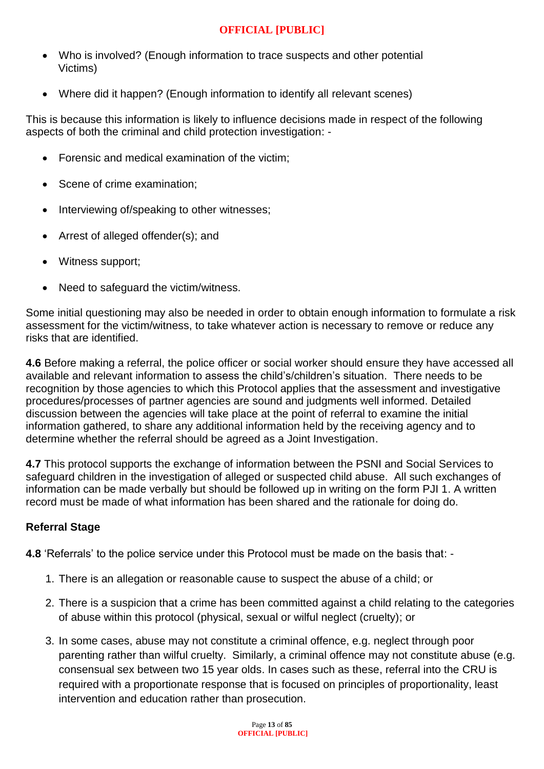- Who is involved? (Enough information to trace suspects and other potential Victims)
- Where did it happen? (Enough information to identify all relevant scenes)

This is because this information is likely to influence decisions made in respect of the following aspects of both the criminal and child protection investigation: -

- Forensic and medical examination of the victim;
- Scene of crime examination;
- Interviewing of/speaking to other witnesses;
- Arrest of alleged offender(s); and
- Witness support;
- Need to safeguard the victim/witness.

Some initial questioning may also be needed in order to obtain enough information to formulate a risk assessment for the victim/witness, to take whatever action is necessary to remove or reduce any risks that are identified.

**4.6** Before making a referral, the police officer or social worker should ensure they have accessed all available and relevant information to assess the child's/children's situation. There needs to be recognition by those agencies to which this Protocol applies that the assessment and investigative procedures/processes of partner agencies are sound and judgments well informed. Detailed discussion between the agencies will take place at the point of referral to examine the initial information gathered, to share any additional information held by the receiving agency and to determine whether the referral should be agreed as a Joint Investigation.

**4.7** This protocol supports the exchange of information between the PSNI and Social Services to safeguard children in the investigation of alleged or suspected child abuse. All such exchanges of information can be made verbally but should be followed up in writing on the form PJI 1. A written record must be made of what information has been shared and the rationale for doing do.

## **Referral Stage**

**4.8** 'Referrals' to the police service under this Protocol must be made on the basis that: -

- 1. There is an allegation or reasonable cause to suspect the abuse of a child; or
- 2. There is a suspicion that a crime has been committed against a child relating to the categories of abuse within this protocol (physical, sexual or wilful neglect (cruelty); or
- 3. In some cases, abuse may not constitute a criminal offence, e.g. neglect through poor parenting rather than wilful cruelty. Similarly, a criminal offence may not constitute abuse (e.g. consensual sex between two 15 year olds. In cases such as these, referral into the CRU is required with a proportionate response that is focused on principles of proportionality, least intervention and education rather than prosecution.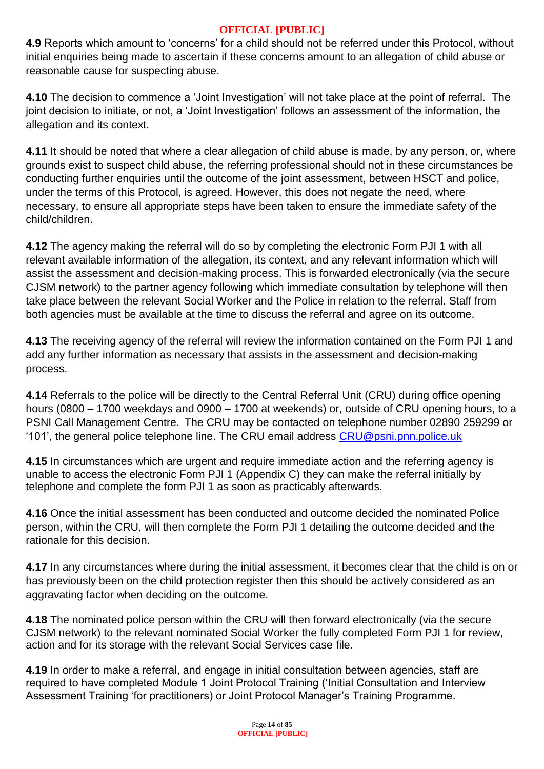**4.9** Reports which amount to 'concerns' for a child should not be referred under this Protocol, without initial enquiries being made to ascertain if these concerns amount to an allegation of child abuse or reasonable cause for suspecting abuse.

**4.10** The decision to commence a 'Joint Investigation' will not take place at the point of referral. The joint decision to initiate, or not, a 'Joint Investigation' follows an assessment of the information, the allegation and its context.

**4.11** It should be noted that where a clear allegation of child abuse is made, by any person, or, where grounds exist to suspect child abuse, the referring professional should not in these circumstances be conducting further enquiries until the outcome of the joint assessment, between HSCT and police, under the terms of this Protocol, is agreed. However, this does not negate the need, where necessary, to ensure all appropriate steps have been taken to ensure the immediate safety of the child/children.

**4.12** The agency making the referral will do so by completing the electronic Form PJI 1 with all relevant available information of the allegation, its context, and any relevant information which will assist the assessment and decision-making process. This is forwarded electronically (via the secure CJSM network) to the partner agency following which immediate consultation by telephone will then take place between the relevant Social Worker and the Police in relation to the referral. Staff from both agencies must be available at the time to discuss the referral and agree on its outcome.

**4.13** The receiving agency of the referral will review the information contained on the Form PJI 1 and add any further information as necessary that assists in the assessment and decision-making process.

**4.14** Referrals to the police will be directly to the Central Referral Unit (CRU) during office opening hours (0800 – 1700 weekdays and 0900 – 1700 at weekends) or, outside of CRU opening hours, to a PSNI Call Management Centre. The CRU may be contacted on telephone number 02890 259299 or '101', the general police telephone line. The CRU email address [CRU@psni.pnn.police.uk](mailto:CRU@psni.pnn.police.uk)

**4.15** In circumstances which are urgent and require immediate action and the referring agency is unable to access the electronic Form PJI 1 (Appendix C) they can make the referral initially by telephone and complete the form PJI 1 as soon as practicably afterwards.

**4.16** Once the initial assessment has been conducted and outcome decided the nominated Police person, within the CRU, will then complete the Form PJI 1 detailing the outcome decided and the rationale for this decision.

**4.17** In any circumstances where during the initial assessment, it becomes clear that the child is on or has previously been on the child protection register then this should be actively considered as an aggravating factor when deciding on the outcome.

**4.18** The nominated police person within the CRU will then forward electronically (via the secure CJSM network) to the relevant nominated Social Worker the fully completed Form PJI 1 for review, action and for its storage with the relevant Social Services case file.

**4.19** In order to make a referral, and engage in initial consultation between agencies, staff are required to have completed Module 1 Joint Protocol Training ('Initial Consultation and Interview Assessment Training 'for practitioners) or Joint Protocol Manager's Training Programme.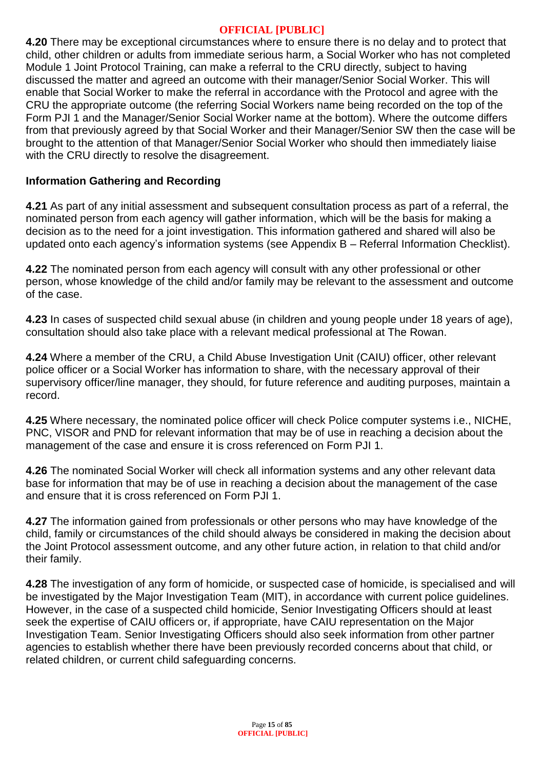**4.20** There may be exceptional circumstances where to ensure there is no delay and to protect that child, other children or adults from immediate serious harm, a Social Worker who has not completed Module 1 Joint Protocol Training, can make a referral to the CRU directly, subject to having discussed the matter and agreed an outcome with their manager/Senior Social Worker. This will enable that Social Worker to make the referral in accordance with the Protocol and agree with the CRU the appropriate outcome (the referring Social Workers name being recorded on the top of the Form PJI 1 and the Manager/Senior Social Worker name at the bottom). Where the outcome differs from that previously agreed by that Social Worker and their Manager/Senior SW then the case will be brought to the attention of that Manager/Senior Social Worker who should then immediately liaise with the CRU directly to resolve the disagreement.

#### **Information Gathering and Recording**

**4.21** As part of any initial assessment and subsequent consultation process as part of a referral, the nominated person from each agency will gather information, which will be the basis for making a decision as to the need for a joint investigation. This information gathered and shared will also be updated onto each agency's information systems (see Appendix B – Referral Information Checklist).

**4.22** The nominated person from each agency will consult with any other professional or other person, whose knowledge of the child and/or family may be relevant to the assessment and outcome of the case.

**4.23** In cases of suspected child sexual abuse (in children and young people under 18 years of age), consultation should also take place with a relevant medical professional at The Rowan.

**4.24** Where a member of the CRU, a Child Abuse Investigation Unit (CAIU) officer, other relevant police officer or a Social Worker has information to share, with the necessary approval of their supervisory officer/line manager, they should, for future reference and auditing purposes, maintain a record.

**4.25** Where necessary, the nominated police officer will check Police computer systems i.e., NICHE, PNC, VISOR and PND for relevant information that may be of use in reaching a decision about the management of the case and ensure it is cross referenced on Form PJI 1.

**4.26** The nominated Social Worker will check all information systems and any other relevant data base for information that may be of use in reaching a decision about the management of the case and ensure that it is cross referenced on Form PJI 1.

**4.27** The information gained from professionals or other persons who may have knowledge of the child, family or circumstances of the child should always be considered in making the decision about the Joint Protocol assessment outcome, and any other future action, in relation to that child and/or their family.

**4.28** The investigation of any form of homicide, or suspected case of homicide, is specialised and will be investigated by the Major Investigation Team (MIT), in accordance with current police guidelines. However, in the case of a suspected child homicide, Senior Investigating Officers should at least seek the expertise of CAIU officers or, if appropriate, have CAIU representation on the Major Investigation Team. Senior Investigating Officers should also seek information from other partner agencies to establish whether there have been previously recorded concerns about that child, or related children, or current child safeguarding concerns.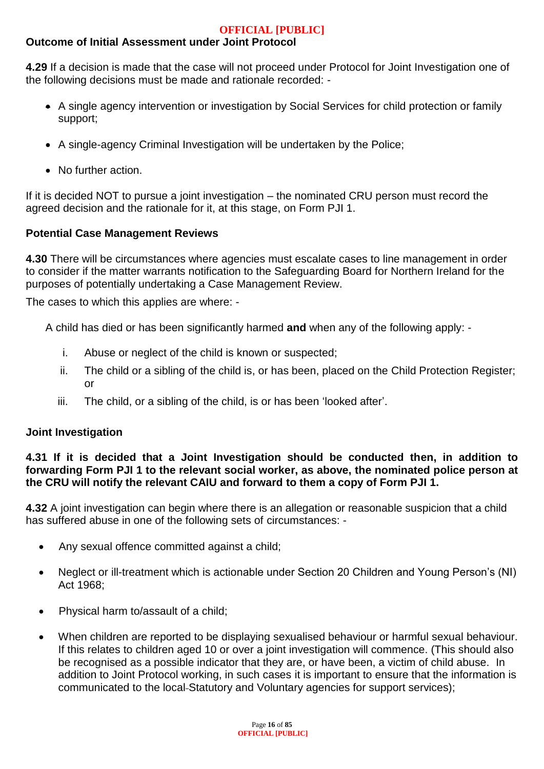## **Outcome of Initial Assessment under Joint Protocol**

**4.29** If a decision is made that the case will not proceed under Protocol for Joint Investigation one of the following decisions must be made and rationale recorded: -

- A single agency intervention or investigation by Social Services for child protection or family support;
- A single-agency Criminal Investigation will be undertaken by the Police;
- No further action.

If it is decided NOT to pursue a joint investigation – the nominated CRU person must record the agreed decision and the rationale for it, at this stage, on Form PJI 1.

#### **Potential Case Management Reviews**

**4.30** There will be circumstances where agencies must escalate cases to line management in order to consider if the matter warrants notification to the Safeguarding Board for Northern Ireland for the purposes of potentially undertaking a Case Management Review.

The cases to which this applies are where: -

A child has died or has been significantly harmed **and** when any of the following apply: -

- i. Abuse or neglect of the child is known or suspected;
- ii. The child or a sibling of the child is, or has been, placed on the Child Protection Register; or
- iii. The child, or a sibling of the child, is or has been 'looked after'.

## **Joint Investigation**

#### **4.31 If it is decided that a Joint Investigation should be conducted then, in addition to forwarding Form PJI 1 to the relevant social worker, as above, the nominated police person at the CRU will notify the relevant CAIU and forward to them a copy of Form PJI 1.**

**4.32** A joint investigation can begin where there is an allegation or reasonable suspicion that a child has suffered abuse in one of the following sets of circumstances: -

- Any sexual offence committed against a child;
- Neglect or ill-treatment which is actionable under Section 20 Children and Young Person's (NI) Act 1968;
- Physical harm to/assault of a child;
- When children are reported to be displaying sexualised behaviour or harmful sexual behaviour. If this relates to children aged 10 or over a joint investigation will commence. (This should also be recognised as a possible indicator that they are, or have been, a victim of child abuse. In addition to Joint Protocol working, in such cases it is important to ensure that the information is communicated to the local-Statutory and Voluntary agencies for support services):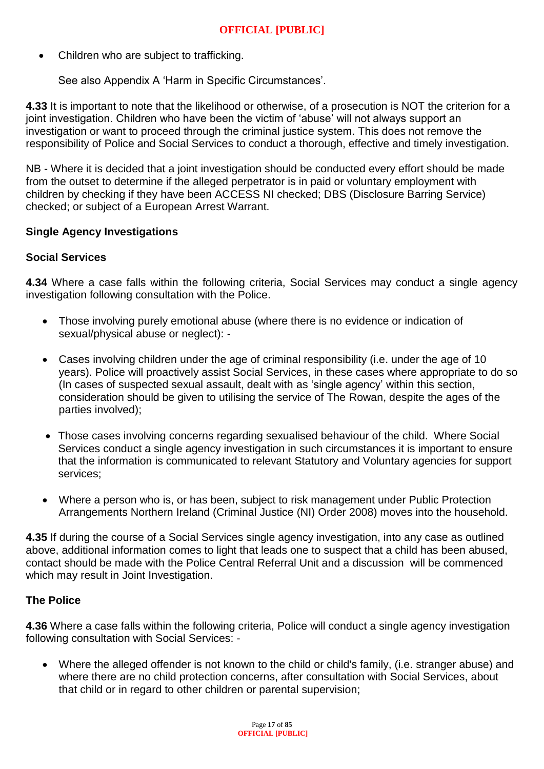• Children who are subject to trafficking.

See also Appendix A 'Harm in Specific Circumstances'.

**4.33** It is important to note that the likelihood or otherwise, of a prosecution is NOT the criterion for a joint investigation. Children who have been the victim of 'abuse' will not always support an investigation or want to proceed through the criminal justice system. This does not remove the responsibility of Police and Social Services to conduct a thorough, effective and timely investigation.

NB - Where it is decided that a joint investigation should be conducted every effort should be made from the outset to determine if the alleged perpetrator is in paid or voluntary employment with children by checking if they have been ACCESS NI checked; DBS (Disclosure Barring Service) checked; or subject of a European Arrest Warrant.

#### **Single Agency Investigations**

#### **Social Services**

**4.34** Where a case falls within the following criteria, Social Services may conduct a single agency investigation following consultation with the Police.

- Those involving purely emotional abuse (where there is no evidence or indication of sexual/physical abuse or neglect): -
- Cases involving children under the age of criminal responsibility (i.e. under the age of 10 years). Police will proactively assist Social Services, in these cases where appropriate to do so (In cases of suspected sexual assault, dealt with as 'single agency' within this section, consideration should be given to utilising the service of The Rowan, despite the ages of the parties involved);
- Those cases involving concerns regarding sexualised behaviour of the child. Where Social Services conduct a single agency investigation in such circumstances it is important to ensure that the information is communicated to relevant Statutory and Voluntary agencies for support services;
- Where a person who is, or has been, subject to risk management under Public Protection Arrangements Northern Ireland (Criminal Justice (NI) Order 2008) moves into the household.

**4.35** If during the course of a Social Services single agency investigation, into any case as outlined above, additional information comes to light that leads one to suspect that a child has been abused, contact should be made with the Police Central Referral Unit and a discussion will be commenced which may result in Joint Investigation.

## **The Police**

**4.36** Where a case falls within the following criteria, Police will conduct a single agency investigation following consultation with Social Services: -

 Where the alleged offender is not known to the child or child's family, (i.e. stranger abuse) and where there are no child protection concerns, after consultation with Social Services, about that child or in regard to other children or parental supervision;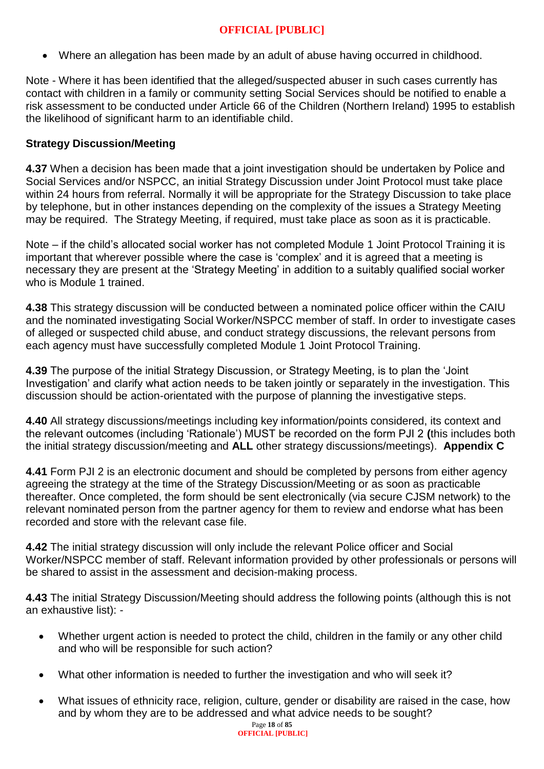Where an allegation has been made by an adult of abuse having occurred in childhood.

Note - Where it has been identified that the alleged/suspected abuser in such cases currently has contact with children in a family or community setting Social Services should be notified to enable a risk assessment to be conducted under Article 66 of the Children (Northern Ireland) 1995 to establish the likelihood of significant harm to an identifiable child.

## **Strategy Discussion/Meeting**

**4.37** When a decision has been made that a joint investigation should be undertaken by Police and Social Services and/or NSPCC, an initial Strategy Discussion under Joint Protocol must take place within 24 hours from referral. Normally it will be appropriate for the Strategy Discussion to take place by telephone, but in other instances depending on the complexity of the issues a Strategy Meeting may be required. The Strategy Meeting, if required, must take place as soon as it is practicable.

Note – if the child's allocated social worker has not completed Module 1 Joint Protocol Training it is important that wherever possible where the case is 'complex' and it is agreed that a meeting is necessary they are present at the 'Strategy Meeting' in addition to a suitably qualified social worker who is Module 1 trained.

**4.38** This strategy discussion will be conducted between a nominated police officer within the CAIU and the nominated investigating Social Worker/NSPCC member of staff. In order to investigate cases of alleged or suspected child abuse, and conduct strategy discussions, the relevant persons from each agency must have successfully completed Module 1 Joint Protocol Training.

**4.39** The purpose of the initial Strategy Discussion, or Strategy Meeting, is to plan the 'Joint Investigation' and clarify what action needs to be taken jointly or separately in the investigation. This discussion should be action-orientated with the purpose of planning the investigative steps.

**4.40** All strategy discussions/meetings including key information/points considered, its context and the relevant outcomes (including 'Rationale') MUST be recorded on the form PJI 2 **(**this includes both the initial strategy discussion/meeting and **ALL** other strategy discussions/meetings). **Appendix C**

**4.41** Form PJI 2 is an electronic document and should be completed by persons from either agency agreeing the strategy at the time of the Strategy Discussion/Meeting or as soon as practicable thereafter. Once completed, the form should be sent electronically (via secure CJSM network) to the relevant nominated person from the partner agency for them to review and endorse what has been recorded and store with the relevant case file.

**4.42** The initial strategy discussion will only include the relevant Police officer and Social Worker/NSPCC member of staff. Relevant information provided by other professionals or persons will be shared to assist in the assessment and decision-making process.

**4.43** The initial Strategy Discussion/Meeting should address the following points (although this is not an exhaustive list): -

- Whether urgent action is needed to protect the child, children in the family or any other child and who will be responsible for such action?
- What other information is needed to further the investigation and who will seek it?
- What issues of ethnicity race, religion, culture, gender or disability are raised in the case, how and by whom they are to be addressed and what advice needs to be sought?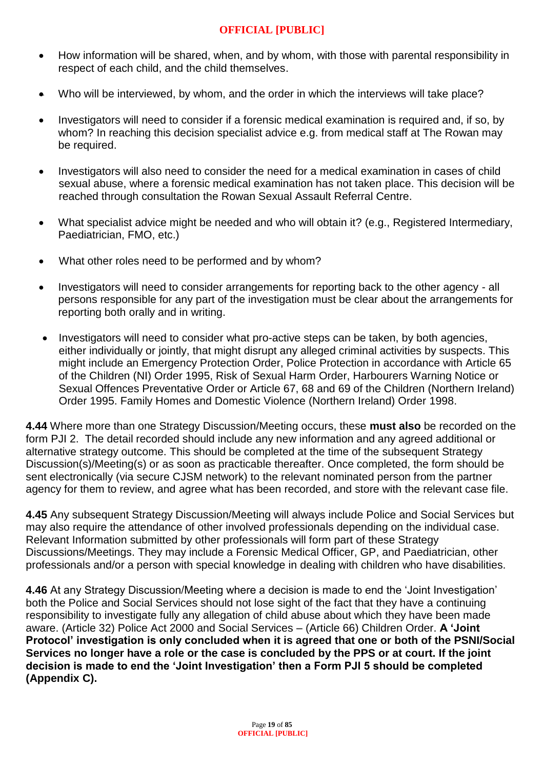- How information will be shared, when, and by whom, with those with parental responsibility in respect of each child, and the child themselves.
- Who will be interviewed, by whom, and the order in which the interviews will take place?
- Investigators will need to consider if a forensic medical examination is required and, if so, by whom? In reaching this decision specialist advice e.g. from medical staff at The Rowan may be required.
- Investigators will also need to consider the need for a medical examination in cases of child sexual abuse, where a forensic medical examination has not taken place. This decision will be reached through consultation the Rowan Sexual Assault Referral Centre.
- What specialist advice might be needed and who will obtain it? (e.g., Registered Intermediary, Paediatrician, FMO, etc.)
- What other roles need to be performed and by whom?
- Investigators will need to consider arrangements for reporting back to the other agency all persons responsible for any part of the investigation must be clear about the arrangements for reporting both orally and in writing.
- Investigators will need to consider what pro-active steps can be taken, by both agencies, either individually or jointly, that might disrupt any alleged criminal activities by suspects. This might include an Emergency Protection Order, Police Protection in accordance with Article 65 of the Children (NI) Order 1995, Risk of Sexual Harm Order, Harbourers Warning Notice or Sexual Offences Preventative Order or Article 67, 68 and 69 of the Children (Northern Ireland) Order 1995. Family Homes and Domestic Violence (Northern Ireland) Order 1998.

**4.44** Where more than one Strategy Discussion/Meeting occurs, these **must also** be recorded on the form PJI 2. The detail recorded should include any new information and any agreed additional or alternative strategy outcome. This should be completed at the time of the subsequent Strategy Discussion(s)/Meeting(s) or as soon as practicable thereafter. Once completed, the form should be sent electronically (via secure CJSM network) to the relevant nominated person from the partner agency for them to review, and agree what has been recorded, and store with the relevant case file.

**4.45** Any subsequent Strategy Discussion/Meeting will always include Police and Social Services but may also require the attendance of other involved professionals depending on the individual case. Relevant Information submitted by other professionals will form part of these Strategy Discussions/Meetings. They may include a Forensic Medical Officer, GP, and Paediatrician, other professionals and/or a person with special knowledge in dealing with children who have disabilities.

**4.46** At any Strategy Discussion/Meeting where a decision is made to end the 'Joint Investigation' both the Police and Social Services should not lose sight of the fact that they have a continuing responsibility to investigate fully any allegation of child abuse about which they have been made aware. (Article 32) Police Act 2000 and Social Services – (Article 66) Children Order. **A 'Joint Protocol' investigation is only concluded when it is agreed that one or both of the PSNI/Social Services no longer have a role or the case is concluded by the PPS or at court. If the joint decision is made to end the 'Joint Investigation' then a Form PJI 5 should be completed (Appendix C).**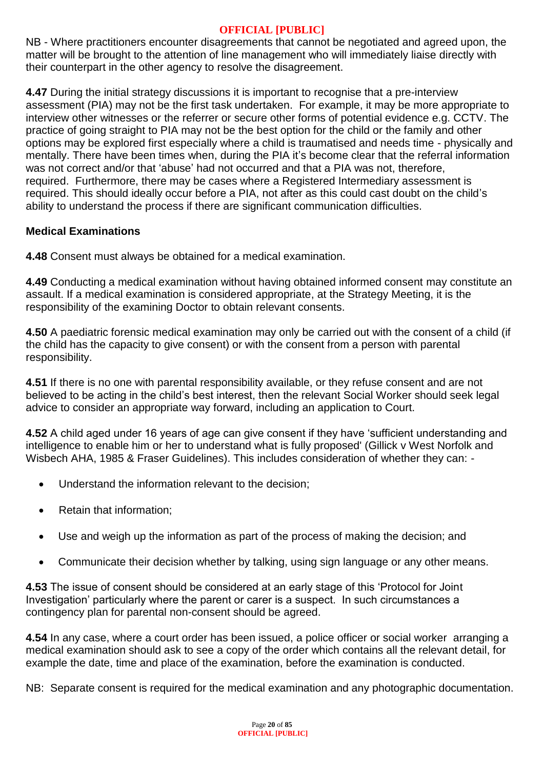NB - Where practitioners encounter disagreements that cannot be negotiated and agreed upon, the matter will be brought to the attention of line management who will immediately liaise directly with their counterpart in the other agency to resolve the disagreement.

**4.47** During the initial strategy discussions it is important to recognise that a pre-interview assessment (PIA) may not be the first task undertaken. For example, it may be more appropriate to interview other witnesses or the referrer or secure other forms of potential evidence e.g. CCTV. The practice of going straight to PIA may not be the best option for the child or the family and other options may be explored first especially where a child is traumatised and needs time - physically and mentally. There have been times when, during the PIA it's become clear that the referral information was not correct and/or that 'abuse' had not occurred and that a PIA was not, therefore, required. Furthermore, there may be cases where a Registered Intermediary assessment is required. This should ideally occur before a PIA, not after as this could cast doubt on the child's ability to understand the process if there are significant communication difficulties.

## **Medical Examinations**

**4.48** Consent must always be obtained for a medical examination.

**4.49** Conducting a medical examination without having obtained informed consent may constitute an assault. If a medical examination is considered appropriate, at the Strategy Meeting, it is the responsibility of the examining Doctor to obtain relevant consents.

**4.50** A paediatric forensic medical examination may only be carried out with the consent of a child (if the child has the capacity to give consent) or with the consent from a person with parental responsibility.

**4.51** If there is no one with parental responsibility available, or they refuse consent and are not believed to be acting in the child's best interest, then the relevant Social Worker should seek legal advice to consider an appropriate way forward, including an application to Court.

**4.52** A child aged under 16 years of age can give consent if they have 'sufficient understanding and intelligence to enable him or her to understand what is fully proposed' (Gillick v West Norfolk and Wisbech AHA, 1985 & Fraser Guidelines). This includes consideration of whether they can: -

- Understand the information relevant to the decision;
- Retain that information;
- Use and weigh up the information as part of the process of making the decision; and
- Communicate their decision whether by talking, using sign language or any other means.

**4.53** The issue of consent should be considered at an early stage of this 'Protocol for Joint Investigation' particularly where the parent or carer is a suspect. In such circumstances a contingency plan for parental non-consent should be agreed.

**4.54** In any case, where a court order has been issued, a police officer or social worker arranging a medical examination should ask to see a copy of the order which contains all the relevant detail, for example the date, time and place of the examination, before the examination is conducted.

NB: Separate consent is required for the medical examination and any photographic documentation.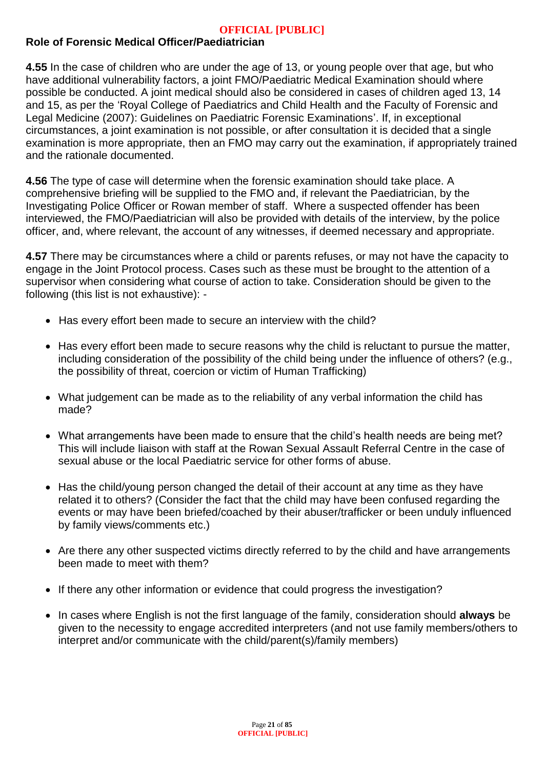## **Role of Forensic Medical Officer/Paediatrician**

**4.55** In the case of children who are under the age of 13, or young people over that age, but who have additional vulnerability factors, a joint FMO/Paediatric Medical Examination should where possible be conducted. A joint medical should also be considered in cases of children aged 13, 14 and 15, as per the 'Royal College of Paediatrics and Child Health and the Faculty of Forensic and Legal Medicine (2007): Guidelines on Paediatric Forensic Examinations'. If, in exceptional circumstances, a joint examination is not possible, or after consultation it is decided that a single examination is more appropriate, then an FMO may carry out the examination, if appropriately trained and the rationale documented.

**4.56** The type of case will determine when the forensic examination should take place. A comprehensive briefing will be supplied to the FMO and, if relevant the Paediatrician, by the Investigating Police Officer or Rowan member of staff. Where a suspected offender has been interviewed, the FMO/Paediatrician will also be provided with details of the interview, by the police officer, and, where relevant, the account of any witnesses, if deemed necessary and appropriate.

**4.57** There may be circumstances where a child or parents refuses, or may not have the capacity to engage in the Joint Protocol process. Cases such as these must be brought to the attention of a supervisor when considering what course of action to take. Consideration should be given to the following (this list is not exhaustive): -

- Has every effort been made to secure an interview with the child?
- Has every effort been made to secure reasons why the child is reluctant to pursue the matter, including consideration of the possibility of the child being under the influence of others? (e.g., the possibility of threat, coercion or victim of Human Trafficking)
- What judgement can be made as to the reliability of any verbal information the child has made?
- What arrangements have been made to ensure that the child's health needs are being met? This will include liaison with staff at the Rowan Sexual Assault Referral Centre in the case of sexual abuse or the local Paediatric service for other forms of abuse.
- Has the child/young person changed the detail of their account at any time as they have related it to others? (Consider the fact that the child may have been confused regarding the events or may have been briefed/coached by their abuser/trafficker or been unduly influenced by family views/comments etc.)
- Are there any other suspected victims directly referred to by the child and have arrangements been made to meet with them?
- If there any other information or evidence that could progress the investigation?
- In cases where English is not the first language of the family, consideration should **always** be given to the necessity to engage accredited interpreters (and not use family members/others to interpret and/or communicate with the child/parent(s)/family members)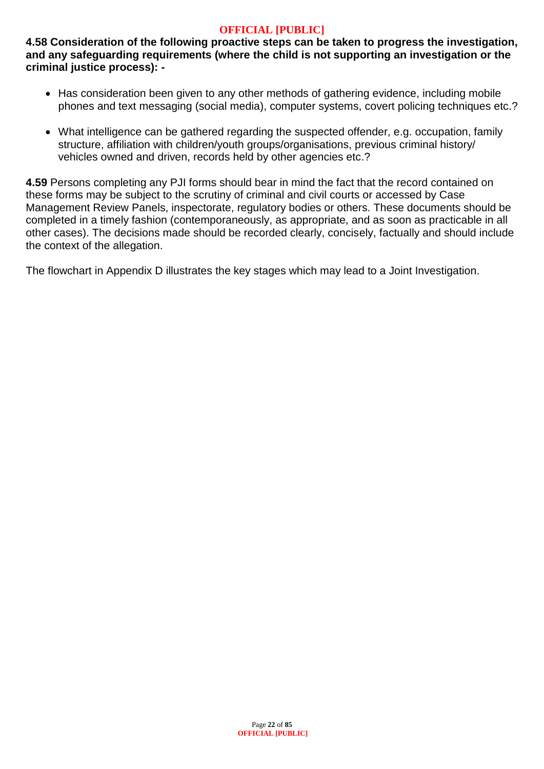**4.58 Consideration of the following proactive steps can be taken to progress the investigation, and any safeguarding requirements (where the child is not supporting an investigation or the criminal justice process): -**

- Has consideration been given to any other methods of gathering evidence, including mobile phones and text messaging (social media), computer systems, covert policing techniques etc.?
- What intelligence can be gathered regarding the suspected offender, e.g. occupation, family structure, affiliation with children/youth groups/organisations, previous criminal history/ vehicles owned and driven, records held by other agencies etc.?

**4.59** Persons completing any PJI forms should bear in mind the fact that the record contained on these forms may be subject to the scrutiny of criminal and civil courts or accessed by Case Management Review Panels, inspectorate, regulatory bodies or others. These documents should be completed in a timely fashion (contemporaneously, as appropriate, and as soon as practicable in all other cases). The decisions made should be recorded clearly, concisely, factually and should include the context of the allegation.

The flowchart in Appendix D illustrates the key stages which may lead to a Joint Investigation.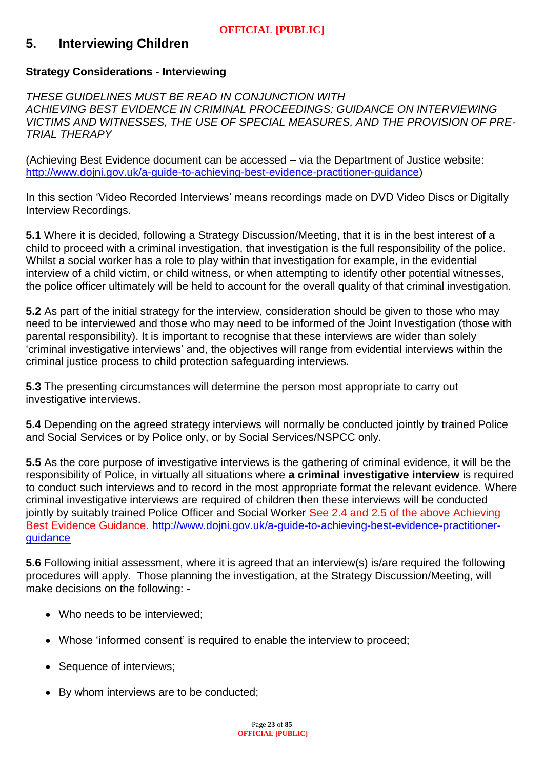## **5. Interviewing Children**

#### **Strategy Considerations - Interviewing**

*THESE GUIDELINES MUST BE READ IN CONJUNCTION WITH ACHIEVING BEST EVIDENCE IN CRIMINAL PROCEEDINGS: GUIDANCE ON INTERVIEWING VICTIMS AND WITNESSES, THE USE OF SPECIAL MEASURES, AND THE PROVISION OF PRE-TRIAL THERAPY* 

(Achieving Best Evidence document can be accessed – via the Department of Justice website: [http://www.dojni.gov.uk/a-guide-to-achieving-best-evidence-practitioner-guidance\)](http://www.dojni.gov.uk/a-guide-to-achieving-best-evidence-practitioner-guidance)

In this section 'Video Recorded Interviews' means recordings made on DVD Video Discs or Digitally Interview Recordings.

**5.1** Where it is decided, following a Strategy Discussion/Meeting, that it is in the best interest of a child to proceed with a criminal investigation, that investigation is the full responsibility of the police. Whilst a social worker has a role to play within that investigation for example, in the evidential interview of a child victim, or child witness, or when attempting to identify other potential witnesses, the police officer ultimately will be held to account for the overall quality of that criminal investigation.

**5.2** As part of the initial strategy for the interview, consideration should be given to those who may need to be interviewed and those who may need to be informed of the Joint Investigation (those with parental responsibility). It is important to recognise that these interviews are wider than solely 'criminal investigative interviews' and, the objectives will range from evidential interviews within the criminal justice process to child protection safeguarding interviews.

**5.3** The presenting circumstances will determine the person most appropriate to carry out investigative interviews.

**5.4** Depending on the agreed strategy interviews will normally be conducted jointly by trained Police and Social Services or by Police only, or by Social Services/NSPCC only.

**5.5** As the core purpose of investigative interviews is the gathering of criminal evidence, it will be the responsibility of Police, in virtually all situations where **a criminal investigative interview** is required to conduct such interviews and to record in the most appropriate format the relevant evidence. Where criminal investigative interviews are required of children then these interviews will be conducted jointly by suitably trained Police Officer and Social Worker See 2.4 and 2.5 of the above Achieving Best Evidence Guidance. [http://www.dojni.gov.uk/a-guide-to-achieving-best-evidence-practitioner](http://www.dojni.gov.uk/a-guide-to-achieving-best-evidence-practitioner-guidance)[guidance](http://www.dojni.gov.uk/a-guide-to-achieving-best-evidence-practitioner-guidance)

**5.6** Following initial assessment, where it is agreed that an interview(s) is/are required the following procedures will apply. Those planning the investigation, at the Strategy Discussion/Meeting, will make decisions on the following: -

- Who needs to be interviewed;
- Whose 'informed consent' is required to enable the interview to proceed;
- Sequence of interviews;
- By whom interviews are to be conducted;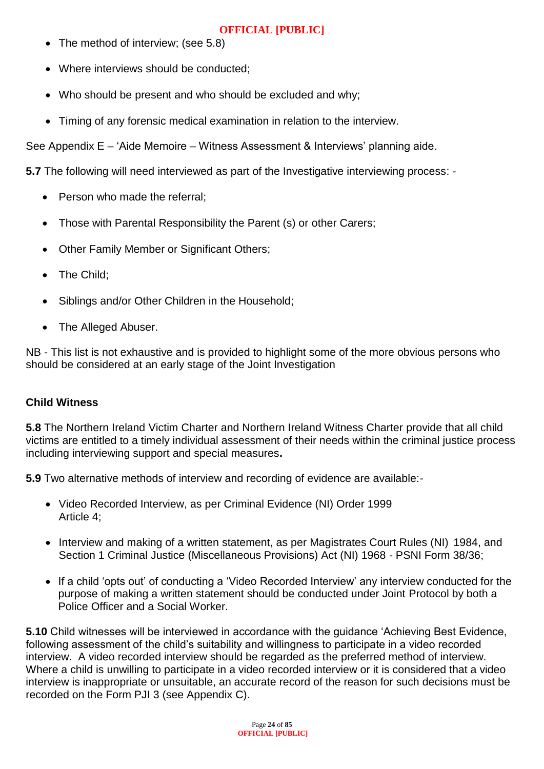- The method of interview; (see 5.8)
- Where interviews should be conducted:
- Who should be present and who should be excluded and why;
- Timing of any forensic medical examination in relation to the interview.

See Appendix E – 'Aide Memoire – Witness Assessment & Interviews' planning aide.

**5.7** The following will need interviewed as part of the Investigative interviewing process: -

- Person who made the referral;
- Those with Parental Responsibility the Parent (s) or other Carers;
- Other Family Member or Significant Others:
- The Child;
- Siblings and/or Other Children in the Household;
- The Alleged Abuser.

NB - This list is not exhaustive and is provided to highlight some of the more obvious persons who should be considered at an early stage of the Joint Investigation

## **Child Witness**

**5.8** The Northern Ireland Victim Charter and Northern Ireland Witness Charter provide that all child victims are entitled to a timely individual assessment of their needs within the criminal justice process including interviewing support and special measures**.** 

**5.9** Two alternative methods of interview and recording of evidence are available:-

- Video Recorded Interview, as per Criminal Evidence (NI) Order 1999 Article 4;
- Interview and making of a written statement, as per Magistrates Court Rules (NI) 1984, and Section 1 Criminal Justice (Miscellaneous Provisions) Act (NI) 1968 - PSNI Form 38/36;
- If a child 'opts out' of conducting a 'Video Recorded Interview' any interview conducted for the purpose of making a written statement should be conducted under Joint Protocol by both a Police Officer and a Social Worker.

**5.10** Child witnesses will be interviewed in accordance with the guidance 'Achieving Best Evidence, following assessment of the child's suitability and willingness to participate in a video recorded interview. A video recorded interview should be regarded as the preferred method of interview. Where a child is unwilling to participate in a video recorded interview or it is considered that a video interview is inappropriate or unsuitable, an accurate record of the reason for such decisions must be recorded on the Form PJI 3 (see Appendix C).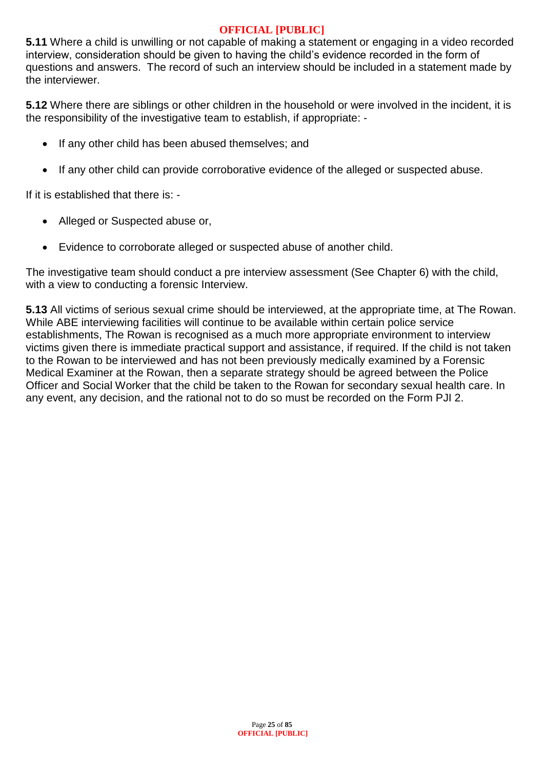**5.11** Where a child is unwilling or not capable of making a statement or engaging in a video recorded interview, consideration should be given to having the child's evidence recorded in the form of questions and answers. The record of such an interview should be included in a statement made by the interviewer.

**5.12** Where there are siblings or other children in the household or were involved in the incident, it is the responsibility of the investigative team to establish, if appropriate: -

- If any other child has been abused themselves; and
- If any other child can provide corroborative evidence of the alleged or suspected abuse.

If it is established that there is: -

- Alleged or Suspected abuse or,
- Evidence to corroborate alleged or suspected abuse of another child.

The investigative team should conduct a pre interview assessment (See Chapter 6) with the child, with a view to conducting a forensic Interview.

**5.13** All victims of serious sexual crime should be interviewed, at the appropriate time, at The Rowan. While ABE interviewing facilities will continue to be available within certain police service establishments, The Rowan is recognised as a much more appropriate environment to interview victims given there is immediate practical support and assistance, if required. If the child is not taken to the Rowan to be interviewed and has not been previously medically examined by a Forensic Medical Examiner at the Rowan, then a separate strategy should be agreed between the Police Officer and Social Worker that the child be taken to the Rowan for secondary sexual health care. In any event, any decision, and the rational not to do so must be recorded on the Form PJI 2.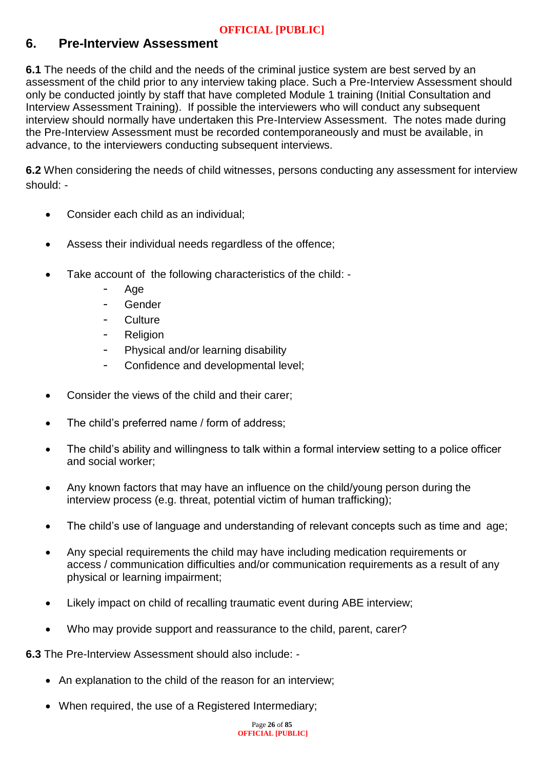# **6. Pre-Interview Assessment**

**6.1** The needs of the child and the needs of the criminal justice system are best served by an assessment of the child prior to any interview taking place. Such a Pre-Interview Assessment should only be conducted jointly by staff that have completed Module 1 training (Initial Consultation and Interview Assessment Training). If possible the interviewers who will conduct any subsequent interview should normally have undertaken this Pre-Interview Assessment. The notes made during the Pre-Interview Assessment must be recorded contemporaneously and must be available, in advance, to the interviewers conducting subsequent interviews.

**6.2** When considering the needs of child witnesses, persons conducting any assessment for interview should: -

- Consider each child as an individual;
- Assess their individual needs regardless of the offence;
- Take account of the following characteristics of the child:
	- Age
	- Gender
	- **Culture**
	- Religion
	- Physical and/or learning disability
	- Confidence and developmental level;
- Consider the views of the child and their carer;
- The child's preferred name / form of address;
- The child's ability and willingness to talk within a formal interview setting to a police officer and social worker;
- Any known factors that may have an influence on the child/young person during the interview process (e.g. threat, potential victim of human trafficking);
- The child's use of language and understanding of relevant concepts such as time and age;
- Any special requirements the child may have including medication requirements or access / communication difficulties and/or communication requirements as a result of any physical or learning impairment;
- Likely impact on child of recalling traumatic event during ABE interview;
- Who may provide support and reassurance to the child, parent, carer?

**6.3** The Pre-Interview Assessment should also include: -

- An explanation to the child of the reason for an interview;
- When required, the use of a Registered Intermediary;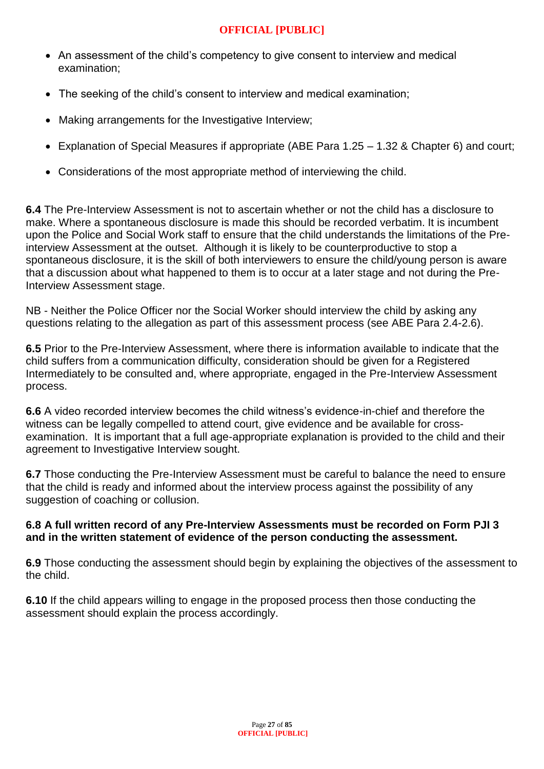- An assessment of the child's competency to give consent to interview and medical examination;
- The seeking of the child's consent to interview and medical examination;
- Making arrangements for the Investigative Interview;
- Explanation of Special Measures if appropriate (ABE Para 1.25 1.32 & Chapter 6) and court;
- Considerations of the most appropriate method of interviewing the child.

**6.4** The Pre-Interview Assessment is not to ascertain whether or not the child has a disclosure to make. Where a spontaneous disclosure is made this should be recorded verbatim. It is incumbent upon the Police and Social Work staff to ensure that the child understands the limitations of the Preinterview Assessment at the outset. Although it is likely to be counterproductive to stop a spontaneous disclosure, it is the skill of both interviewers to ensure the child/young person is aware that a discussion about what happened to them is to occur at a later stage and not during the Pre-Interview Assessment stage.

NB - Neither the Police Officer nor the Social Worker should interview the child by asking any questions relating to the allegation as part of this assessment process (see ABE Para 2.4-2.6).

**6.5** Prior to the Pre-Interview Assessment, where there is information available to indicate that the child suffers from a communication difficulty, consideration should be given for a Registered Intermediately to be consulted and, where appropriate, engaged in the Pre-Interview Assessment process.

**6.6** A video recorded interview becomes the child witness's evidence-in-chief and therefore the witness can be legally compelled to attend court, give evidence and be available for crossexamination. It is important that a full age-appropriate explanation is provided to the child and their agreement to Investigative Interview sought.

**6.7** Those conducting the Pre-Interview Assessment must be careful to balance the need to ensure that the child is ready and informed about the interview process against the possibility of any suggestion of coaching or collusion.

## **6.8 A full written record of any Pre-Interview Assessments must be recorded on Form PJI 3 and in the written statement of evidence of the person conducting the assessment.**

**6.9** Those conducting the assessment should begin by explaining the objectives of the assessment to the child.

**6.10** If the child appears willing to engage in the proposed process then those conducting the assessment should explain the process accordingly.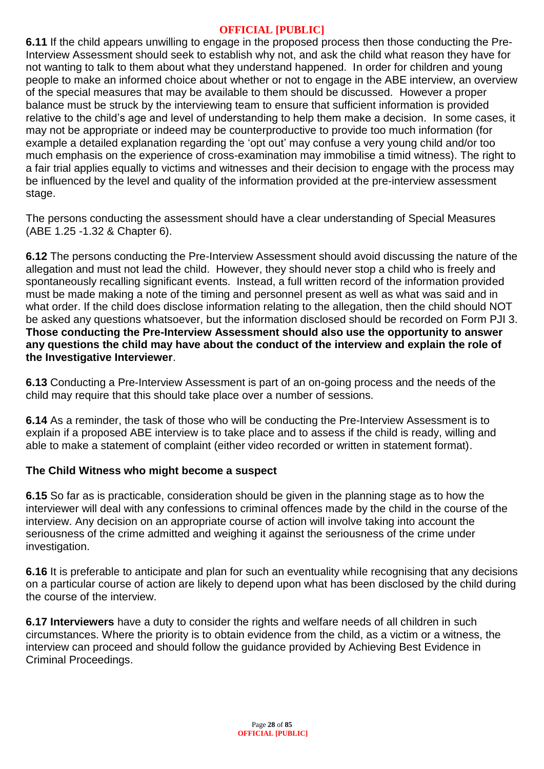**6.11** If the child appears unwilling to engage in the proposed process then those conducting the Pre-Interview Assessment should seek to establish why not, and ask the child what reason they have for not wanting to talk to them about what they understand happened. In order for children and young people to make an informed choice about whether or not to engage in the ABE interview, an overview of the special measures that may be available to them should be discussed. However a proper balance must be struck by the interviewing team to ensure that sufficient information is provided relative to the child's age and level of understanding to help them make a decision. In some cases, it may not be appropriate or indeed may be counterproductive to provide too much information (for example a detailed explanation regarding the 'opt out' may confuse a very young child and/or too much emphasis on the experience of cross-examination may immobilise a timid witness). The right to a fair trial applies equally to victims and witnesses and their decision to engage with the process may be influenced by the level and quality of the information provided at the pre-interview assessment stage.

The persons conducting the assessment should have a clear understanding of Special Measures (ABE 1.25 -1.32 & Chapter 6).

**6.12** The persons conducting the Pre-Interview Assessment should avoid discussing the nature of the allegation and must not lead the child. However, they should never stop a child who is freely and spontaneously recalling significant events. Instead, a full written record of the information provided must be made making a note of the timing and personnel present as well as what was said and in what order. If the child does disclose information relating to the allegation, then the child should NOT be asked any questions whatsoever, but the information disclosed should be recorded on Form PJI 3. **Those conducting the Pre-Interview Assessment should also use the opportunity to answer any questions the child may have about the conduct of the interview and explain the role of the Investigative Interviewer**.

**6.13** Conducting a Pre-Interview Assessment is part of an on-going process and the needs of the child may require that this should take place over a number of sessions.

**6.14** As a reminder, the task of those who will be conducting the Pre-Interview Assessment is to explain if a proposed ABE interview is to take place and to assess if the child is ready, willing and able to make a statement of complaint (either video recorded or written in statement format).

## **The Child Witness who might become a suspect**

**6.15** So far as is practicable, consideration should be given in the planning stage as to how the interviewer will deal with any confessions to criminal offences made by the child in the course of the interview. Any decision on an appropriate course of action will involve taking into account the seriousness of the crime admitted and weighing it against the seriousness of the crime under investigation.

**6.16** It is preferable to anticipate and plan for such an eventuality while recognising that any decisions on a particular course of action are likely to depend upon what has been disclosed by the child during the course of the interview.

**6.17 Interviewers** have a duty to consider the rights and welfare needs of all children in such circumstances. Where the priority is to obtain evidence from the child, as a victim or a witness, the interview can proceed and should follow the guidance provided by Achieving Best Evidence in Criminal Proceedings.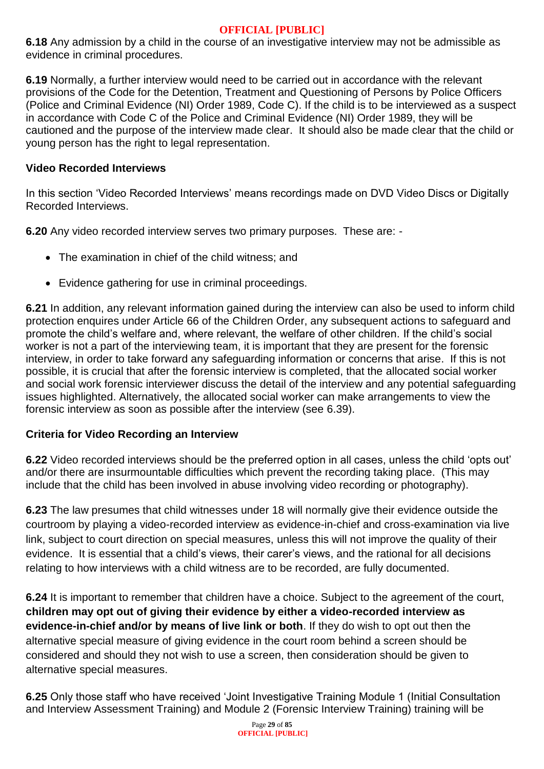**6.18** Any admission by a child in the course of an investigative interview may not be admissible as evidence in criminal procedures.

**6.19** Normally, a further interview would need to be carried out in accordance with the relevant provisions of the Code for the Detention, Treatment and Questioning of Persons by Police Officers (Police and Criminal Evidence (NI) Order 1989, Code C). If the child is to be interviewed as a suspect in accordance with Code C of the Police and Criminal Evidence (NI) Order 1989, they will be cautioned and the purpose of the interview made clear. It should also be made clear that the child or young person has the right to legal representation.

#### **Video Recorded Interviews**

In this section 'Video Recorded Interviews' means recordings made on DVD Video Discs or Digitally Recorded Interviews.

**6.20** Any video recorded interview serves two primary purposes. These are: -

- The examination in chief of the child witness; and
- Evidence gathering for use in criminal proceedings.

**6.21** In addition, any relevant information gained during the interview can also be used to inform child protection enquires under Article 66 of the Children Order, any subsequent actions to safeguard and promote the child's welfare and, where relevant, the welfare of other children. If the child's social worker is not a part of the interviewing team, it is important that they are present for the forensic interview, in order to take forward any safeguarding information or concerns that arise. If this is not possible, it is crucial that after the forensic interview is completed, that the allocated social worker and social work forensic interviewer discuss the detail of the interview and any potential safeguarding issues highlighted. Alternatively, the allocated social worker can make arrangements to view the forensic interview as soon as possible after the interview (see 6.39).

## **Criteria for Video Recording an Interview**

**6.22** Video recorded interviews should be the preferred option in all cases, unless the child 'opts out' and/or there are insurmountable difficulties which prevent the recording taking place. (This may include that the child has been involved in abuse involving video recording or photography).

**6.23** The law presumes that child witnesses under 18 will normally give their evidence outside the courtroom by playing a video-recorded interview as evidence-in-chief and cross-examination via live link, subject to court direction on special measures, unless this will not improve the quality of their evidence. It is essential that a child's views, their carer's views, and the rational for all decisions relating to how interviews with a child witness are to be recorded, are fully documented.

**6.24** It is important to remember that children have a choice. Subject to the agreement of the court, **children may opt out of giving their evidence by either a video-recorded interview as evidence-in-chief and/or by means of live link or both**. If they do wish to opt out then the alternative special measure of giving evidence in the court room behind a screen should be considered and should they not wish to use a screen, then consideration should be given to alternative special measures.

**6.25** Only those staff who have received 'Joint Investigative Training Module 1 (Initial Consultation and Interview Assessment Training) and Module 2 (Forensic Interview Training) training will be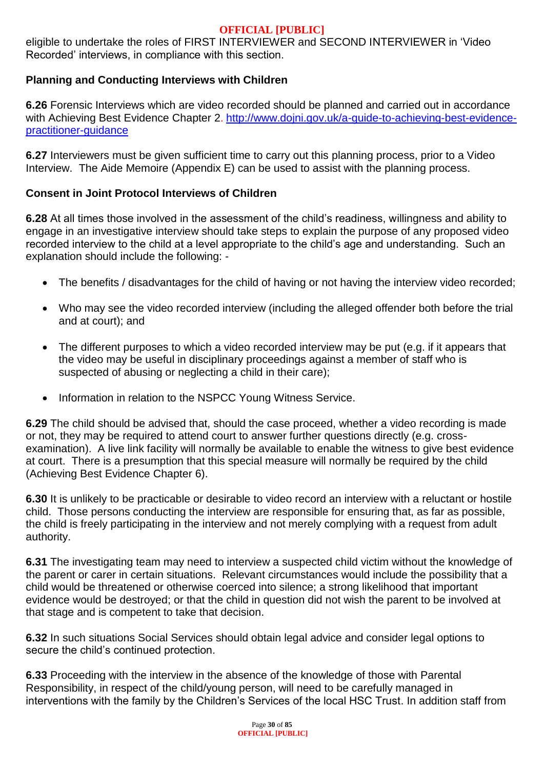eligible to undertake the roles of FIRST INTERVIEWER and SECOND INTERVIEWER in 'Video Recorded' interviews, in compliance with this section.

## **Planning and Conducting Interviews with Children**

**6.26** Forensic Interviews which are video recorded should be planned and carried out in accordance with Achieving Best Evidence Chapter 2. http://www.doini.gov.uk/a-guide-to-achieving-best-evidence[practitioner-guidance](http://www.dojni.gov.uk/a-guide-to-achieving-best-evidence-practitioner-guidance)

**6.27** Interviewers must be given sufficient time to carry out this planning process, prior to a Video Interview. The Aide Memoire (Appendix E) can be used to assist with the planning process.

#### **Consent in Joint Protocol Interviews of Children**

**6.28** At all times those involved in the assessment of the child's readiness, willingness and ability to engage in an investigative interview should take steps to explain the purpose of any proposed video recorded interview to the child at a level appropriate to the child's age and understanding. Such an explanation should include the following: -

- The benefits / disadvantages for the child of having or not having the interview video recorded;
- Who may see the video recorded interview (including the alleged offender both before the trial and at court); and
- The different purposes to which a video recorded interview may be put (e.g. if it appears that the video may be useful in disciplinary proceedings against a member of staff who is suspected of abusing or neglecting a child in their care);
- Information in relation to the NSPCC Young Witness Service.

**6.29** The child should be advised that, should the case proceed, whether a video recording is made or not, they may be required to attend court to answer further questions directly (e.g. crossexamination). A live link facility will normally be available to enable the witness to give best evidence at court. There is a presumption that this special measure will normally be required by the child (Achieving Best Evidence Chapter 6).

**6.30** It is unlikely to be practicable or desirable to video record an interview with a reluctant or hostile child. Those persons conducting the interview are responsible for ensuring that, as far as possible, the child is freely participating in the interview and not merely complying with a request from adult authority.

**6.31** The investigating team may need to interview a suspected child victim without the knowledge of the parent or carer in certain situations. Relevant circumstances would include the possibility that a child would be threatened or otherwise coerced into silence; a strong likelihood that important evidence would be destroyed; or that the child in question did not wish the parent to be involved at that stage and is competent to take that decision.

**6.32** In such situations Social Services should obtain legal advice and consider legal options to secure the child's continued protection.

**6.33** Proceeding with the interview in the absence of the knowledge of those with Parental Responsibility, in respect of the child/young person, will need to be carefully managed in interventions with the family by the Children's Services of the local HSC Trust. In addition staff from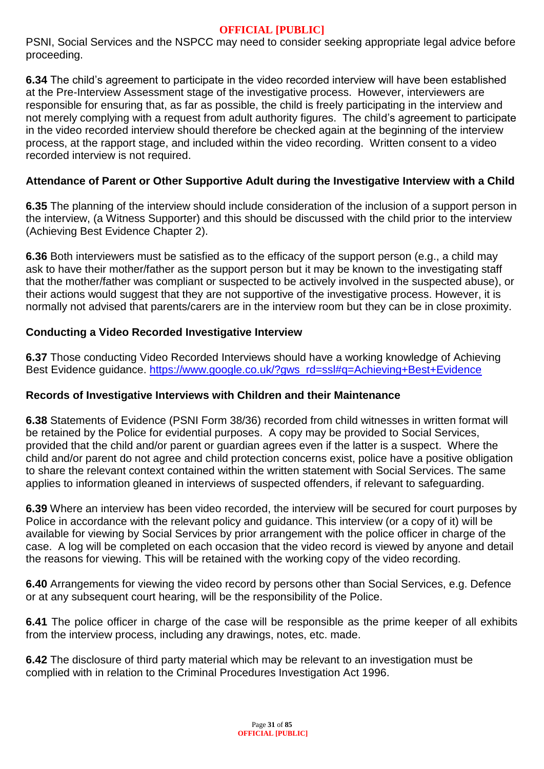PSNI, Social Services and the NSPCC may need to consider seeking appropriate legal advice before proceeding.

**6.34** The child's agreement to participate in the video recorded interview will have been established at the Pre-Interview Assessment stage of the investigative process. However, interviewers are responsible for ensuring that, as far as possible, the child is freely participating in the interview and not merely complying with a request from adult authority figures. The child's agreement to participate in the video recorded interview should therefore be checked again at the beginning of the interview process, at the rapport stage, and included within the video recording. Written consent to a video recorded interview is not required.

## **Attendance of Parent or Other Supportive Adult during the Investigative Interview with a Child**

**6.35** The planning of the interview should include consideration of the inclusion of a support person in the interview, (a Witness Supporter) and this should be discussed with the child prior to the interview (Achieving Best Evidence Chapter 2).

**6.36** Both interviewers must be satisfied as to the efficacy of the support person (e.g., a child may ask to have their mother/father as the support person but it may be known to the investigating staff that the mother/father was compliant or suspected to be actively involved in the suspected abuse), or their actions would suggest that they are not supportive of the investigative process. However, it is normally not advised that parents/carers are in the interview room but they can be in close proximity.

## **Conducting a Video Recorded Investigative Interview**

**6.37** Those conducting Video Recorded Interviews should have a working knowledge of Achieving Best Evidence guidance. [https://www.google.co.uk/?gws\\_rd=ssl#q=Achieving+Best+Evidence](https://www.google.co.uk/?gws_rd=ssl#q=Achieving+Best+Evidence)

## **Records of Investigative Interviews with Children and their Maintenance**

**6.38** Statements of Evidence (PSNI Form 38/36) recorded from child witnesses in written format will be retained by the Police for evidential purposes. A copy may be provided to Social Services, provided that the child and/or parent or guardian agrees even if the latter is a suspect. Where the child and/or parent do not agree and child protection concerns exist, police have a positive obligation to share the relevant context contained within the written statement with Social Services. The same applies to information gleaned in interviews of suspected offenders, if relevant to safeguarding.

**6.39** Where an interview has been video recorded, the interview will be secured for court purposes by Police in accordance with the relevant policy and guidance. This interview (or a copy of it) will be available for viewing by Social Services by prior arrangement with the police officer in charge of the case. A log will be completed on each occasion that the video record is viewed by anyone and detail the reasons for viewing. This will be retained with the working copy of the video recording.

**6.40** Arrangements for viewing the video record by persons other than Social Services, e.g. Defence or at any subsequent court hearing, will be the responsibility of the Police.

**6.41** The police officer in charge of the case will be responsible as the prime keeper of all exhibits from the interview process, including any drawings, notes, etc. made.

**6.42** The disclosure of third party material which may be relevant to an investigation must be complied with in relation to the Criminal Procedures Investigation Act 1996.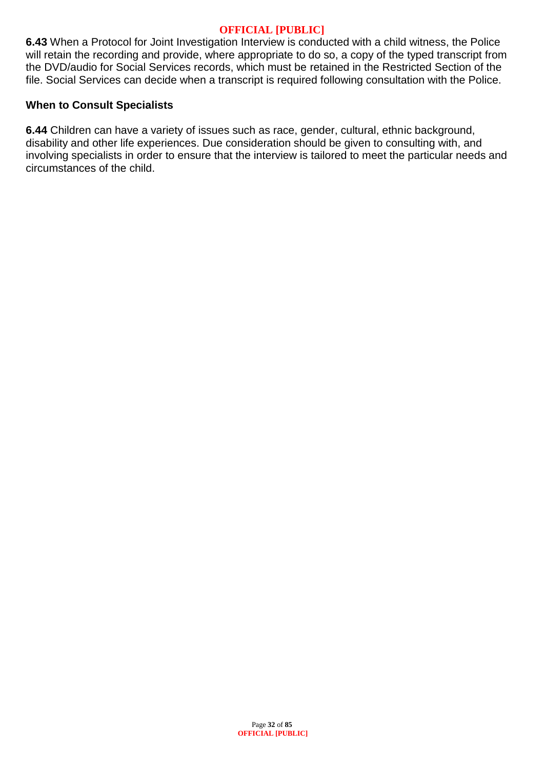**6.43** When a Protocol for Joint Investigation Interview is conducted with a child witness, the Police will retain the recording and provide, where appropriate to do so, a copy of the typed transcript from the DVD/audio for Social Services records, which must be retained in the Restricted Section of the file. Social Services can decide when a transcript is required following consultation with the Police.

#### **When to Consult Specialists**

**6.44** Children can have a variety of issues such as race, gender, cultural, ethnic background, disability and other life experiences. Due consideration should be given to consulting with, and involving specialists in order to ensure that the interview is tailored to meet the particular needs and circumstances of the child.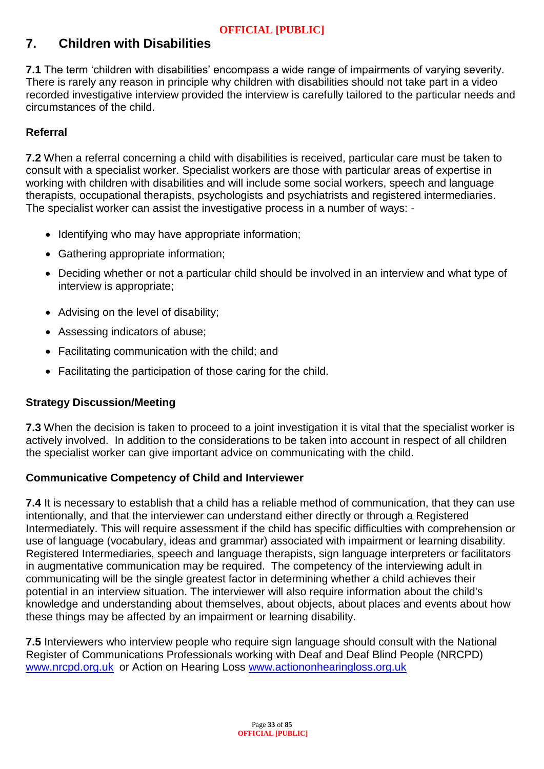# **7. Children with Disabilities**

**7.1** The term 'children with disabilities' encompass a wide range of impairments of varying severity. There is rarely any reason in principle why children with disabilities should not take part in a video recorded investigative interview provided the interview is carefully tailored to the particular needs and circumstances of the child.

## **Referral**

**7.2** When a referral concerning a child with disabilities is received, particular care must be taken to consult with a specialist worker. Specialist workers are those with particular areas of expertise in working with children with disabilities and will include some social workers, speech and language therapists, occupational therapists, psychologists and psychiatrists and registered intermediaries. The specialist worker can assist the investigative process in a number of ways: -

- Identifying who may have appropriate information;
- Gathering appropriate information;
- Deciding whether or not a particular child should be involved in an interview and what type of interview is appropriate;
- Advising on the level of disability;
- Assessing indicators of abuse;
- Facilitating communication with the child; and
- Facilitating the participation of those caring for the child.

## **Strategy Discussion/Meeting**

**7.3** When the decision is taken to proceed to a joint investigation it is vital that the specialist worker is actively involved. In addition to the considerations to be taken into account in respect of all children the specialist worker can give important advice on communicating with the child.

## **Communicative Competency of Child and Interviewer**

**7.4** It is necessary to establish that a child has a reliable method of communication, that they can use intentionally, and that the interviewer can understand either directly or through a Registered Intermediately. This will require assessment if the child has specific difficulties with comprehension or use of language (vocabulary, ideas and grammar) associated with impairment or learning disability. Registered Intermediaries, speech and language therapists, sign language interpreters or facilitators in augmentative communication may be required. The competency of the interviewing adult in communicating will be the single greatest factor in determining whether a child achieves their potential in an interview situation. The interviewer will also require information about the child's knowledge and understanding about themselves, about objects, about places and events about how these things may be affected by an impairment or learning disability.

**7.5** Interviewers who interview people who require sign language should consult with the National Register of Communications Professionals working with Deaf and Deaf Blind People (NRCPD) [www.nrcpd.org.uk](http://www.nrcpd.org.uk/) or Action on Hearing Loss [www.actiononhearingloss.org.uk](http://www.actiononhearingloss.org.uk/)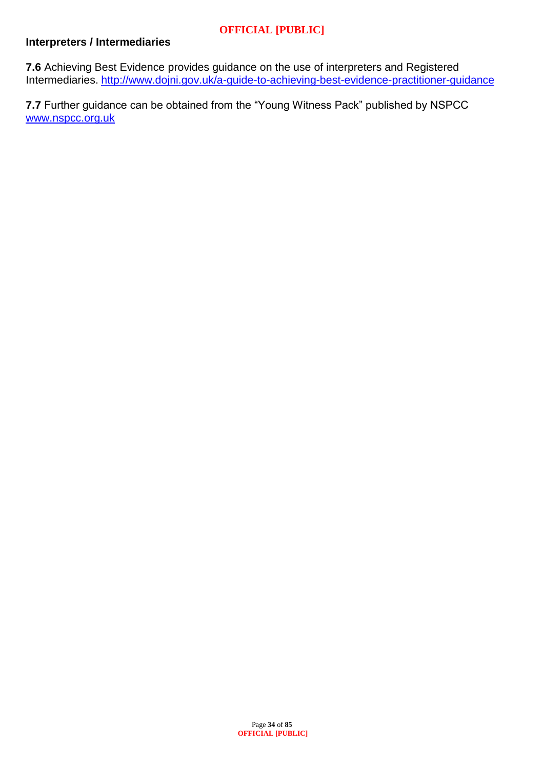## **Interpreters / Intermediaries**

**7.6** Achieving Best Evidence provides guidance on the use of interpreters and Registered Intermediaries. <http://www.dojni.gov.uk/a-guide-to-achieving-best-evidence-practitioner-guidance>

**7.7** Further guidance can be obtained from the "Young Witness Pack" published by NSPCC [www.nspcc.org.uk](http://www.nspcc.org.uk/)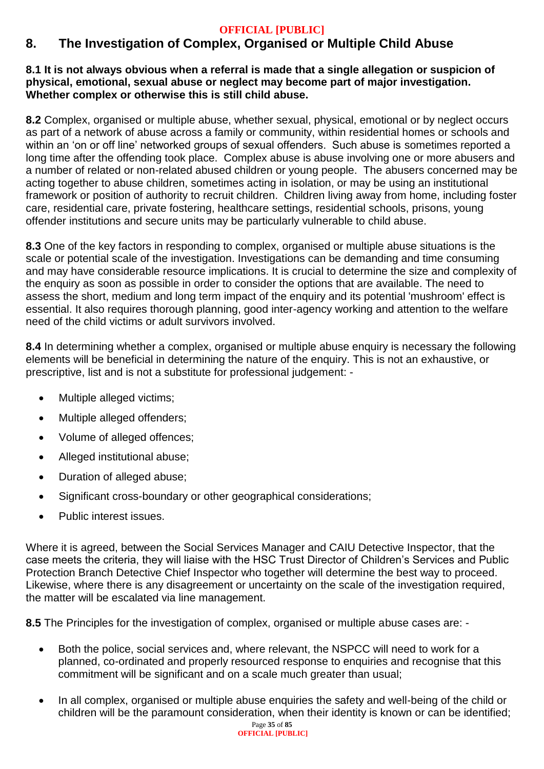# **8. The Investigation of Complex, Organised or Multiple Child Abuse**

#### **8.1 It is not always obvious when a referral is made that a single allegation or suspicion of physical, emotional, sexual abuse or neglect may become part of major investigation. Whether complex or otherwise this is still child abuse.**

**8.2** Complex, organised or multiple abuse, whether sexual, physical, emotional or by neglect occurs as part of a network of abuse across a family or community, within residential homes or schools and within an 'on or off line' networked groups of sexual offenders. Such abuse is sometimes reported a long time after the offending took place. Complex abuse is abuse involving one or more abusers and a number of related or non-related abused children or young people. The abusers concerned may be acting together to abuse children, sometimes acting in isolation, or may be using an institutional framework or position of authority to recruit children. Children living away from home, including foster care, residential care, private fostering, healthcare settings, residential schools, prisons, young offender institutions and secure units may be particularly vulnerable to child abuse.

**8.3** One of the key factors in responding to complex, organised or multiple abuse situations is the scale or potential scale of the investigation. Investigations can be demanding and time consuming and may have considerable resource implications. It is crucial to determine the size and complexity of the enquiry as soon as possible in order to consider the options that are available. The need to assess the short, medium and long term impact of the enquiry and its potential 'mushroom' effect is essential. It also requires thorough planning, good inter-agency working and attention to the welfare need of the child victims or adult survivors involved.

**8.4** In determining whether a complex, organised or multiple abuse enquiry is necessary the following elements will be beneficial in determining the nature of the enquiry. This is not an exhaustive, or prescriptive, list and is not a substitute for professional judgement: -

- Multiple alleged victims;
- Multiple alleged offenders;
- Volume of alleged offences;
- Alleged institutional abuse;
- Duration of alleged abuse;
- Significant cross-boundary or other geographical considerations;
- Public interest issues.

Where it is agreed, between the Social Services Manager and CAIU Detective Inspector, that the case meets the criteria, they will liaise with the HSC Trust Director of Children's Services and Public Protection Branch Detective Chief Inspector who together will determine the best way to proceed. Likewise, where there is any disagreement or uncertainty on the scale of the investigation required, the matter will be escalated via line management.

**8.5** The Principles for the investigation of complex, organised or multiple abuse cases are: -

- Both the police, social services and, where relevant, the NSPCC will need to work for a planned, co-ordinated and properly resourced response to enquiries and recognise that this commitment will be significant and on a scale much greater than usual;
- In all complex, organised or multiple abuse enquiries the safety and well-being of the child or children will be the paramount consideration, when their identity is known or can be identified;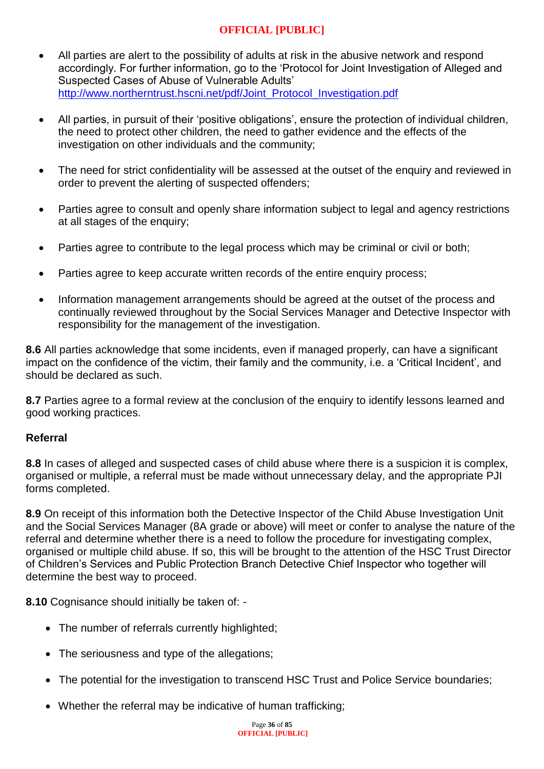- All parties are alert to the possibility of adults at risk in the abusive network and respond accordingly. For further information, go to the 'Protocol for Joint Investigation of Alleged and Suspected Cases of Abuse of Vulnerable Adults' [http://www.northerntrust.hscni.net/pdf/Joint\\_Protocol\\_Investigation.pdf](http://www.northerntrust.hscni.net/pdf/Joint_Protocol_Investigation.pdf)
- All parties, in pursuit of their 'positive obligations', ensure the protection of individual children, the need to protect other children, the need to gather evidence and the effects of the investigation on other individuals and the community;
- The need for strict confidentiality will be assessed at the outset of the enquiry and reviewed in order to prevent the alerting of suspected offenders;
- Parties agree to consult and openly share information subject to legal and agency restrictions at all stages of the enquiry;
- Parties agree to contribute to the legal process which may be criminal or civil or both;
- Parties agree to keep accurate written records of the entire enquiry process;
- Information management arrangements should be agreed at the outset of the process and continually reviewed throughout by the Social Services Manager and Detective Inspector with responsibility for the management of the investigation.

**8.6** All parties acknowledge that some incidents, even if managed properly, can have a significant impact on the confidence of the victim, their family and the community, i.e. a 'Critical Incident', and should be declared as such.

**8.7** Parties agree to a formal review at the conclusion of the enquiry to identify lessons learned and good working practices.

#### **Referral**

**8.8** In cases of alleged and suspected cases of child abuse where there is a suspicion it is complex, organised or multiple, a referral must be made without unnecessary delay, and the appropriate PJI forms completed.

**8.9** On receipt of this information both the Detective Inspector of the Child Abuse Investigation Unit and the Social Services Manager (8A grade or above) will meet or confer to analyse the nature of the referral and determine whether there is a need to follow the procedure for investigating complex, organised or multiple child abuse. If so, this will be brought to the attention of the HSC Trust Director of Children's Services and Public Protection Branch Detective Chief Inspector who together will determine the best way to proceed.

**8.10** Cognisance should initially be taken of: -

- The number of referrals currently highlighted;
- The seriousness and type of the allegations;
- The potential for the investigation to transcend HSC Trust and Police Service boundaries:
- Whether the referral may be indicative of human trafficking;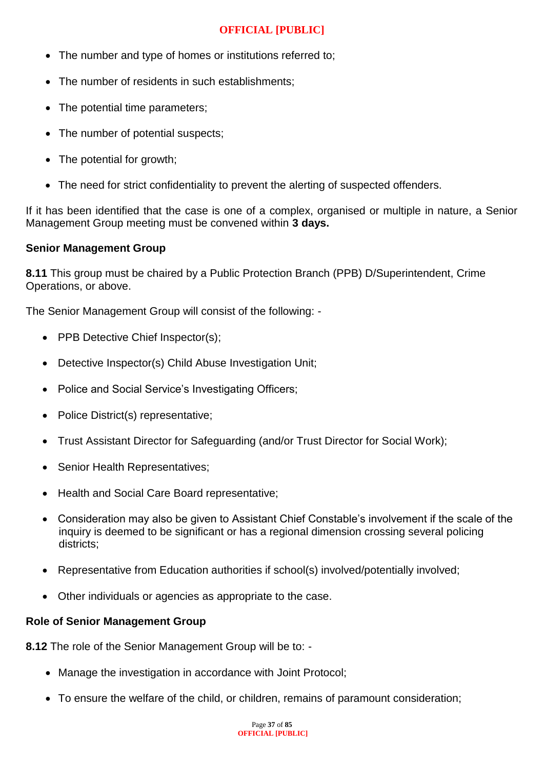- The number and type of homes or institutions referred to;
- The number of residents in such establishments;
- The potential time parameters:
- The number of potential suspects:
- The potential for growth;
- The need for strict confidentiality to prevent the alerting of suspected offenders.

If it has been identified that the case is one of a complex, organised or multiple in nature, a Senior Management Group meeting must be convened within **3 days.**

#### **Senior Management Group**

**8.11** This group must be chaired by a Public Protection Branch (PPB) D/Superintendent, Crime Operations, or above.

The Senior Management Group will consist of the following: -

- PPB Detective Chief Inspector(s);
- Detective Inspector(s) Child Abuse Investigation Unit;
- Police and Social Service's Investigating Officers;
- Police District(s) representative;
- Trust Assistant Director for Safeguarding (and/or Trust Director for Social Work);
- Senior Health Representatives;
- Health and Social Care Board representative;
- Consideration may also be given to Assistant Chief Constable's involvement if the scale of the inquiry is deemed to be significant or has a regional dimension crossing several policing districts;
- Representative from Education authorities if school(s) involved/potentially involved;
- Other individuals or agencies as appropriate to the case.

#### **Role of Senior Management Group**

**8.12** The role of the Senior Management Group will be to: -

- Manage the investigation in accordance with Joint Protocol;
- To ensure the welfare of the child, or children, remains of paramount consideration;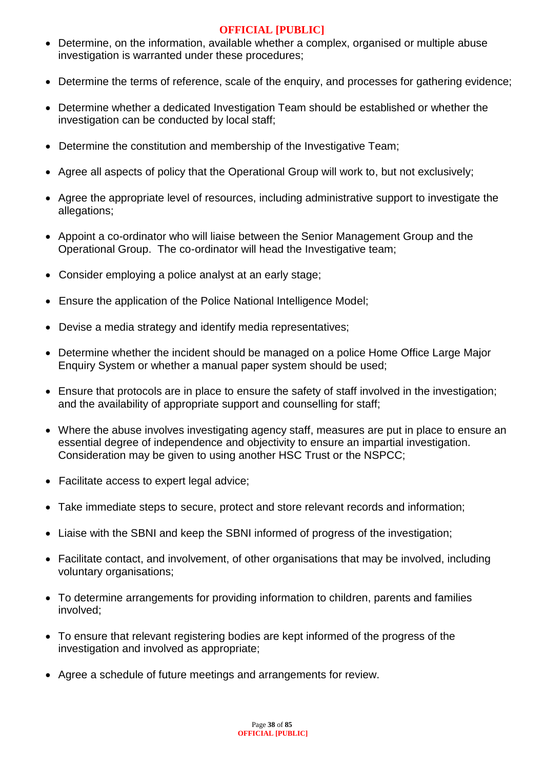- Determine, on the information, available whether a complex, organised or multiple abuse investigation is warranted under these procedures;
- Determine the terms of reference, scale of the enquiry, and processes for gathering evidence;
- Determine whether a dedicated Investigation Team should be established or whether the investigation can be conducted by local staff;
- Determine the constitution and membership of the Investigative Team;
- Agree all aspects of policy that the Operational Group will work to, but not exclusively;
- Agree the appropriate level of resources, including administrative support to investigate the allegations;
- Appoint a co-ordinator who will liaise between the Senior Management Group and the Operational Group. The co-ordinator will head the Investigative team;
- Consider employing a police analyst at an early stage;
- Ensure the application of the Police National Intelligence Model;
- Devise a media strategy and identify media representatives;
- Determine whether the incident should be managed on a police Home Office Large Major Enquiry System or whether a manual paper system should be used;
- Ensure that protocols are in place to ensure the safety of staff involved in the investigation; and the availability of appropriate support and counselling for staff;
- Where the abuse involves investigating agency staff, measures are put in place to ensure an essential degree of independence and objectivity to ensure an impartial investigation. Consideration may be given to using another HSC Trust or the NSPCC;
- Facilitate access to expert legal advice;
- Take immediate steps to secure, protect and store relevant records and information;
- Liaise with the SBNI and keep the SBNI informed of progress of the investigation;
- Facilitate contact, and involvement, of other organisations that may be involved, including voluntary organisations;
- To determine arrangements for providing information to children, parents and families involved;
- To ensure that relevant registering bodies are kept informed of the progress of the investigation and involved as appropriate;
- Agree a schedule of future meetings and arrangements for review.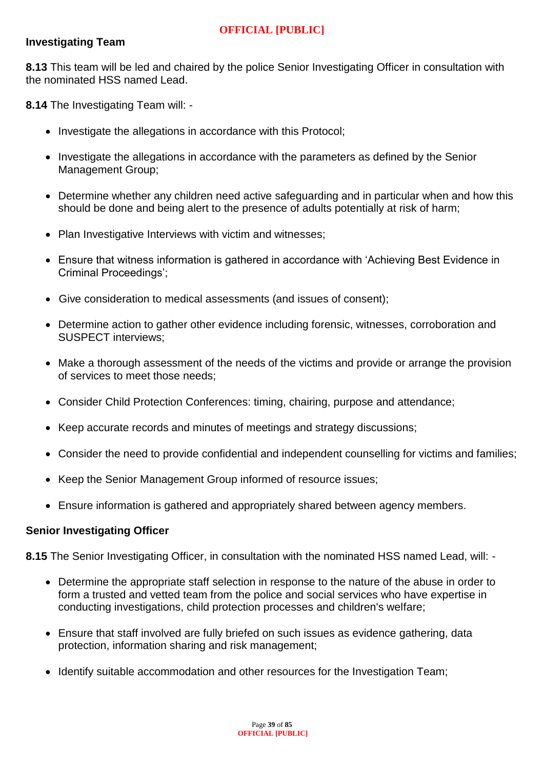# **Investigating Team**

**8.13** This team will be led and chaired by the police Senior Investigating Officer in consultation with the nominated HSS named Lead.

**8.14** The Investigating Team will: -

- Investigate the allegations in accordance with this Protocol;
- Investigate the allegations in accordance with the parameters as defined by the Senior Management Group;
- Determine whether any children need active safeguarding and in particular when and how this should be done and being alert to the presence of adults potentially at risk of harm;
- Plan Investigative Interviews with victim and witnesses;
- Ensure that witness information is gathered in accordance with 'Achieving Best Evidence in Criminal Proceedings';
- Give consideration to medical assessments (and issues of consent);
- Determine action to gather other evidence including forensic, witnesses, corroboration and SUSPECT interviews;
- Make a thorough assessment of the needs of the victims and provide or arrange the provision of services to meet those needs;
- Consider Child Protection Conferences: timing, chairing, purpose and attendance;
- Keep accurate records and minutes of meetings and strategy discussions:
- Consider the need to provide confidential and independent counselling for victims and families;
- Keep the Senior Management Group informed of resource issues;
- Ensure information is gathered and appropriately shared between agency members.

#### **Senior Investigating Officer**

**8.15** The Senior Investigating Officer, in consultation with the nominated HSS named Lead, will: -

- Determine the appropriate staff selection in response to the nature of the abuse in order to form a trusted and vetted team from the police and social services who have expertise in conducting investigations, child protection processes and children's welfare;
- Ensure that staff involved are fully briefed on such issues as evidence gathering, data protection, information sharing and risk management;
- Identify suitable accommodation and other resources for the Investigation Team;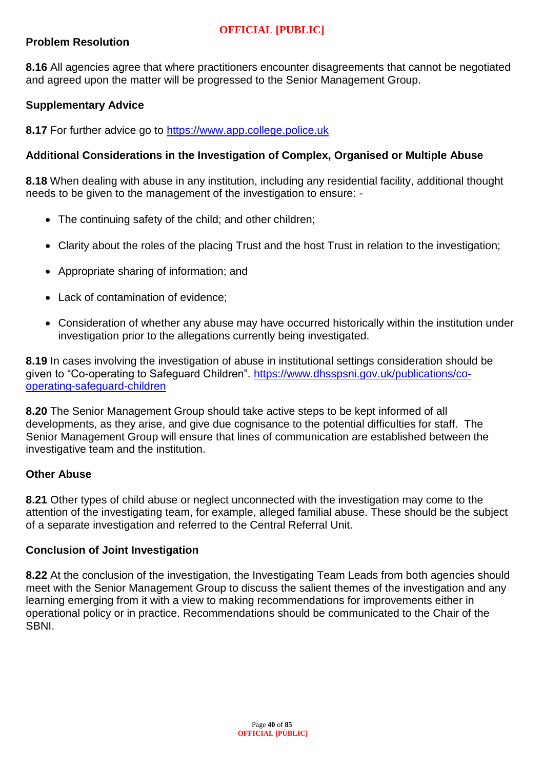## **Problem Resolution**

**8.16** All agencies agree that where practitioners encounter disagreements that cannot be negotiated and agreed upon the matter will be progressed to the Senior Management Group.

# **Supplementary Advice**

**8.17** For further advice go to [https://www.app.college.police.uk](https://www.app.college.police.uk/)

## **Additional Considerations in the Investigation of Complex, Organised or Multiple Abuse**

**8.18** When dealing with abuse in any institution, including any residential facility, additional thought needs to be given to the management of the investigation to ensure: -

- The continuing safety of the child; and other children;
- Clarity about the roles of the placing Trust and the host Trust in relation to the investigation;
- Appropriate sharing of information; and
- Lack of contamination of evidence;
- Consideration of whether any abuse may have occurred historically within the institution under investigation prior to the allegations currently being investigated.

**8.19** In cases involving the investigation of abuse in institutional settings consideration should be given to "Co-operating to Safeguard Children". [https://www.dhsspsni.gov.uk/publications/co](https://www.dhsspsni.gov.uk/publications/co-operating-safeguard-children)[operating-safeguard-children](https://www.dhsspsni.gov.uk/publications/co-operating-safeguard-children)

**8.20** The Senior Management Group should take active steps to be kept informed of all developments, as they arise, and give due cognisance to the potential difficulties for staff. The Senior Management Group will ensure that lines of communication are established between the investigative team and the institution.

#### **Other Abuse**

**8.21** Other types of child abuse or neglect unconnected with the investigation may come to the attention of the investigating team, for example, alleged familial abuse. These should be the subject of a separate investigation and referred to the Central Referral Unit.

#### **Conclusion of Joint Investigation**

**8.22** At the conclusion of the investigation, the Investigating Team Leads from both agencies should meet with the Senior Management Group to discuss the salient themes of the investigation and any learning emerging from it with a view to making recommendations for improvements either in operational policy or in practice. Recommendations should be communicated to the Chair of the **SBNI**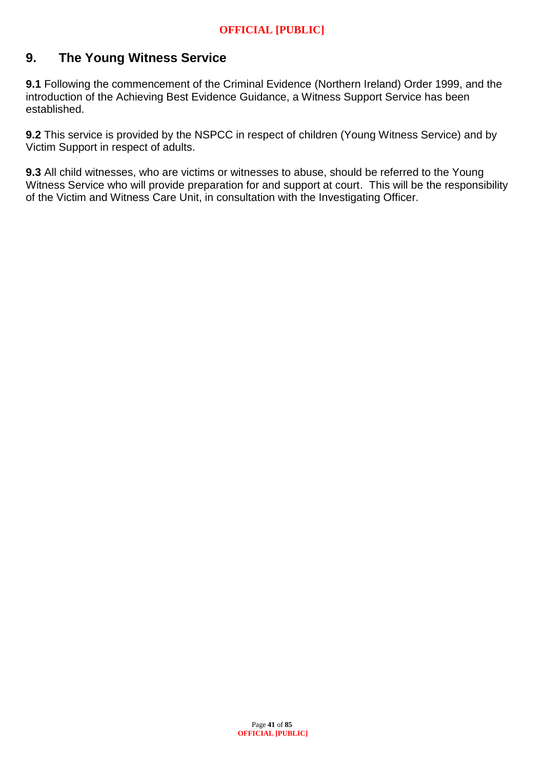# **9. The Young Witness Service**

**9.1** Following the commencement of the Criminal Evidence (Northern Ireland) Order 1999, and the introduction of the Achieving Best Evidence Guidance, a Witness Support Service has been established.

**9.2** This service is provided by the NSPCC in respect of children (Young Witness Service) and by Victim Support in respect of adults.

**9.3** All child witnesses, who are victims or witnesses to abuse, should be referred to the Young Witness Service who will provide preparation for and support at court. This will be the responsibility of the Victim and Witness Care Unit, in consultation with the Investigating Officer.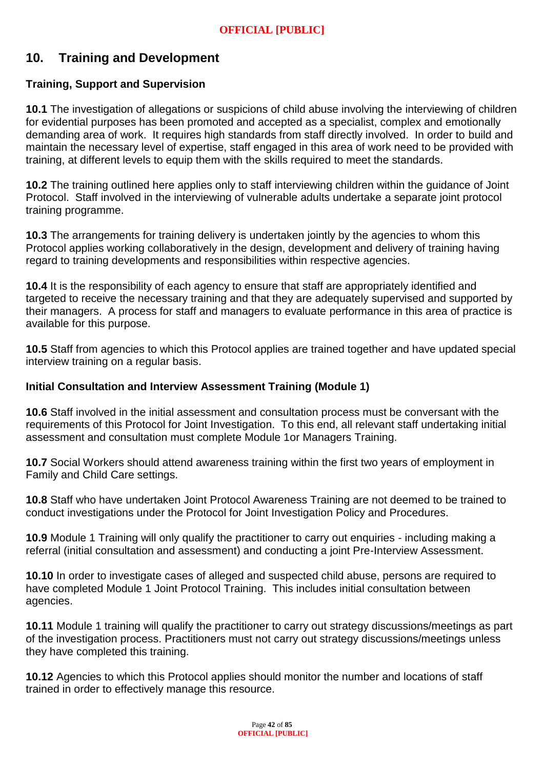# **10. Training and Development**

# **Training, Support and Supervision**

**10.1** The investigation of allegations or suspicions of child abuse involving the interviewing of children for evidential purposes has been promoted and accepted as a specialist, complex and emotionally demanding area of work. It requires high standards from staff directly involved. In order to build and maintain the necessary level of expertise, staff engaged in this area of work need to be provided with training, at different levels to equip them with the skills required to meet the standards.

**10.2** The training outlined here applies only to staff interviewing children within the guidance of Joint Protocol. Staff involved in the interviewing of vulnerable adults undertake a separate joint protocol training programme.

**10.3** The arrangements for training delivery is undertaken jointly by the agencies to whom this Protocol applies working collaboratively in the design, development and delivery of training having regard to training developments and responsibilities within respective agencies.

**10.4** It is the responsibility of each agency to ensure that staff are appropriately identified and targeted to receive the necessary training and that they are adequately supervised and supported by their managers. A process for staff and managers to evaluate performance in this area of practice is available for this purpose.

**10.5** Staff from agencies to which this Protocol applies are trained together and have updated special interview training on a regular basis.

## **Initial Consultation and Interview Assessment Training (Module 1)**

**10.6** Staff involved in the initial assessment and consultation process must be conversant with the requirements of this Protocol for Joint Investigation. To this end, all relevant staff undertaking initial assessment and consultation must complete Module 1or Managers Training.

**10.7** Social Workers should attend awareness training within the first two years of employment in Family and Child Care settings.

**10.8** Staff who have undertaken Joint Protocol Awareness Training are not deemed to be trained to conduct investigations under the Protocol for Joint Investigation Policy and Procedures.

**10.9** Module 1 Training will only qualify the practitioner to carry out enquiries - including making a referral (initial consultation and assessment) and conducting a joint Pre-Interview Assessment.

**10.10** In order to investigate cases of alleged and suspected child abuse, persons are required to have completed Module 1 Joint Protocol Training. This includes initial consultation between agencies.

**10.11** Module 1 training will qualify the practitioner to carry out strategy discussions/meetings as part of the investigation process. Practitioners must not carry out strategy discussions/meetings unless they have completed this training.

**10.12** Agencies to which this Protocol applies should monitor the number and locations of staff trained in order to effectively manage this resource.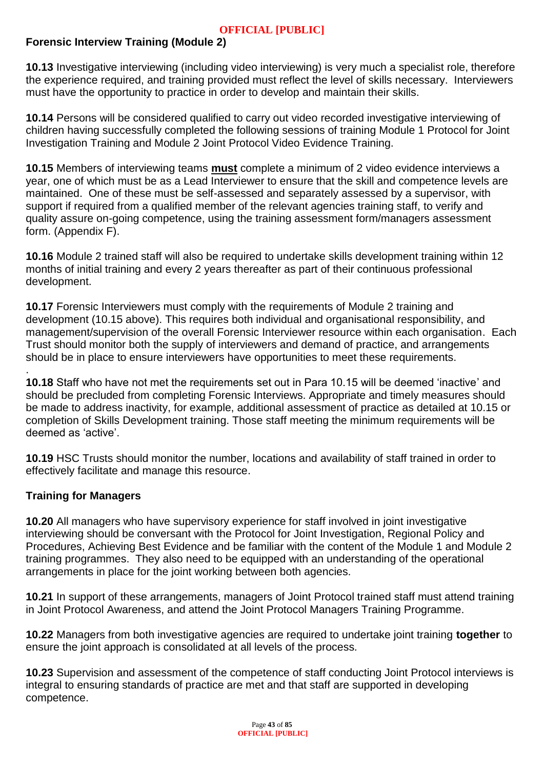# **Forensic Interview Training (Module 2)**

**10.13** Investigative interviewing (including video interviewing) is very much a specialist role, therefore the experience required, and training provided must reflect the level of skills necessary. Interviewers must have the opportunity to practice in order to develop and maintain their skills.

**10.14** Persons will be considered qualified to carry out video recorded investigative interviewing of children having successfully completed the following sessions of training Module 1 Protocol for Joint Investigation Training and Module 2 Joint Protocol Video Evidence Training.

**10.15** Members of interviewing teams **must** complete a minimum of 2 video evidence interviews a year, one of which must be as a Lead Interviewer to ensure that the skill and competence levels are maintained. One of these must be self-assessed and separately assessed by a supervisor, with support if required from a qualified member of the relevant agencies training staff, to verify and quality assure on-going competence, using the training assessment form/managers assessment form. (Appendix F).

**10.16** Module 2 trained staff will also be required to undertake skills development training within 12 months of initial training and every 2 years thereafter as part of their continuous professional development.

**10.17** Forensic Interviewers must comply with the requirements of Module 2 training and development (10.15 above). This requires both individual and organisational responsibility, and management/supervision of the overall Forensic Interviewer resource within each organisation. Each Trust should monitor both the supply of interviewers and demand of practice, and arrangements should be in place to ensure interviewers have opportunities to meet these requirements.

**10.18** Staff who have not met the requirements set out in Para 10.15 will be deemed 'inactive' and should be precluded from completing Forensic Interviews. Appropriate and timely measures should be made to address inactivity, for example, additional assessment of practice as detailed at 10.15 or completion of Skills Development training. Those staff meeting the minimum requirements will be deemed as 'active'.

**10.19** HSC Trusts should monitor the number, locations and availability of staff trained in order to effectively facilitate and manage this resource.

## **Training for Managers**

.

**10.20** All managers who have supervisory experience for staff involved in joint investigative interviewing should be conversant with the Protocol for Joint Investigation, Regional Policy and Procedures, Achieving Best Evidence and be familiar with the content of the Module 1 and Module 2 training programmes. They also need to be equipped with an understanding of the operational arrangements in place for the joint working between both agencies.

**10.21** In support of these arrangements, managers of Joint Protocol trained staff must attend training in Joint Protocol Awareness, and attend the Joint Protocol Managers Training Programme.

**10.22** Managers from both investigative agencies are required to undertake joint training **together** to ensure the joint approach is consolidated at all levels of the process.

**10.23** Supervision and assessment of the competence of staff conducting Joint Protocol interviews is integral to ensuring standards of practice are met and that staff are supported in developing competence.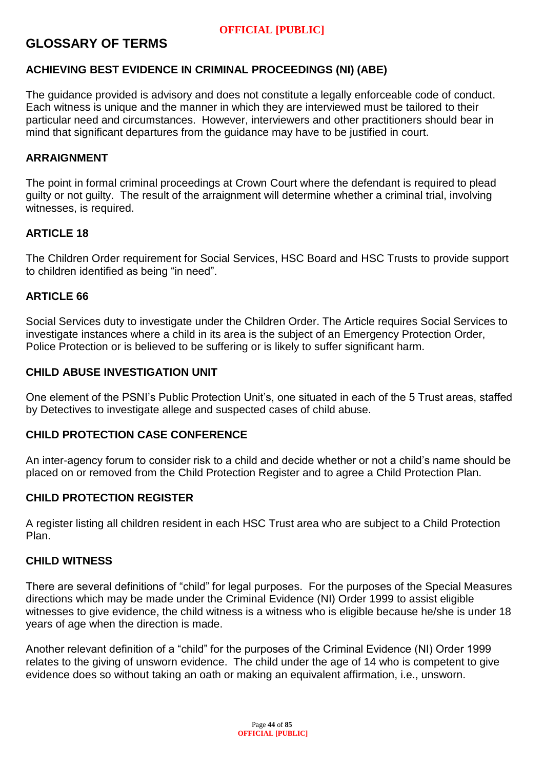# **GLOSSARY OF TERMS**

## **ACHIEVING BEST EVIDENCE IN CRIMINAL PROCEEDINGS (NI) (ABE)**

The guidance provided is advisory and does not constitute a legally enforceable code of conduct. Each witness is unique and the manner in which they are interviewed must be tailored to their particular need and circumstances. However, interviewers and other practitioners should bear in mind that significant departures from the guidance may have to be justified in court.

#### **ARRAIGNMENT**

The point in formal criminal proceedings at Crown Court where the defendant is required to plead guilty or not guilty. The result of the arraignment will determine whether a criminal trial, involving witnesses, is required.

#### **ARTICLE 18**

The Children Order requirement for Social Services, HSC Board and HSC Trusts to provide support to children identified as being "in need".

#### **ARTICLE 66**

Social Services duty to investigate under the Children Order. The Article requires Social Services to investigate instances where a child in its area is the subject of an Emergency Protection Order, Police Protection or is believed to be suffering or is likely to suffer significant harm.

#### **CHILD ABUSE INVESTIGATION UNIT**

One element of the PSNI's Public Protection Unit's, one situated in each of the 5 Trust areas, staffed by Detectives to investigate allege and suspected cases of child abuse.

#### **CHILD PROTECTION CASE CONFERENCE**

An inter-agency forum to consider risk to a child and decide whether or not a child's name should be placed on or removed from the Child Protection Register and to agree a Child Protection Plan.

#### **CHILD PROTECTION REGISTER**

A register listing all children resident in each HSC Trust area who are subject to a Child Protection Plan.

#### **CHILD WITNESS**

There are several definitions of "child" for legal purposes. For the purposes of the Special Measures directions which may be made under the Criminal Evidence (NI) Order 1999 to assist eligible witnesses to give evidence, the child witness is a witness who is eligible because he/she is under 18 years of age when the direction is made.

Another relevant definition of a "child" for the purposes of the Criminal Evidence (NI) Order 1999 relates to the giving of unsworn evidence. The child under the age of 14 who is competent to give evidence does so without taking an oath or making an equivalent affirmation, i.e., unsworn.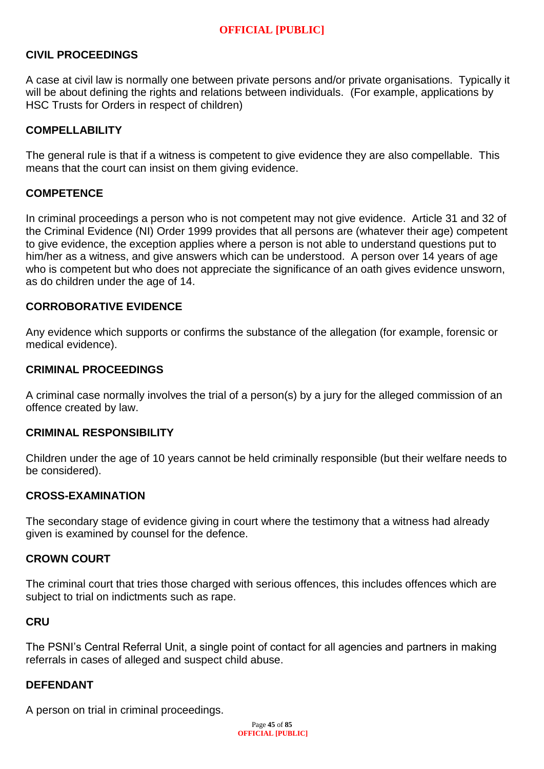## **CIVIL PROCEEDINGS**

A case at civil law is normally one between private persons and/or private organisations. Typically it will be about defining the rights and relations between individuals. (For example, applications by HSC Trusts for Orders in respect of children)

## **COMPELLABILITY**

The general rule is that if a witness is competent to give evidence they are also compellable. This means that the court can insist on them giving evidence.

#### **COMPETENCE**

In criminal proceedings a person who is not competent may not give evidence. Article 31 and 32 of the Criminal Evidence (NI) Order 1999 provides that all persons are (whatever their age) competent to give evidence, the exception applies where a person is not able to understand questions put to him/her as a witness, and give answers which can be understood. A person over 14 years of age who is competent but who does not appreciate the significance of an oath gives evidence unsworn, as do children under the age of 14.

#### **CORROBORATIVE EVIDENCE**

Any evidence which supports or confirms the substance of the allegation (for example, forensic or medical evidence).

#### **CRIMINAL PROCEEDINGS**

A criminal case normally involves the trial of a person(s) by a jury for the alleged commission of an offence created by law.

#### **CRIMINAL RESPONSIBILITY**

Children under the age of 10 years cannot be held criminally responsible (but their welfare needs to be considered).

#### **CROSS-EXAMINATION**

The secondary stage of evidence giving in court where the testimony that a witness had already given is examined by counsel for the defence.

#### **CROWN COURT**

The criminal court that tries those charged with serious offences, this includes offences which are subject to trial on indictments such as rape.

#### **CRU**

The PSNI's Central Referral Unit, a single point of contact for all agencies and partners in making referrals in cases of alleged and suspect child abuse.

#### **DEFENDANT**

A person on trial in criminal proceedings.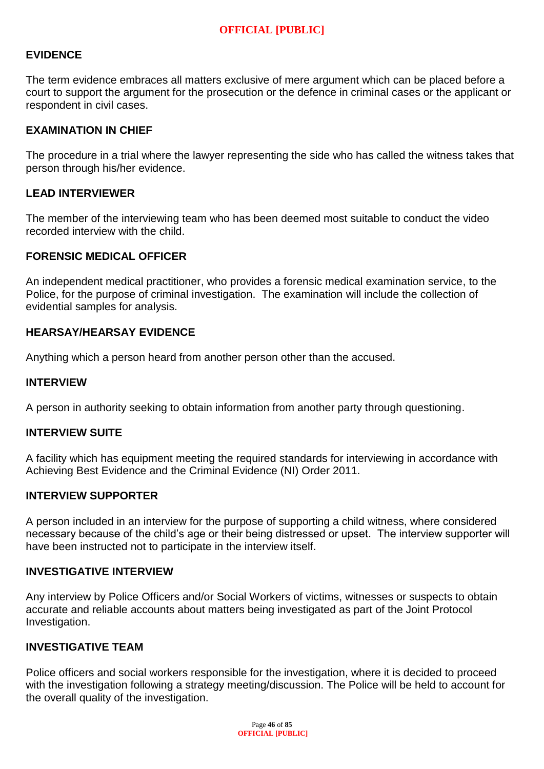### **EVIDENCE**

The term evidence embraces all matters exclusive of mere argument which can be placed before a court to support the argument for the prosecution or the defence in criminal cases or the applicant or respondent in civil cases.

#### **EXAMINATION IN CHIEF**

The procedure in a trial where the lawyer representing the side who has called the witness takes that person through his/her evidence.

#### **LEAD INTERVIEWER**

The member of the interviewing team who has been deemed most suitable to conduct the video recorded interview with the child.

#### **FORENSIC MEDICAL OFFICER**

An independent medical practitioner, who provides a forensic medical examination service, to the Police, for the purpose of criminal investigation. The examination will include the collection of evidential samples for analysis.

#### **HEARSAY/HEARSAY EVIDENCE**

Anything which a person heard from another person other than the accused.

#### **INTERVIEW**

A person in authority seeking to obtain information from another party through questioning.

#### **INTERVIEW SUITE**

A facility which has equipment meeting the required standards for interviewing in accordance with Achieving Best Evidence and the Criminal Evidence (NI) Order 2011.

#### **INTERVIEW SUPPORTER**

A person included in an interview for the purpose of supporting a child witness, where considered necessary because of the child's age or their being distressed or upset. The interview supporter will have been instructed not to participate in the interview itself.

#### **INVESTIGATIVE INTERVIEW**

Any interview by Police Officers and/or Social Workers of victims, witnesses or suspects to obtain accurate and reliable accounts about matters being investigated as part of the Joint Protocol Investigation.

#### **INVESTIGATIVE TEAM**

Police officers and social workers responsible for the investigation, where it is decided to proceed with the investigation following a strategy meeting/discussion. The Police will be held to account for the overall quality of the investigation.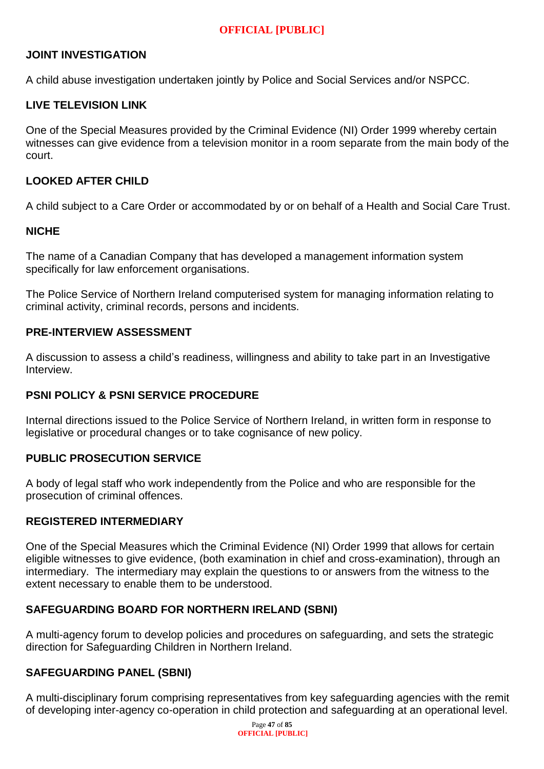## **JOINT INVESTIGATION**

A child abuse investigation undertaken jointly by Police and Social Services and/or NSPCC.

## **LIVE TELEVISION LINK**

One of the Special Measures provided by the Criminal Evidence (NI) Order 1999 whereby certain witnesses can give evidence from a television monitor in a room separate from the main body of the court.

## **LOOKED AFTER CHILD**

A child subject to a Care Order or accommodated by or on behalf of a Health and Social Care Trust.

#### **NICHE**

The name of a Canadian Company that has developed a management information system specifically for law enforcement organisations.

The Police Service of Northern Ireland computerised system for managing information relating to criminal activity, criminal records, persons and incidents.

#### **PRE-INTERVIEW ASSESSMENT**

A discussion to assess a child's readiness, willingness and ability to take part in an Investigative Interview.

#### **PSNI POLICY & PSNI SERVICE PROCEDURE**

Internal directions issued to the Police Service of Northern Ireland, in written form in response to legislative or procedural changes or to take cognisance of new policy.

#### **PUBLIC PROSECUTION SERVICE**

A body of legal staff who work independently from the Police and who are responsible for the prosecution of criminal offences.

#### **REGISTERED INTERMEDIARY**

One of the Special Measures which the Criminal Evidence (NI) Order 1999 that allows for certain eligible witnesses to give evidence, (both examination in chief and cross-examination), through an intermediary. The intermediary may explain the questions to or answers from the witness to the extent necessary to enable them to be understood.

#### **SAFEGUARDING BOARD FOR NORTHERN IRELAND (SBNI)**

A multi-agency forum to develop policies and procedures on safeguarding, and sets the strategic direction for Safeguarding Children in Northern Ireland.

#### **SAFEGUARDING PANEL (SBNI)**

A multi-disciplinary forum comprising representatives from key safeguarding agencies with the remit of developing inter-agency co-operation in child protection and safeguarding at an operational level.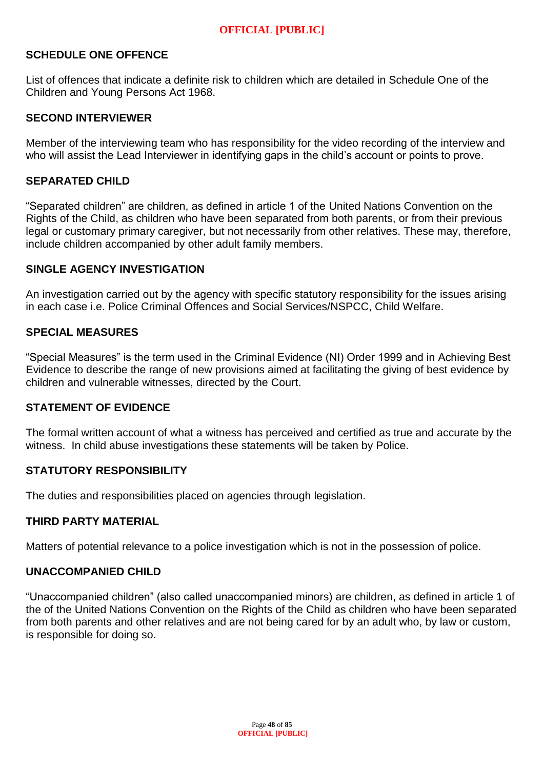#### **SCHEDULE ONE OFFENCE**

List of offences that indicate a definite risk to children which are detailed in Schedule One of the Children and Young Persons Act 1968.

#### **SECOND INTERVIEWER**

Member of the interviewing team who has responsibility for the video recording of the interview and who will assist the Lead Interviewer in identifying gaps in the child's account or points to prove.

#### **SEPARATED CHILD**

"Separated children" are children, as defined in article 1 of the United Nations Convention on the Rights of the Child, as children who have been separated from both parents, or from their previous legal or customary primary caregiver, but not necessarily from other relatives. These may, therefore, include children accompanied by other adult family members.

## **SINGLE AGENCY INVESTIGATION**

An investigation carried out by the agency with specific statutory responsibility for the issues arising in each case i.e. Police Criminal Offences and Social Services/NSPCC, Child Welfare.

#### **SPECIAL MEASURES**

"Special Measures" is the term used in the Criminal Evidence (NI) Order 1999 and in Achieving Best Evidence to describe the range of new provisions aimed at facilitating the giving of best evidence by children and vulnerable witnesses, directed by the Court.

#### **STATEMENT OF EVIDENCE**

The formal written account of what a witness has perceived and certified as true and accurate by the witness. In child abuse investigations these statements will be taken by Police.

#### **STATUTORY RESPONSIBILITY**

The duties and responsibilities placed on agencies through legislation.

#### **THIRD PARTY MATERIAL**

Matters of potential relevance to a police investigation which is not in the possession of police.

#### **UNACCOMPANIED CHILD**

"Unaccompanied children" (also called unaccompanied minors) are children, as defined in article 1 of the of the United Nations Convention on the Rights of the Child as children who have been separated from both parents and other relatives and are not being cared for by an adult who, by law or custom, is responsible for doing so.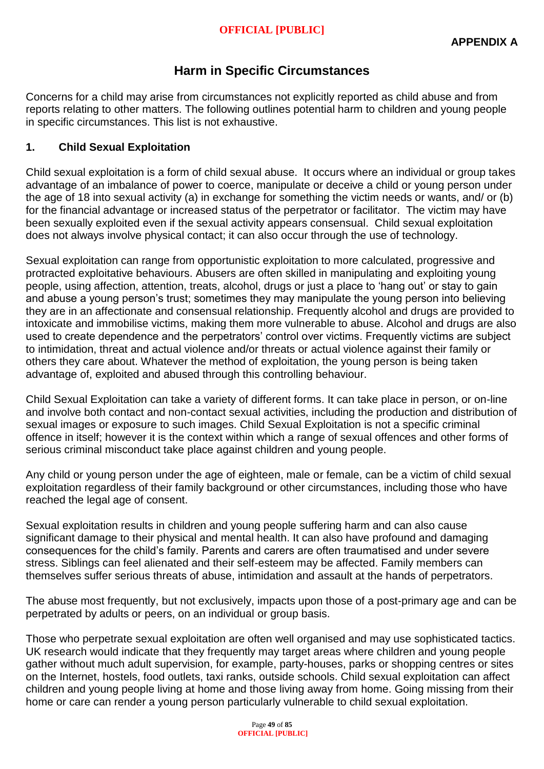# **Harm in Specific Circumstances**

Concerns for a child may arise from circumstances not explicitly reported as child abuse and from reports relating to other matters. The following outlines potential harm to children and young people in specific circumstances. This list is not exhaustive.

## **1. Child Sexual Exploitation**

Child sexual exploitation is a form of child sexual abuse. It occurs where an individual or group takes advantage of an imbalance of power to coerce, manipulate or deceive a child or young person under the age of 18 into sexual activity (a) in exchange for something the victim needs or wants, and/ or (b) for the financial advantage or increased status of the perpetrator or facilitator. The victim may have been sexually exploited even if the sexual activity appears consensual. Child sexual exploitation does not always involve physical contact; it can also occur through the use of technology.

Sexual exploitation can range from opportunistic exploitation to more calculated, progressive and protracted exploitative behaviours. Abusers are often skilled in manipulating and exploiting young people, using affection, attention, treats, alcohol, drugs or just a place to 'hang out' or stay to gain and abuse a young person's trust; sometimes they may manipulate the young person into believing they are in an affectionate and consensual relationship. Frequently alcohol and drugs are provided to intoxicate and immobilise victims, making them more vulnerable to abuse. Alcohol and drugs are also used to create dependence and the perpetrators' control over victims. Frequently victims are subject to intimidation, threat and actual violence and/or threats or actual violence against their family or others they care about. Whatever the method of exploitation, the young person is being taken advantage of, exploited and abused through this controlling behaviour.

Child Sexual Exploitation can take a variety of different forms. It can take place in person, or on-line and involve both contact and non-contact sexual activities, including the production and distribution of sexual images or exposure to such images. Child Sexual Exploitation is not a specific criminal offence in itself; however it is the context within which a range of sexual offences and other forms of serious criminal misconduct take place against children and young people.

Any child or young person under the age of eighteen, male or female, can be a victim of child sexual exploitation regardless of their family background or other circumstances, including those who have reached the legal age of consent.

Sexual exploitation results in children and young people suffering harm and can also cause significant damage to their physical and mental health. It can also have profound and damaging consequences for the child's family. Parents and carers are often traumatised and under severe stress. Siblings can feel alienated and their self-esteem may be affected. Family members can themselves suffer serious threats of abuse, intimidation and assault at the hands of perpetrators.

The abuse most frequently, but not exclusively, impacts upon those of a post-primary age and can be perpetrated by adults or peers, on an individual or group basis.

Those who perpetrate sexual exploitation are often well organised and may use sophisticated tactics. UK research would indicate that they frequently may target areas where children and young people gather without much adult supervision, for example, party-houses, parks or shopping centres or sites on the Internet, hostels, food outlets, taxi ranks, outside schools. Child sexual exploitation can affect children and young people living at home and those living away from home. Going missing from their home or care can render a young person particularly vulnerable to child sexual exploitation.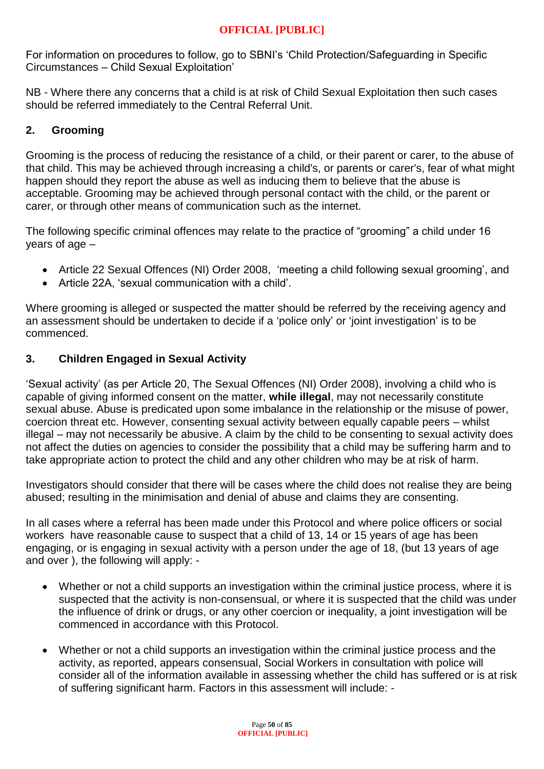For information on procedures to follow, go to SBNI's 'Child Protection/Safeguarding in Specific Circumstances – Child Sexual Exploitation'

NB - Where there any concerns that a child is at risk of Child Sexual Exploitation then such cases should be referred immediately to the Central Referral Unit.

# **2. Grooming**

Grooming is the process of reducing the resistance of a child, or their parent or carer, to the abuse of that child. This may be achieved through increasing a child's, or parents or carer's, fear of what might happen should they report the abuse as well as inducing them to believe that the abuse is acceptable. Grooming may be achieved through personal contact with the child, or the parent or carer, or through other means of communication such as the internet.

The following specific criminal offences may relate to the practice of "grooming" a child under 16 years of age –

- Article 22 Sexual Offences (NI) Order 2008, 'meeting a child following sexual grooming', and
- Article 22A, 'sexual communication with a child'.

Where grooming is alleged or suspected the matter should be referred by the receiving agency and an assessment should be undertaken to decide if a 'police only' or 'joint investigation' is to be commenced.

# **3. Children Engaged in Sexual Activity**

'Sexual activity' (as per Article 20, The Sexual Offences (NI) Order 2008), involving a child who is capable of giving informed consent on the matter, **while illegal**, may not necessarily constitute sexual abuse. Abuse is predicated upon some imbalance in the relationship or the misuse of power, coercion threat etc. However, consenting sexual activity between equally capable peers – whilst illegal – may not necessarily be abusive. A claim by the child to be consenting to sexual activity does not affect the duties on agencies to consider the possibility that a child may be suffering harm and to take appropriate action to protect the child and any other children who may be at risk of harm.

Investigators should consider that there will be cases where the child does not realise they are being abused; resulting in the minimisation and denial of abuse and claims they are consenting.

In all cases where a referral has been made under this Protocol and where police officers or social workers have reasonable cause to suspect that a child of 13, 14 or 15 years of age has been engaging, or is engaging in sexual activity with a person under the age of 18, (but 13 years of age and over ), the following will apply: -

- Whether or not a child supports an investigation within the criminal justice process, where it is suspected that the activity is non-consensual, or where it is suspected that the child was under the influence of drink or drugs, or any other coercion or inequality, a joint investigation will be commenced in accordance with this Protocol.
- Whether or not a child supports an investigation within the criminal justice process and the activity, as reported, appears consensual, Social Workers in consultation with police will consider all of the information available in assessing whether the child has suffered or is at risk of suffering significant harm. Factors in this assessment will include: -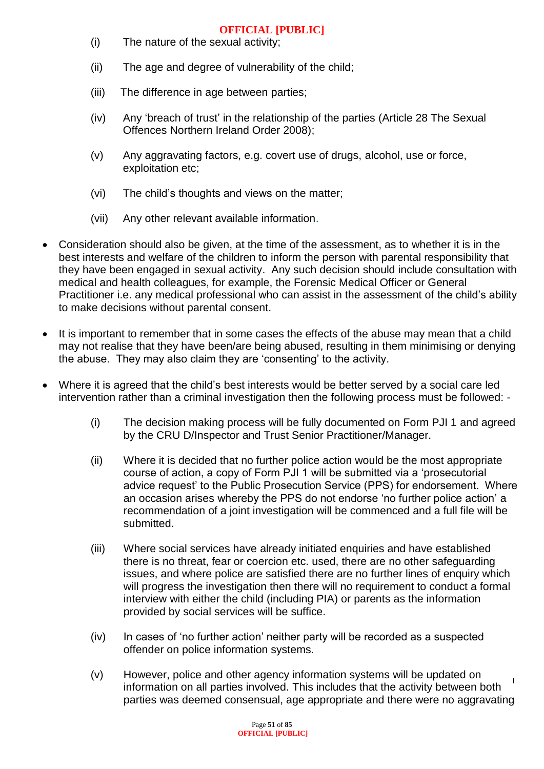- (i) The nature of the sexual activity;
- (ii) The age and degree of vulnerability of the child;
- (iii) The difference in age between parties;
- (iv) Any 'breach of trust' in the relationship of the parties (Article 28 The Sexual Offences Northern Ireland Order 2008);
- (v) Any aggravating factors, e.g. covert use of drugs, alcohol, use or force, exploitation etc;
- (vi) The child's thoughts and views on the matter;
- (vii) Any other relevant available information.
- Consideration should also be given, at the time of the assessment, as to whether it is in the best interests and welfare of the children to inform the person with parental responsibility that they have been engaged in sexual activity. Any such decision should include consultation with medical and health colleagues, for example, the Forensic Medical Officer or General Practitioner i.e. any medical professional who can assist in the assessment of the child's ability to make decisions without parental consent.
- It is important to remember that in some cases the effects of the abuse may mean that a child may not realise that they have been/are being abused, resulting in them minimising or denying the abuse. They may also claim they are 'consenting' to the activity.
- Where it is agreed that the child's best interests would be better served by a social care led intervention rather than a criminal investigation then the following process must be followed: -
	- (i) The decision making process will be fully documented on Form PJI 1 and agreed by the CRU D/Inspector and Trust Senior Practitioner/Manager.
	- (ii) Where it is decided that no further police action would be the most appropriate course of action, a copy of Form PJI 1 will be submitted via a 'prosecutorial advice request' to the Public Prosecution Service (PPS) for endorsement. Where an occasion arises whereby the PPS do not endorse 'no further police action' a recommendation of a joint investigation will be commenced and a full file will be submitted.
	- (iii) Where social services have already initiated enquiries and have established there is no threat, fear or coercion etc. used, there are no other safeguarding issues, and where police are satisfied there are no further lines of enquiry which will progress the investigation then there will no requirement to conduct a formal interview with either the child (including PIA) or parents as the information provided by social services will be suffice.
	- (iv) In cases of 'no further action' neither party will be recorded as a suspected offender on police information systems.
	- (v) However, police and other agency information systems will be updated on information on all parties involved. This includes that the activity between both parties was deemed consensual, age appropriate and there were no aggravating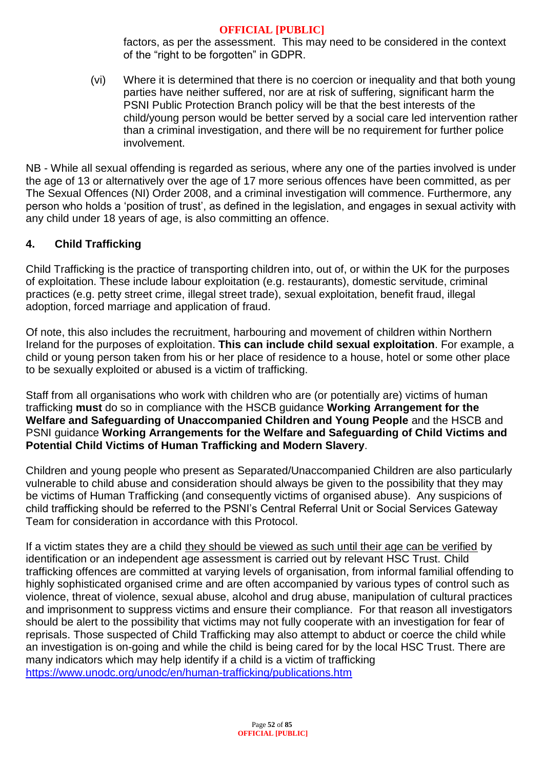factors, as per the assessment. This may need to be considered in the context of the "right to be forgotten" in GDPR.

(vi) Where it is determined that there is no coercion or inequality and that both young parties have neither suffered, nor are at risk of suffering, significant harm the PSNI Public Protection Branch policy will be that the best interests of the child/young person would be better served by a social care led intervention rather than a criminal investigation, and there will be no requirement for further police involvement.

NB - While all sexual offending is regarded as serious, where any one of the parties involved is under the age of 13 or alternatively over the age of 17 more serious offences have been committed, as per The Sexual Offences (NI) Order 2008, and a criminal investigation will commence. Furthermore, any person who holds a 'position of trust', as defined in the legislation, and engages in sexual activity with any child under 18 years of age, is also committing an offence.

# **4. Child Trafficking**

Child Trafficking is the practice of transporting children into, out of, or within the UK for the purposes of exploitation. These include labour exploitation (e.g. restaurants), domestic servitude, criminal practices (e.g. petty street crime, illegal street trade), sexual exploitation, benefit fraud, illegal adoption, forced marriage and application of fraud.

Of note, this also includes the recruitment, harbouring and movement of children within Northern Ireland for the purposes of exploitation. **This can include child sexual exploitation**. For example, a child or young person taken from his or her place of residence to a house, hotel or some other place to be sexually exploited or abused is a victim of trafficking.

Staff from all organisations who work with children who are (or potentially are) victims of human trafficking **must** do so in compliance with the HSCB guidance **Working Arrangement for the Welfare and Safeguarding of Unaccompanied Children and Young People** and the HSCB and PSNI guidance **Working Arrangements for the Welfare and Safeguarding of Child Victims and Potential Child Victims of Human Trafficking and Modern Slavery**.

Children and young people who present as Separated/Unaccompanied Children are also particularly vulnerable to child abuse and consideration should always be given to the possibility that they may be victims of Human Trafficking (and consequently victims of organised abuse). Any suspicions of child trafficking should be referred to the PSNI's Central Referral Unit or Social Services Gateway Team for consideration in accordance with this Protocol.

If a victim states they are a child they should be viewed as such until their age can be verified by identification or an independent age assessment is carried out by relevant HSC Trust. Child trafficking offences are committed at varying levels of organisation, from informal familial offending to highly sophisticated organised crime and are often accompanied by various types of control such as violence, threat of violence, sexual abuse, alcohol and drug abuse, manipulation of cultural practices and imprisonment to suppress victims and ensure their compliance. For that reason all investigators should be alert to the possibility that victims may not fully cooperate with an investigation for fear of reprisals. Those suspected of Child Trafficking may also attempt to abduct or coerce the child while an investigation is on-going and while the child is being cared for by the local HSC Trust. There are many indicators which may help identify if a child is a victim of trafficking <https://www.unodc.org/unodc/en/human-trafficking/publications.htm>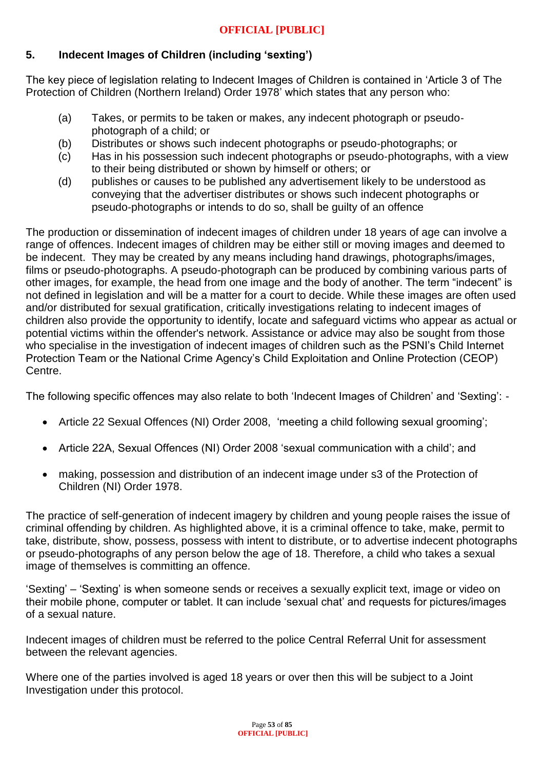## **5. Indecent Images of Children (including 'sexting')**

The key piece of legislation relating to Indecent Images of Children is contained in 'Article 3 of The Protection of Children (Northern Ireland) Order 1978' which states that any person who:

- (a) Takes, or permits to be taken or makes, any indecent photograph or pseudo‐ photograph of a child; or
- (b) Distributes or shows such indecent photographs or pseudo‐photographs; or
- (c) Has in his possession such indecent photographs or pseudo‐photographs, with a view to their being distributed or shown by himself or others; or
- (d) publishes or causes to be published any advertisement likely to be understood as conveying that the advertiser distributes or shows such indecent photographs or pseudo‐photographs or intends to do so, shall be guilty of an offence

The production or dissemination of indecent images of children under 18 years of age can involve a range of offences. Indecent images of children may be either still or moving images and deemed to be indecent. They may be created by any means including hand drawings, photographs/images, films or pseudo-photographs. A pseudo-photograph can be produced by combining various parts of other images, for example, the head from one image and the body of another. The term "indecent" is not defined in legislation and will be a matter for a court to decide. While these images are often used and/or distributed for sexual gratification, critically investigations relating to indecent images of children also provide the opportunity to identify, locate and safeguard victims who appear as actual or potential victims within the offender's network. Assistance or advice may also be sought from those who specialise in the investigation of indecent images of children such as the PSNI's Child Internet Protection Team or the National Crime Agency's Child Exploitation and Online Protection (CEOP) Centre.

The following specific offences may also relate to both 'Indecent Images of Children' and 'Sexting': -

- Article 22 Sexual Offences (NI) Order 2008, 'meeting a child following sexual grooming';
- Article 22A, Sexual Offences (NI) Order 2008 'sexual communication with a child'; and
- making, possession and distribution of an indecent image under s3 of the Protection of Children (NI) Order 1978.

The practice of self-generation of indecent imagery by children and young people raises the issue of criminal offending by children. As highlighted above, it is a criminal offence to take, make, permit to take, distribute, show, possess, possess with intent to distribute, or to advertise indecent photographs or pseudo-photographs of any person below the age of 18. Therefore, a child who takes a sexual image of themselves is committing an offence.

'Sexting' – 'Sexting' is when someone sends or receives a sexually explicit text, image or video on their mobile phone, computer or tablet. It can include 'sexual chat' and requests for pictures/images of a sexual nature.

Indecent images of children must be referred to the police Central Referral Unit for assessment between the relevant agencies.

Where one of the parties involved is aged 18 years or over then this will be subject to a Joint Investigation under this protocol.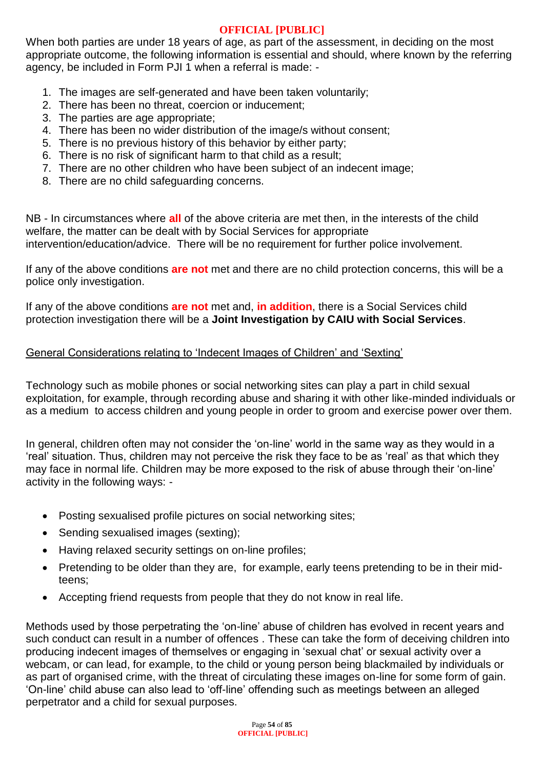When both parties are under 18 years of age, as part of the assessment, in deciding on the most appropriate outcome, the following information is essential and should, where known by the referring agency, be included in Form PJI 1 when a referral is made: -

- 1. The images are self-generated and have been taken voluntarily;
- 2. There has been no threat, coercion or inducement;
- 3. The parties are age appropriate;
- 4. There has been no wider distribution of the image/s without consent;
- 5. There is no previous history of this behavior by either party;
- 6. There is no risk of significant harm to that child as a result;
- 7. There are no other children who have been subject of an indecent image;
- 8. There are no child safeguarding concerns.

NB - In circumstances where **all** of the above criteria are met then, in the interests of the child welfare, the matter can be dealt with by Social Services for appropriate intervention/education/advice. There will be no requirement for further police involvement.

If any of the above conditions **are not** met and there are no child protection concerns, this will be a police only investigation.

If any of the above conditions **are not** met and, **in addition**, there is a Social Services child protection investigation there will be a **Joint Investigation by CAIU with Social Services**.

## General Considerations relating to 'Indecent Images of Children' and 'Sexting'

Technology such as mobile phones or social networking sites can play a part in child sexual exploitation, for example, through recording abuse and sharing it with other like-minded individuals or as a medium to access children and young people in order to groom and exercise power over them.

In general, children often may not consider the 'on-line' world in the same way as they would in a 'real' situation. Thus, children may not perceive the risk they face to be as 'real' as that which they may face in normal life. Children may be more exposed to the risk of abuse through their 'on-line' activity in the following ways: -

- Posting sexualised profile pictures on social networking sites;
- Sending sexualised images (sexting);
- Having relaxed security settings on on-line profiles;
- Pretending to be older than they are, for example, early teens pretending to be in their midteens;
- Accepting friend requests from people that they do not know in real life.

Methods used by those perpetrating the 'on-line' abuse of children has evolved in recent years and such conduct can result in a number of offences . These can take the form of deceiving children into producing indecent images of themselves or engaging in 'sexual chat' or sexual activity over a webcam, or can lead, for example, to the child or young person being blackmailed by individuals or as part of organised crime, with the threat of circulating these images on-line for some form of gain. 'On-line' child abuse can also lead to 'off-line' offending such as meetings between an alleged perpetrator and a child for sexual purposes.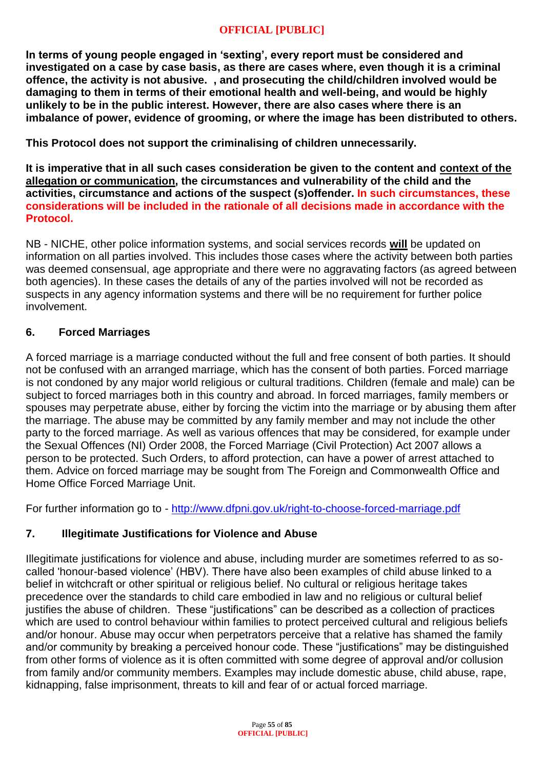**In terms of young people engaged in 'sexting', every report must be considered and investigated on a case by case basis, as there are cases where, even though it is a criminal offence, the activity is not abusive. , and prosecuting the child/children involved would be damaging to them in terms of their emotional health and well-being, and would be highly unlikely to be in the public interest. However, there are also cases where there is an imbalance of power, evidence of grooming, or where the image has been distributed to others.**

**This Protocol does not support the criminalising of children unnecessarily.**

**It is imperative that in all such cases consideration be given to the content and context of the allegation or communication, the circumstances and vulnerability of the child and the activities, circumstance and actions of the suspect (s)offender. In such circumstances, these considerations will be included in the rationale of all decisions made in accordance with the Protocol.** 

NB - NICHE, other police information systems, and social services records **will** be updated on information on all parties involved. This includes those cases where the activity between both parties was deemed consensual, age appropriate and there were no aggravating factors (as agreed between both agencies). In these cases the details of any of the parties involved will not be recorded as suspects in any agency information systems and there will be no requirement for further police involvement.

## **6. Forced Marriages**

A forced marriage is a marriage conducted without the full and free consent of both parties. It should not be confused with an arranged marriage, which has the consent of both parties. Forced marriage is not condoned by any major world religious or cultural traditions. Children (female and male) can be subject to forced marriages both in this country and abroad. In forced marriages, family members or spouses may perpetrate abuse, either by forcing the victim into the marriage or by abusing them after the marriage. The abuse may be committed by any family member and may not include the other party to the forced marriage. As well as various offences that may be considered, for example under the Sexual Offences (NI) Order 2008, the Forced Marriage (Civil Protection) Act 2007 allows a person to be protected. Such Orders, to afford protection, can have a power of arrest attached to them. Advice on forced marriage may be sought from The Foreign and Commonwealth Office and Home Office Forced Marriage Unit.

For further information go to - <http://www.dfpni.gov.uk/right-to-choose-forced-marriage.pdf>

## **7. Illegitimate Justifications for Violence and Abuse**

Illegitimate justifications for violence and abuse, including murder are sometimes referred to as socalled 'honour-based violence' (HBV). There have also been examples of child abuse linked to a belief in witchcraft or other spiritual or religious belief. No cultural or religious heritage takes precedence over the standards to child care embodied in law and no religious or cultural belief justifies the abuse of children. These "justifications" can be described as a collection of practices which are used to control behaviour within families to protect perceived cultural and religious beliefs and/or honour. Abuse may occur when perpetrators perceive that a relative has shamed the family and/or community by breaking a perceived honour code. These "justifications" may be distinguished from other forms of violence as it is often committed with some degree of approval and/or collusion from family and/or community members. Examples may include domestic abuse, child abuse, rape, kidnapping, false imprisonment, threats to kill and fear of or actual forced marriage.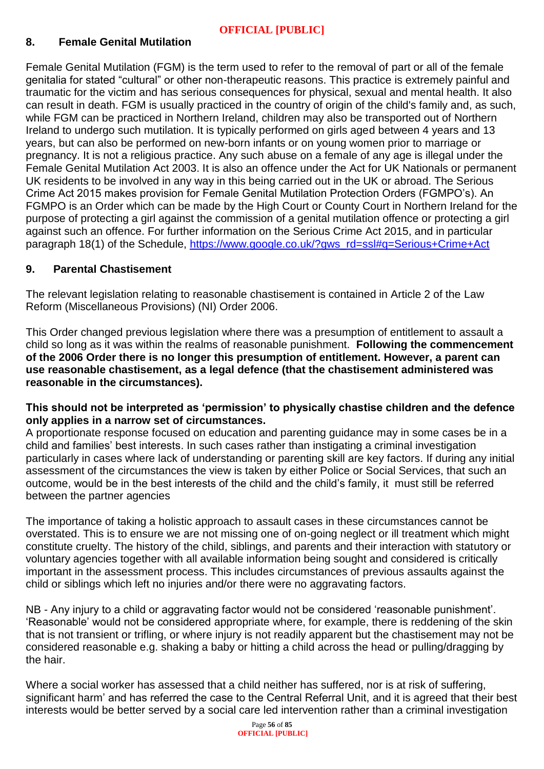# **8. Female Genital Mutilation**

Female Genital Mutilation (FGM) is the term used to refer to the removal of part or all of the female genitalia for stated "cultural" or other non-therapeutic reasons. This practice is extremely painful and traumatic for the victim and has serious consequences for physical, sexual and mental health. It also can result in death. FGM is usually practiced in the country of origin of the child's family and, as such, while FGM can be practiced in Northern Ireland, children may also be transported out of Northern Ireland to undergo such mutilation. It is typically performed on girls aged between 4 years and 13 years, but can also be performed on new-born infants or on young women prior to marriage or pregnancy. It is not a religious practice. Any such abuse on a female of any age is illegal under the Female Genital Mutilation Act 2003. It is also an offence under the Act for UK Nationals or permanent UK residents to be involved in any way in this being carried out in the UK or abroad. The Serious Crime Act 2015 makes provision for Female Genital Mutilation Protection Orders (FGMPO's). An FGMPO is an Order which can be made by the High Court or County Court in Northern Ireland for the purpose of protecting a girl against the commission of a genital mutilation offence or protecting a girl against such an offence. For further information on the Serious Crime Act 2015, and in particular paragraph 18(1) of the Schedule, [https://www.google.co.uk/?gws\\_rd=ssl#q=Serious+Crime+Act](https://www.google.co.uk/?gws_rd=ssl#q=Serious+Crime+Act)

## **9. Parental Chastisement**

The relevant legislation relating to reasonable chastisement is contained in Article 2 of the Law Reform (Miscellaneous Provisions) (NI) Order 2006.

This Order changed previous legislation where there was a presumption of entitlement to assault a child so long as it was within the realms of reasonable punishment. **Following the commencement of the 2006 Order there is no longer this presumption of entitlement. However, a parent can use reasonable chastisement, as a legal defence (that the chastisement administered was reasonable in the circumstances).**

#### **This should not be interpreted as 'permission' to physically chastise children and the defence only applies in a narrow set of circumstances.**

A proportionate response focused on education and parenting guidance may in some cases be in a child and families' best interests. In such cases rather than instigating a criminal investigation particularly in cases where lack of understanding or parenting skill are key factors. If during any initial assessment of the circumstances the view is taken by either Police or Social Services, that such an outcome, would be in the best interests of the child and the child's family, it must still be referred between the partner agencies

The importance of taking a holistic approach to assault cases in these circumstances cannot be overstated. This is to ensure we are not missing one of on-going neglect or ill treatment which might constitute cruelty. The history of the child, siblings, and parents and their interaction with statutory or voluntary agencies together with all available information being sought and considered is critically important in the assessment process. This includes circumstances of previous assaults against the child or siblings which left no injuries and/or there were no aggravating factors.

NB - Any injury to a child or aggravating factor would not be considered 'reasonable punishment'. 'Reasonable' would not be considered appropriate where, for example, there is reddening of the skin that is not transient or trifling, or where injury is not readily apparent but the chastisement may not be considered reasonable e.g. shaking a baby or hitting a child across the head or pulling/dragging by the hair.

Where a social worker has assessed that a child neither has suffered, nor is at risk of suffering, significant harm' and has referred the case to the Central Referral Unit, and it is agreed that their best interests would be better served by a social care led intervention rather than a criminal investigation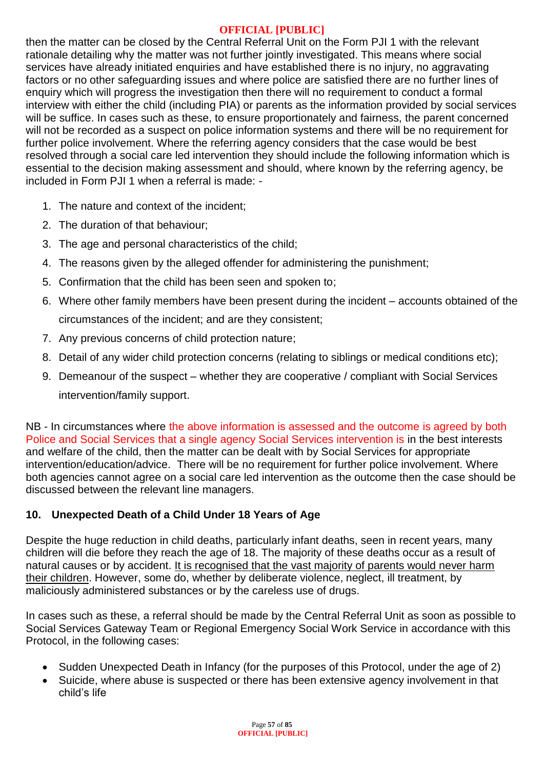then the matter can be closed by the Central Referral Unit on the Form PJI 1 with the relevant rationale detailing why the matter was not further jointly investigated. This means where social services have already initiated enquiries and have established there is no injury, no aggravating factors or no other safeguarding issues and where police are satisfied there are no further lines of enquiry which will progress the investigation then there will no requirement to conduct a formal interview with either the child (including PIA) or parents as the information provided by social services will be suffice. In cases such as these, to ensure proportionately and fairness, the parent concerned will not be recorded as a suspect on police information systems and there will be no requirement for further police involvement. Where the referring agency considers that the case would be best resolved through a social care led intervention they should include the following information which is essential to the decision making assessment and should, where known by the referring agency, be included in Form PJI 1 when a referral is made: -

- 1. The nature and context of the incident;
- 2. The duration of that behaviour;
- 3. The age and personal characteristics of the child;
- 4. The reasons given by the alleged offender for administering the punishment;
- 5. Confirmation that the child has been seen and spoken to;
- 6. Where other family members have been present during the incident accounts obtained of the circumstances of the incident; and are they consistent;
- 7. Any previous concerns of child protection nature;
- 8. Detail of any wider child protection concerns (relating to siblings or medical conditions etc);
- 9. Demeanour of the suspect whether they are cooperative / compliant with Social Services intervention/family support.

NB - In circumstances where the above information is assessed and the outcome is agreed by both Police and Social Services that a single agency Social Services intervention is in the best interests and welfare of the child, then the matter can be dealt with by Social Services for appropriate intervention/education/advice. There will be no requirement for further police involvement. Where both agencies cannot agree on a social care led intervention as the outcome then the case should be discussed between the relevant line managers.

# **10. Unexpected Death of a Child Under 18 Years of Age**

Despite the huge reduction in child deaths, particularly infant deaths, seen in recent years, many children will die before they reach the age of 18. The majority of these deaths occur as a result of natural causes or by accident. It is recognised that the vast majority of parents would never harm their children. However, some do, whether by deliberate violence, neglect, ill treatment, by maliciously administered substances or by the careless use of drugs.

In cases such as these, a referral should be made by the Central Referral Unit as soon as possible to Social Services Gateway Team or Regional Emergency Social Work Service in accordance with this Protocol, in the following cases:

- Sudden Unexpected Death in Infancy (for the purposes of this Protocol, under the age of 2)
- Suicide, where abuse is suspected or there has been extensive agency involvement in that child's life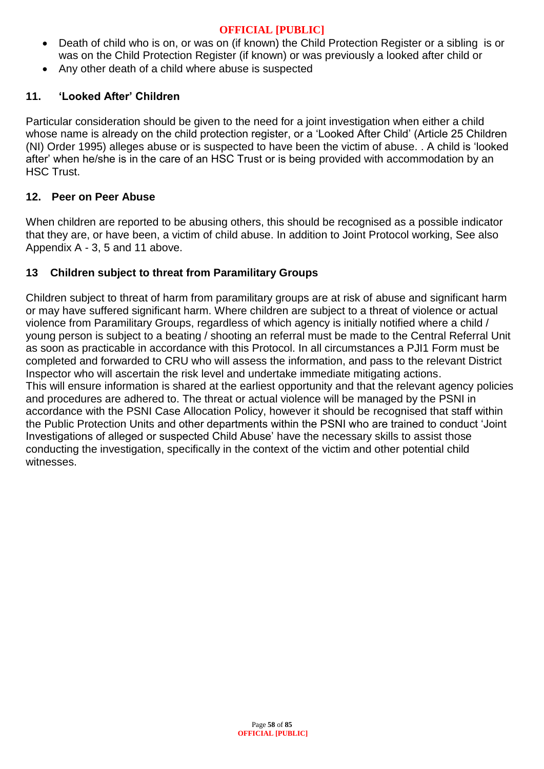- Death of child who is on, or was on (if known) the Child Protection Register or a sibling is or was on the Child Protection Register (if known) or was previously a looked after child or
- Any other death of a child where abuse is suspected

# **11. 'Looked After' Children**

Particular consideration should be given to the need for a joint investigation when either a child whose name is already on the child protection register, or a 'Looked After Child' (Article 25 Children (NI) Order 1995) alleges abuse or is suspected to have been the victim of abuse. . A child is 'looked after' when he/she is in the care of an HSC Trust or is being provided with accommodation by an HSC Trust.

## **12. Peer on Peer Abuse**

When children are reported to be abusing others, this should be recognised as a possible indicator that they are, or have been, a victim of child abuse. In addition to Joint Protocol working, See also Appendix A - 3, 5 and 11 above.

# **13 Children subject to threat from Paramilitary Groups**

Children subject to threat of harm from paramilitary groups are at risk of abuse and significant harm or may have suffered significant harm. Where children are subject to a threat of violence or actual violence from Paramilitary Groups, regardless of which agency is initially notified where a child / young person is subject to a beating / shooting an referral must be made to the Central Referral Unit as soon as practicable in accordance with this Protocol. In all circumstances a PJI1 Form must be completed and forwarded to CRU who will assess the information, and pass to the relevant District Inspector who will ascertain the risk level and undertake immediate mitigating actions. This will ensure information is shared at the earliest opportunity and that the relevant agency policies and procedures are adhered to. The threat or actual violence will be managed by the PSNI in accordance with the PSNI Case Allocation Policy, however it should be recognised that staff within the Public Protection Units and other departments within the PSNI who are trained to conduct 'Joint Investigations of alleged or suspected Child Abuse' have the necessary skills to assist those conducting the investigation, specifically in the context of the victim and other potential child witnesses.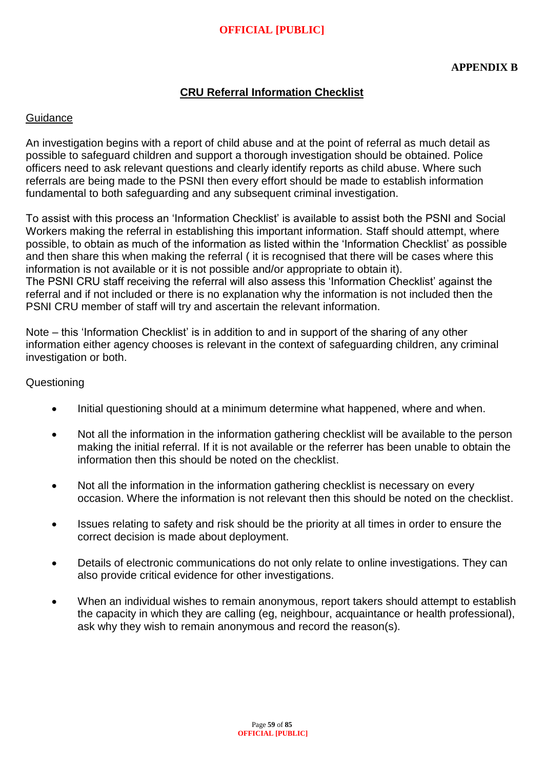# **CRU Referral Information Checklist**

#### **Guidance**

An investigation begins with a report of child abuse and at the point of referral as much detail as possible to safeguard children and support a thorough investigation should be obtained. Police officers need to ask relevant questions and clearly identify reports as child abuse. Where such referrals are being made to the PSNI then every effort should be made to establish information fundamental to both safeguarding and any subsequent criminal investigation.

To assist with this process an 'Information Checklist' is available to assist both the PSNI and Social Workers making the referral in establishing this important information. Staff should attempt, where possible, to obtain as much of the information as listed within the 'Information Checklist' as possible and then share this when making the referral ( it is recognised that there will be cases where this information is not available or it is not possible and/or appropriate to obtain it). The PSNI CRU staff receiving the referral will also assess this 'Information Checklist' against the referral and if not included or there is no explanation why the information is not included then the PSNI CRU member of staff will try and ascertain the relevant information.

Note – this 'Information Checklist' is in addition to and in support of the sharing of any other information either agency chooses is relevant in the context of safeguarding children, any criminal investigation or both.

#### **Questioning**

- Initial questioning should at a minimum determine what happened, where and when.
- Not all the information in the information gathering checklist will be available to the person making the initial referral. If it is not available or the referrer has been unable to obtain the information then this should be noted on the checklist.
- Not all the information in the information gathering checklist is necessary on every occasion. Where the information is not relevant then this should be noted on the checklist.
- Issues relating to safety and risk should be the priority at all times in order to ensure the correct decision is made about deployment.
- Details of electronic communications do not only relate to online investigations. They can also provide critical evidence for other investigations.
- When an individual wishes to remain anonymous, report takers should attempt to establish the capacity in which they are calling (eg, neighbour, acquaintance or health professional), ask why they wish to remain anonymous and record the reason(s).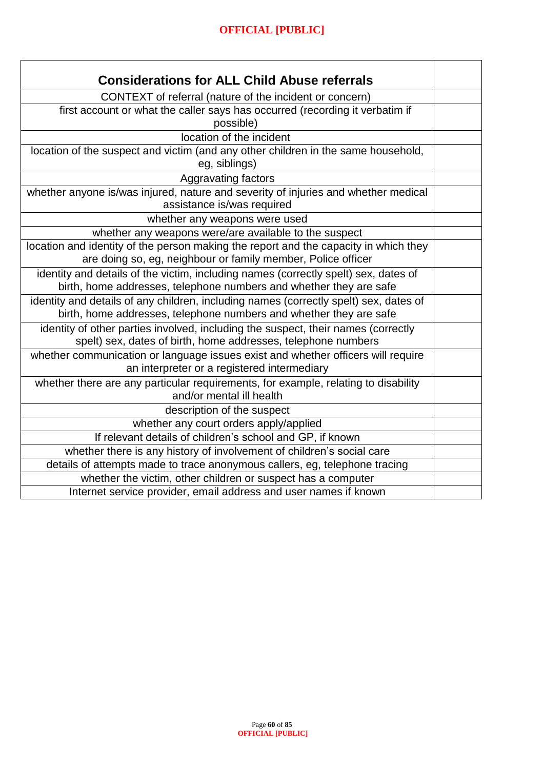| <b>Considerations for ALL Child Abuse referrals</b>                                                                                                         |  |
|-------------------------------------------------------------------------------------------------------------------------------------------------------------|--|
| CONTEXT of referral (nature of the incident or concern)                                                                                                     |  |
| first account or what the caller says has occurred (recording it verbatim if<br>possible)                                                                   |  |
| location of the incident                                                                                                                                    |  |
| location of the suspect and victim (and any other children in the same household,<br>eg, siblings)                                                          |  |
| <b>Aggravating factors</b>                                                                                                                                  |  |
| whether anyone is/was injured, nature and severity of injuries and whether medical<br>assistance is/was required                                            |  |
| whether any weapons were used                                                                                                                               |  |
| whether any weapons were/are available to the suspect                                                                                                       |  |
| location and identity of the person making the report and the capacity in which they<br>are doing so, eg, neighbour or family member, Police officer        |  |
| identity and details of the victim, including names (correctly spelt) sex, dates of<br>birth, home addresses, telephone numbers and whether they are safe   |  |
| identity and details of any children, including names (correctly spelt) sex, dates of<br>birth, home addresses, telephone numbers and whether they are safe |  |
| identity of other parties involved, including the suspect, their names (correctly<br>spelt) sex, dates of birth, home addresses, telephone numbers          |  |
| whether communication or language issues exist and whether officers will require<br>an interpreter or a registered intermediary                             |  |
| whether there are any particular requirements, for example, relating to disability<br>and/or mental ill health                                              |  |
| description of the suspect                                                                                                                                  |  |
| whether any court orders apply/applied                                                                                                                      |  |
| If relevant details of children's school and GP, if known                                                                                                   |  |
| whether there is any history of involvement of children's social care                                                                                       |  |
| details of attempts made to trace anonymous callers, eg, telephone tracing                                                                                  |  |
| whether the victim, other children or suspect has a computer                                                                                                |  |
| Internet service provider, email address and user names if known                                                                                            |  |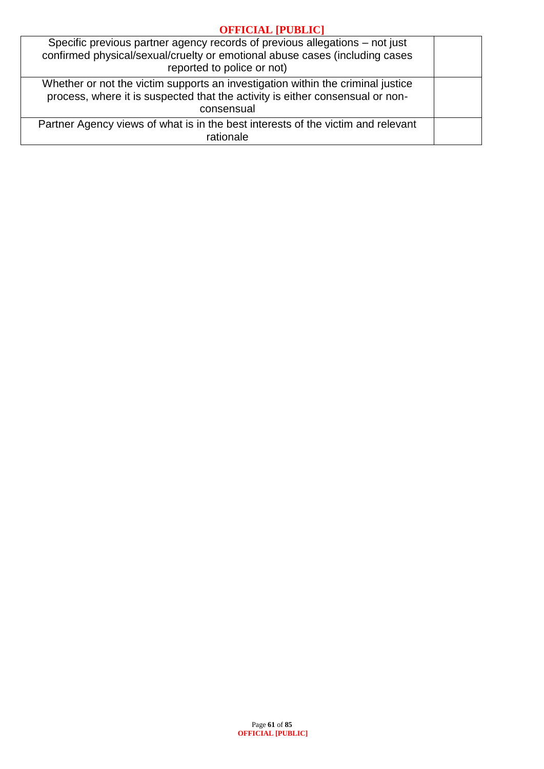| Specific previous partner agency records of previous allegations – not just<br>confirmed physical/sexual/cruelty or emotional abuse cases (including cases<br>reported to police or not) |  |
|------------------------------------------------------------------------------------------------------------------------------------------------------------------------------------------|--|
| Whether or not the victim supports an investigation within the criminal justice<br>process, where it is suspected that the activity is either consensual or non-<br>consensual           |  |
| Partner Agency views of what is in the best interests of the victim and relevant<br>rationale                                                                                            |  |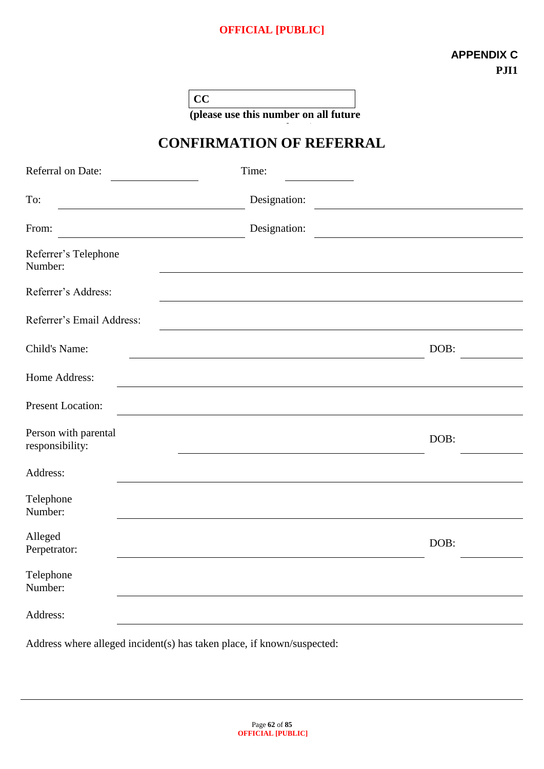**CC** 

**(please use this number on all future correspondence)**

# **CONFIRMATION OF REFERRAL**

| Referral on Date:                       | Time:        |      |
|-----------------------------------------|--------------|------|
| To:                                     | Designation: |      |
| From:                                   | Designation: |      |
| Referrer's Telephone<br>Number:         |              |      |
| Referrer's Address:                     |              |      |
| Referrer's Email Address:               |              |      |
| Child's Name:                           |              | DOB: |
| Home Address:                           |              |      |
| <b>Present Location:</b>                |              |      |
| Person with parental<br>responsibility: |              | DOB: |
| Address:                                |              |      |
| Telephone<br>Number:                    |              |      |
| Alleged<br>Perpetrator:                 |              | DOB: |
| Telephone<br>Number:                    |              |      |
| Address:                                |              |      |

Address where alleged incident(s) has taken place, if known/suspected: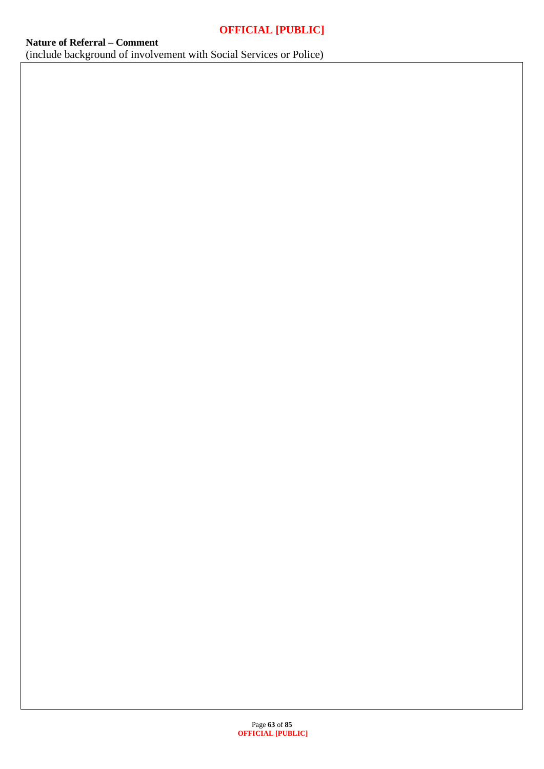Page **63** of **85 OFFICIAL [PUBLIC]**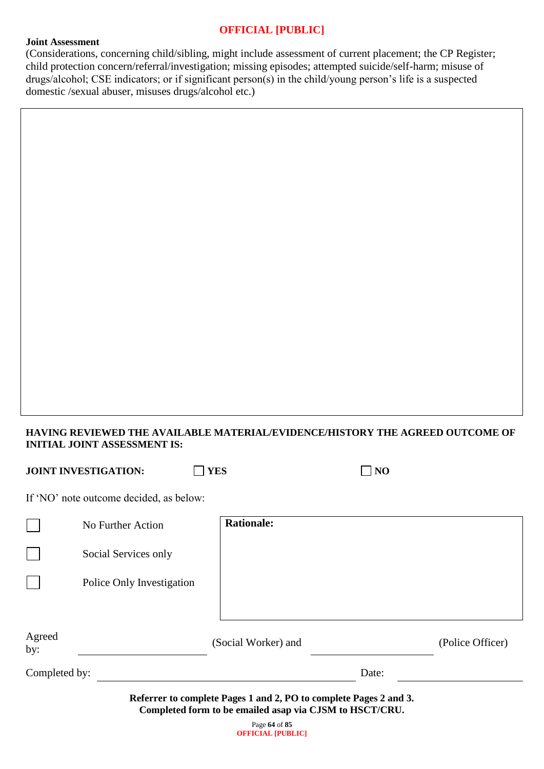#### **Joint Assessment**

(Considerations, concerning child/sibling, might include assessment of current placement; the CP Register; child protection concern/referral/investigation; missing episodes; attempted suicide/self-harm; misuse of drugs/alcohol; CSE indicators; or if significant person(s) in the child/young person's life is a suspected domestic /sexual abuser, misuses drugs/alcohol etc.)

## **HAVING REVIEWED THE AVAILABLE MATERIAL/EVIDENCE/HISTORY THE AGREED OUTCOME OF INITIAL JOINT ASSESSMENT IS:**

|               | <b>JOINT INVESTIGATION:</b>             | <b>YES</b>                                                        | N <sub>O</sub> |                  |
|---------------|-----------------------------------------|-------------------------------------------------------------------|----------------|------------------|
|               | If 'NO' note outcome decided, as below: |                                                                   |                |                  |
|               | No Further Action                       | <b>Rationale:</b>                                                 |                |                  |
|               | Social Services only                    |                                                                   |                |                  |
|               | Police Only Investigation               |                                                                   |                |                  |
|               |                                         |                                                                   |                |                  |
| Agreed<br>by: |                                         | (Social Worker) and                                               |                | (Police Officer) |
| Completed by: |                                         |                                                                   | Date:          |                  |
|               |                                         | Referrer to complete Pages 1 and 2, PO to complete Pages 2 and 3. |                |                  |

**Completed form to be emailed asap via CJSM to HSCT/CRU.**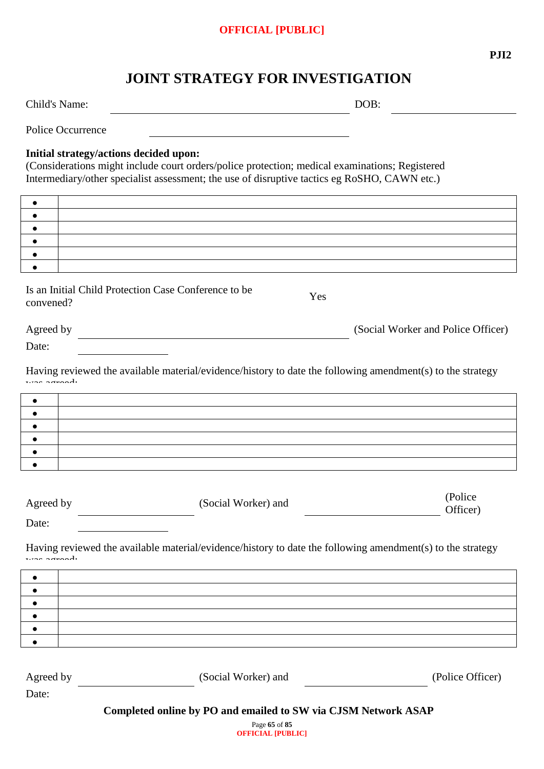**PJI2**

# **JOINT STRATEGY FOR INVESTIGATION**

Child's Name: DOB:

Police Occurrence

#### **Initial strategy/actions decided upon:**

(Considerations might include court orders/police protection; medical examinations; Registered Intermediary/other specialist assessment; the use of disruptive tactics eg RoSHO, CAWN etc.)

| $\bullet$          |                                                                                                            |                                    |
|--------------------|------------------------------------------------------------------------------------------------------------|------------------------------------|
| $\bullet$          |                                                                                                            |                                    |
| ٠                  |                                                                                                            |                                    |
| $\bullet$          |                                                                                                            |                                    |
| $\bullet$          |                                                                                                            |                                    |
|                    |                                                                                                            |                                    |
| convened?          | Is an Initial Child Protection Case Conference to be<br>Yes                                                |                                    |
| Agreed by          |                                                                                                            | (Social Worker and Police Officer) |
| Date:              | <u> 1989 - Johann Barbara, martxa alemaniar amerikan a</u>                                                 |                                    |
| $rras$ agreed.     | Having reviewed the available material/evidence/history to date the following amendment(s) to the strategy |                                    |
| $\bullet$          |                                                                                                            |                                    |
| $\bullet$          |                                                                                                            |                                    |
| $\bullet$          |                                                                                                            |                                    |
| $\bullet$          |                                                                                                            |                                    |
| ٠                  |                                                                                                            |                                    |
| $\bullet$          |                                                                                                            |                                    |
|                    |                                                                                                            |                                    |
| Agreed by          | (Social Worker) and                                                                                        | (Police<br>Officer)                |
| Date:              |                                                                                                            |                                    |
|                    | Having reviewed the available material/evidence/history to date the following amendment(s) to the strategy |                                    |
| $\bullet$          |                                                                                                            |                                    |
| $\bullet$          |                                                                                                            |                                    |
|                    |                                                                                                            |                                    |
| $\bullet$          |                                                                                                            |                                    |
|                    |                                                                                                            |                                    |
|                    |                                                                                                            |                                    |
| Agreed by<br>Date: | (Social Worker) and                                                                                        | (Police Officer)                   |
|                    | Completed online by PO and emailed to SW via CJSM Network ASAP                                             |                                    |

Page **65** of **85 OFFICIAL [PUBLIC]**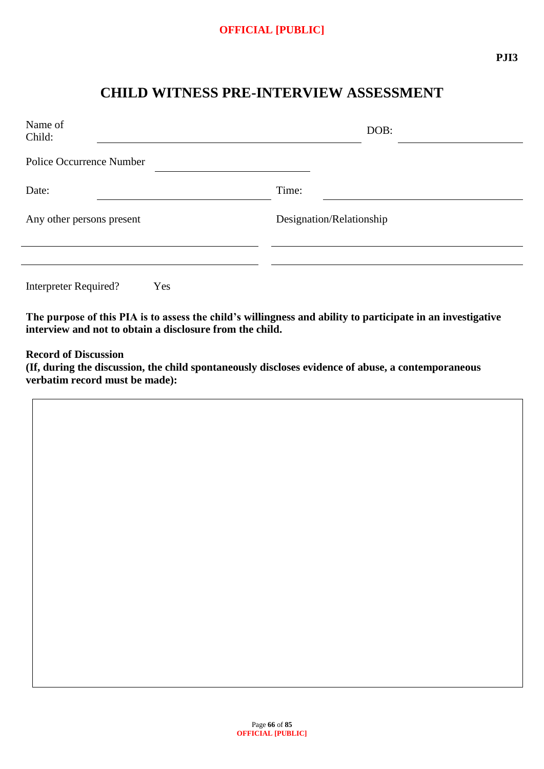# **CHILD WITNESS PRE-INTERVIEW ASSESSMENT**

| Name of<br>Child:               | DOB:                     |
|---------------------------------|--------------------------|
| <b>Police Occurrence Number</b> |                          |
| Date:                           | Time:                    |
| Any other persons present       | Designation/Relationship |
|                                 |                          |
| Interpreter Required?<br>Yes    |                          |

**The purpose of this PIA is to assess the child's willingness and ability to participate in an investigative interview and not to obtain a disclosure from the child.**

**Record of Discussion**

**(If, during the discussion, the child spontaneously discloses evidence of abuse, a contemporaneous verbatim record must be made):**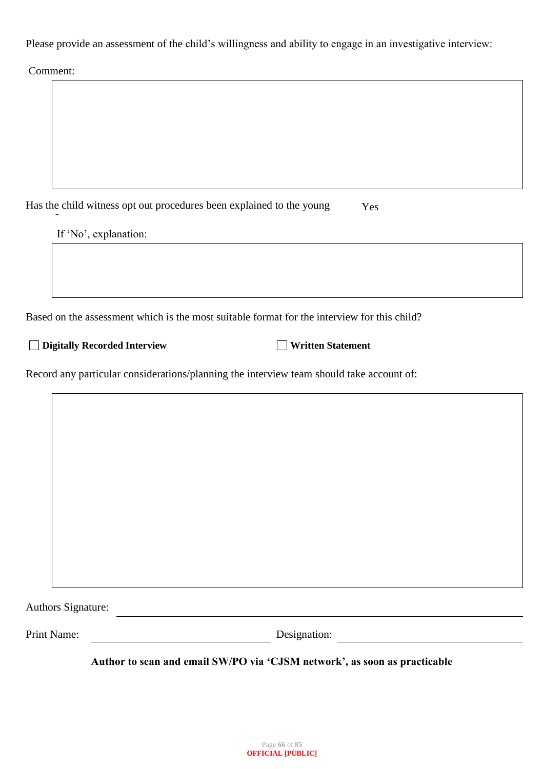Please provide an assessment of the child's willingness and ability to engage in an investigative interview:

Comment:

| Has the child witness opt out procedures been explained to the young                        | Yes                      |
|---------------------------------------------------------------------------------------------|--------------------------|
| If 'No', explanation:                                                                       |                          |
|                                                                                             |                          |
|                                                                                             |                          |
| Based on the assessment which is the most suitable format for the interview for this child? |                          |
| <b>Digitally Recorded Interview</b>                                                         | <b>Written Statement</b> |
| Record any particular considerations/planning the interview team should take account of:    |                          |

| Authors Signature: |              |  |
|--------------------|--------------|--|
| Print Name:        | Designation: |  |

**Author to scan and email SW/PO via 'CJSM network', as soon as practicable**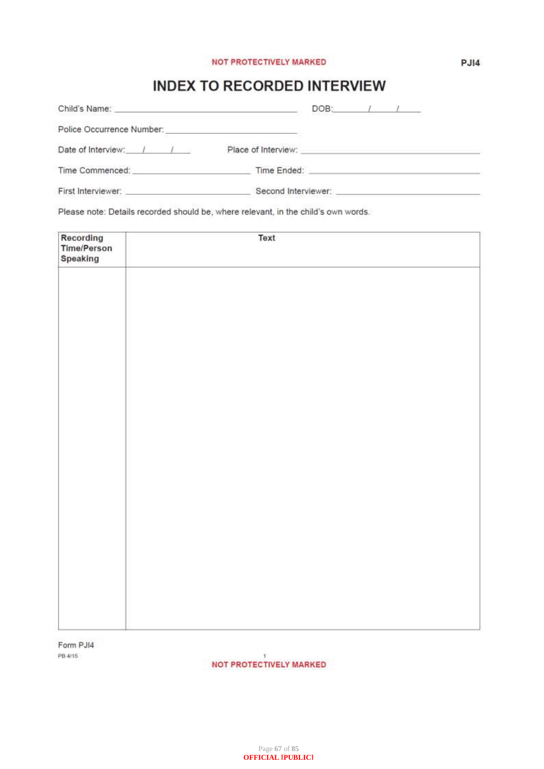#### NOT PROTECTIVELY MARKED

# **INDEX TO RECORDED INTERVIEW**

| Child's Name: <u>contract and contract and contract and contract and contract and contract and contract and contract and contract and contract and contract and contract and contract and contract and contract and contract and</u> | $DOB:$ $\qquad$ /                                                                 |
|--------------------------------------------------------------------------------------------------------------------------------------------------------------------------------------------------------------------------------------|-----------------------------------------------------------------------------------|
|                                                                                                                                                                                                                                      |                                                                                   |
| Date of Interview: / / /                                                                                                                                                                                                             | Place of Interview: The Contract of Interview:                                    |
| Time Commenced: Time Commenced:                                                                                                                                                                                                      | Time Ended: New York Products and Service Contractor of the Contractor Contractor |
| First Interviewer:                                                                                                                                                                                                                   | Second Interviewer: Second Second Interviewer:                                    |

Please note: Details recorded should be, where relevant, in the child's own words.

| Recording<br>Time/Person<br>Speaking | Text |
|--------------------------------------|------|
|                                      |      |
|                                      |      |
|                                      |      |
|                                      |      |
|                                      |      |
|                                      |      |
|                                      |      |
|                                      |      |
|                                      |      |
|                                      |      |

Form PJI4 PB 4/15

NOT PROTECTIVELY MARKED

 $PJI4$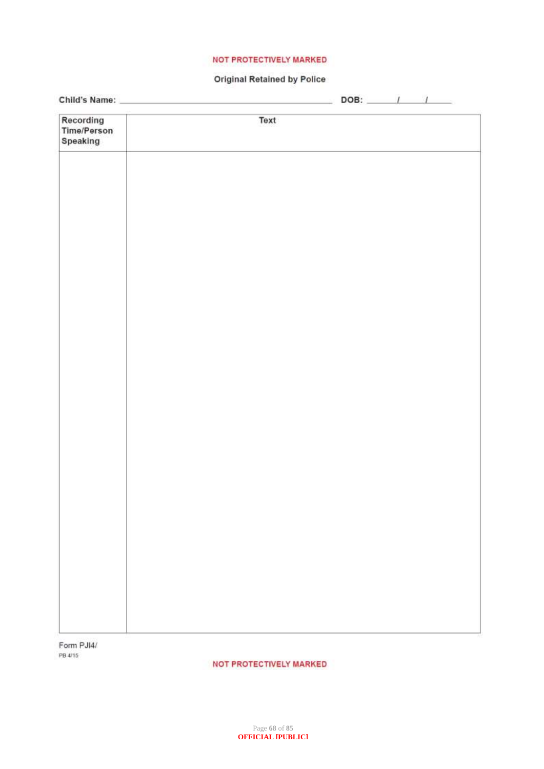#### NOT PROTECTIVELY MARKED

#### **Original Retained by Police**

|                                             |      | $DOB:$ $1$ $1$ |
|---------------------------------------------|------|----------------|
| Recording<br><b>Time/Person</b><br>Speaking | Text |                |
|                                             |      |                |
|                                             |      |                |
|                                             |      |                |
|                                             |      |                |
|                                             |      |                |
|                                             |      |                |
|                                             |      |                |
|                                             |      |                |
|                                             |      |                |
|                                             |      |                |
|                                             |      |                |
|                                             |      |                |

Form PJI4/ PB 4/15

NOT PROTECTIVELY MARKED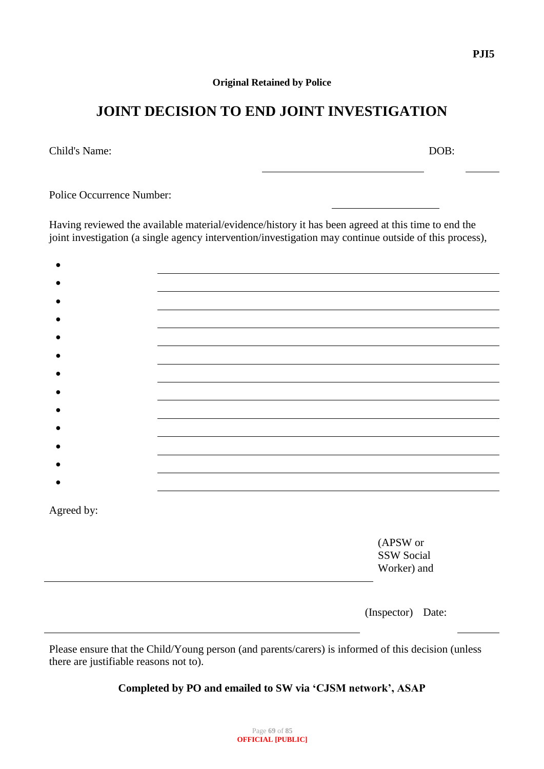#### **Original Retained by Police**

# **JOINT DECISION TO END JOINT INVESTIGATION**

Child's Name: DOB:

Police Occurrence Number:

Having reviewed the available material/evidence/history it has been agreed at this time to end the joint investigation (a single agency intervention/investigation may continue outside of this process),

| Agreed by: |                   |  |
|------------|-------------------|--|
|            | (APSW or          |  |
|            | SSW Social        |  |
|            | Worker) and       |  |
|            |                   |  |
|            | (Inspector) Date: |  |
|            |                   |  |

Please ensure that the Child/Young person (and parents/carers) is informed of this decision (unless there are justifiable reasons not to).

**Completed by PO and emailed to SW via 'CJSM network', ASAP**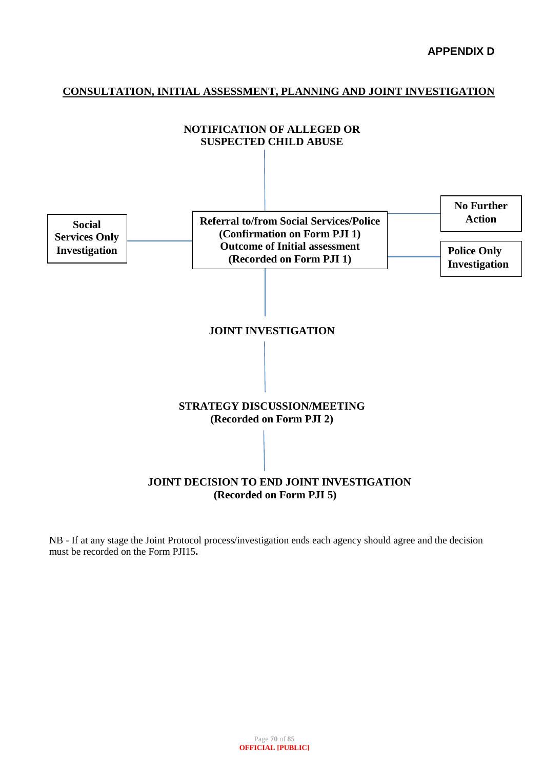#### **CONSULTATION, INITIAL ASSESSMENT, PLANNING AND JOINT INVESTIGATION**



NB - If at any stage the Joint Protocol process/investigation ends each agency should agree and the decision must be recorded on the Form PJI15**.**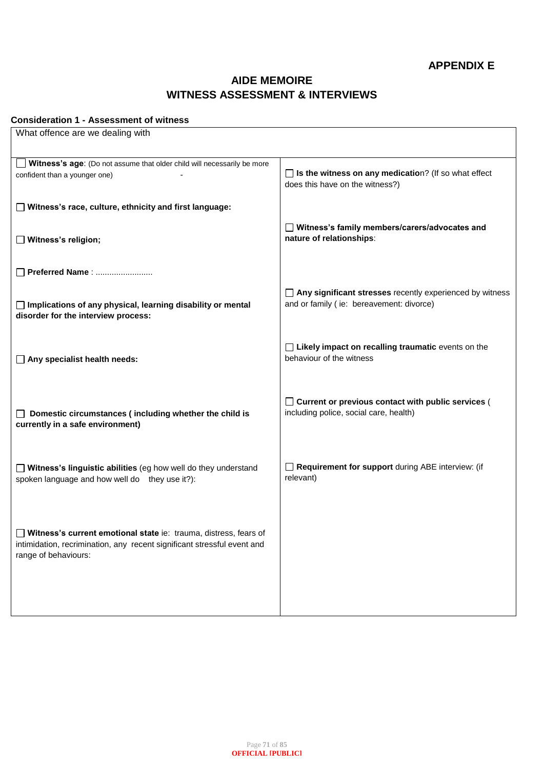# **AIDE MEMOIRE WITNESS ASSESSMENT & INTERVIEWS**

#### **Consideration 1 - Assessment of witness**

| What offence are we dealing with                                                                                                                                    |                                                                                                             |
|---------------------------------------------------------------------------------------------------------------------------------------------------------------------|-------------------------------------------------------------------------------------------------------------|
|                                                                                                                                                                     |                                                                                                             |
| Witness's age: (Do not assume that older child will necessarily be more<br>confident than a younger one)                                                            | $\Box$ Is the witness on any medication? (If so what effect<br>does this have on the witness?)              |
| □ Witness's race, culture, ethnicity and first language:                                                                                                            |                                                                                                             |
| $\Box$ Witness's religion;                                                                                                                                          | □ Witness's family members/carers/advocates and<br>nature of relationships:                                 |
| Preferred Name:                                                                                                                                                     |                                                                                                             |
| □ Implications of any physical, learning disability or mental<br>disorder for the interview process:                                                                | $\Box$ Any significant stresses recently experienced by witness<br>and or family (ie: bereavement: divorce) |
| $\Box$ Any specialist health needs:                                                                                                                                 | $\Box$ Likely impact on recalling traumatic events on the<br>behaviour of the witness                       |
| Domestic circumstances (including whether the child is<br>$\Box$<br>currently in a safe environment)                                                                | □ Current or previous contact with public services (<br>including police, social care, health)              |
| Witness's linguistic abilities (eg how well do they understand<br>spoken language and how well do they use it?):                                                    | Requirement for support during ABE interview: (if<br>relevant)                                              |
| Witness's current emotional state ie: trauma, distress, fears of<br>intimidation, recrimination, any recent significant stressful event and<br>range of behaviours: |                                                                                                             |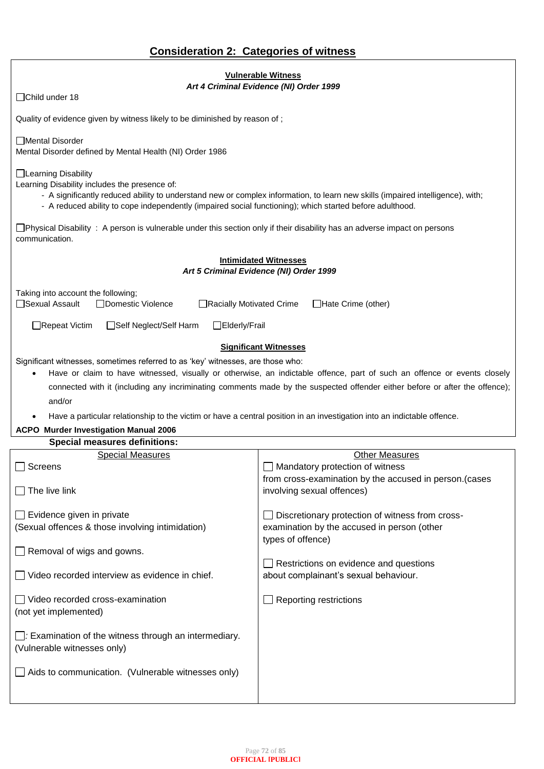| <b>Consideration 2: Categories of witness</b> |  |  |
|-----------------------------------------------|--|--|
|                                               |  |  |

| <b>Vulnerable Witness</b><br>Art 4 Criminal Evidence (NI) Order 1999                                                                                                                                                                                                                                                                                                                                                                                                                                                     |                                                                                                                       |  |  |  |  |  |
|--------------------------------------------------------------------------------------------------------------------------------------------------------------------------------------------------------------------------------------------------------------------------------------------------------------------------------------------------------------------------------------------------------------------------------------------------------------------------------------------------------------------------|-----------------------------------------------------------------------------------------------------------------------|--|--|--|--|--|
| □Child under 18                                                                                                                                                                                                                                                                                                                                                                                                                                                                                                          |                                                                                                                       |  |  |  |  |  |
| Quality of evidence given by witness likely to be diminished by reason of;                                                                                                                                                                                                                                                                                                                                                                                                                                               |                                                                                                                       |  |  |  |  |  |
| Mental Disorder<br>Mental Disorder defined by Mental Health (NI) Order 1986                                                                                                                                                                                                                                                                                                                                                                                                                                              |                                                                                                                       |  |  |  |  |  |
| □Learning Disability<br>Learning Disability includes the presence of:<br>- A significantly reduced ability to understand new or complex information, to learn new skills (impaired intelligence), with;<br>- A reduced ability to cope independently (impaired social functioning); which started before adulthood.                                                                                                                                                                                                      |                                                                                                                       |  |  |  |  |  |
| $\Box$ Physical Disability: A person is vulnerable under this section only if their disability has an adverse impact on persons<br>communication.                                                                                                                                                                                                                                                                                                                                                                        |                                                                                                                       |  |  |  |  |  |
| <b>Intimidated Witnesses</b><br>Art 5 Criminal Evidence (NI) Order 1999                                                                                                                                                                                                                                                                                                                                                                                                                                                  |                                                                                                                       |  |  |  |  |  |
| Taking into account the following;<br>□Sexual Assault<br>□Domestic Violence<br>□Racially Motivated Crime                                                                                                                                                                                                                                                                                                                                                                                                                 | $\Box$ Hate Crime (other)                                                                                             |  |  |  |  |  |
| $\Box$ Repeat Victim<br>□Self Neglect/Self Harm<br>□Elderly/Frail                                                                                                                                                                                                                                                                                                                                                                                                                                                        | <b>Significant Witnesses</b>                                                                                          |  |  |  |  |  |
| Significant witnesses, sometimes referred to as 'key' witnesses, are those who:<br>Have or claim to have witnessed, visually or otherwise, an indictable offence, part of such an offence or events closely<br>connected with it (including any incriminating comments made by the suspected offender either before or after the offence);<br>and/or<br>Have a particular relationship to the victim or have a central position in an investigation into an indictable offence.<br>ACPO Murder Investigation Manual 2006 |                                                                                                                       |  |  |  |  |  |
| <b>Special measures definitions:</b>                                                                                                                                                                                                                                                                                                                                                                                                                                                                                     |                                                                                                                       |  |  |  |  |  |
| <b>Special Measures</b><br><b>Screens</b>                                                                                                                                                                                                                                                                                                                                                                                                                                                                                | <b>Other Measures</b><br>Mandatory protection of witness                                                              |  |  |  |  |  |
| $\Box$ The live link                                                                                                                                                                                                                                                                                                                                                                                                                                                                                                     | from cross-examination by the accused in person.(cases<br>involving sexual offences)                                  |  |  |  |  |  |
| $\Box$ Evidence given in private<br>(Sexual offences & those involving intimidation)                                                                                                                                                                                                                                                                                                                                                                                                                                     | □ Discretionary protection of witness from cross-<br>examination by the accused in person (other<br>types of offence) |  |  |  |  |  |
| $\Box$ Removal of wigs and gowns.<br>Restrictions on evidence and questions                                                                                                                                                                                                                                                                                                                                                                                                                                              |                                                                                                                       |  |  |  |  |  |
| Video recorded interview as evidence in chief.                                                                                                                                                                                                                                                                                                                                                                                                                                                                           | about complainant's sexual behaviour.                                                                                 |  |  |  |  |  |
| Video recorded cross-examination<br>(not yet implemented)                                                                                                                                                                                                                                                                                                                                                                                                                                                                | Reporting restrictions                                                                                                |  |  |  |  |  |
| $\Box$ : Examination of the witness through an intermediary.<br>(Vulnerable witnesses only)                                                                                                                                                                                                                                                                                                                                                                                                                              |                                                                                                                       |  |  |  |  |  |
| $\Box$ Aids to communication. (Vulnerable witnesses only)                                                                                                                                                                                                                                                                                                                                                                                                                                                                |                                                                                                                       |  |  |  |  |  |
|                                                                                                                                                                                                                                                                                                                                                                                                                                                                                                                          |                                                                                                                       |  |  |  |  |  |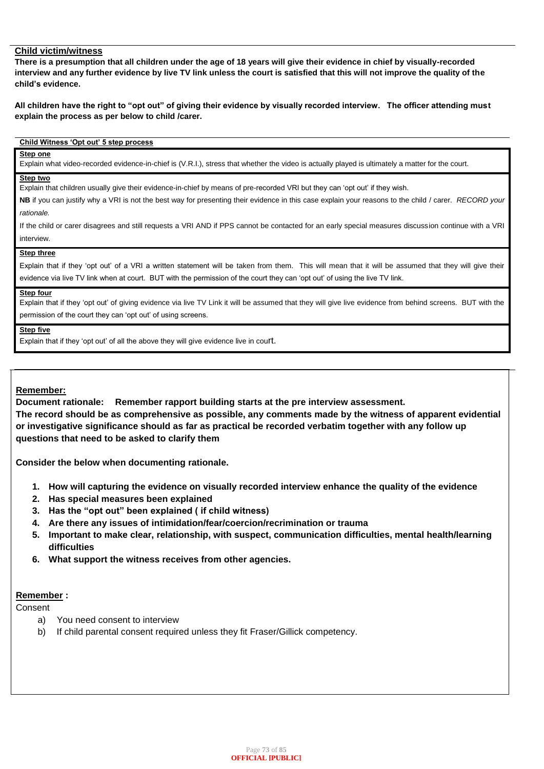### **Child victim/witness**

**There is a presumption that all children under the age of 18 years will give their evidence in chief by visually-recorded interview and any further evidence by live TV link unless the court is satisfied that this will not improve the quality of the child's evidence.** 

**All children have the right to "opt out" of giving their evidence by visually recorded interview. The officer attending must explain the process as per below to child /carer.** 

### **Child Witness 'Opt out' 5 step process**

### **Step one**

Explain what video-recorded evidence-in-chief is (V.R.I.), stress that whether the video is actually played is ultimately a matter for the court.

#### **Step two**

Explain that children usually give their evidence-in-chief by means of pre-recorded VRI but they can 'opt out' if they wish.

**NB** if you can justify why a VRI is not the best way for presenting their evidence in this case explain your reasons to the child / carer. *RECORD your rationale.*

If the child or carer disagrees and still requests a VRI AND if PPS cannot be contacted for an early special measures discussion continue with a VRI interview.

#### **Step three**

Explain that if they 'opt out' of a VRI a written statement will be taken from them. This will mean that it will be assumed that they will give their evidence via live TV link when at court. BUT with the permission of the court they can 'opt out' of using the live TV link.

#### **Step four**

Explain that if they 'opt out' of giving evidence via live TV Link it will be assumed that they will give live evidence from behind screens. BUT with the permission of the court they can 'opt out' of using screens.

#### **Step five**

Explain that if they 'opt out' of all the above they will give evidence live in court.

#### **Remember:**

**Document rationale: Remember rapport building starts at the pre interview assessment. The record should be as comprehensive as possible, any comments made by the witness of apparent evidential or investigative significance should as far as practical be recorded verbatim together with any follow up questions that need to be asked to clarify them**

**Consider the below when documenting rationale.**

- **1. How will capturing the evidence on visually recorded interview enhance the quality of the evidence**
- **2. Has special measures been explained**
- **3. Has the "opt out" been explained ( if child witness)**
- **4. Are there any issues of intimidation/fear/coercion/recrimination or trauma**
- **5. Important to make clear, relationship, with suspect, communication difficulties, mental health/learning difficulties**
- **6. What support the witness receives from other agencies.**

#### **Remember :**

Consent

- a) You need consent to interview
- b) If child parental consent required unless they fit Fraser/Gillick competency.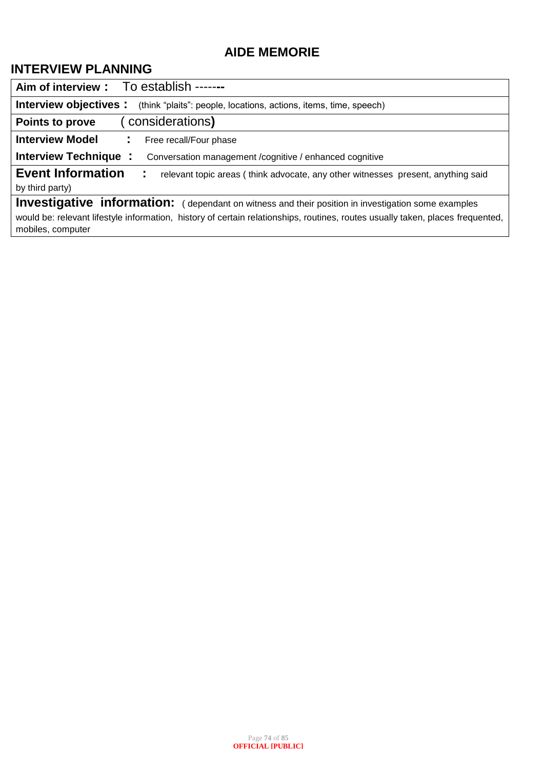## **AIDE MEMORIE**

## **INTERVIEW PLANNING**

| Aim of interview : To establish ------                                                                                                              |  |  |  |  |  |
|-----------------------------------------------------------------------------------------------------------------------------------------------------|--|--|--|--|--|
| <b>Interview objectives :</b> (think "plaits": people, locations, actions, items, time, speech)                                                     |  |  |  |  |  |
| considerations)<br>Points to prove                                                                                                                  |  |  |  |  |  |
| <b>Interview Model</b><br>Free recall/Four phase<br>÷.                                                                                              |  |  |  |  |  |
| <b>Interview Technique</b><br>÷.<br>Conversation management / cognitive / enhanced cognitive                                                        |  |  |  |  |  |
| <b>Event Information</b><br>relevant topic areas (think advocate, any other witnesses present, anything said<br>÷.                                  |  |  |  |  |  |
| by third party)                                                                                                                                     |  |  |  |  |  |
| Investigative information: (dependant on witness and their position in investigation some examples                                                  |  |  |  |  |  |
| would be: relevant lifestyle information, history of certain relationships, routines, routes usually taken, places frequented,<br>mobiles, computer |  |  |  |  |  |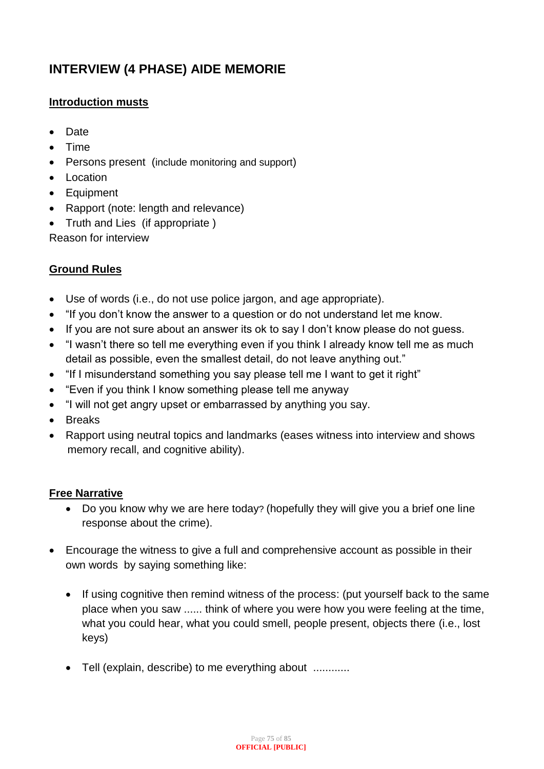## **INTERVIEW (4 PHASE) AIDE MEMORIE**

## **Introduction musts**

- Date
- Time
- Persons present (include monitoring and support)
- Location
- Equipment
- Rapport (note: length and relevance)
- Truth and Lies (if appropriate )

Reason for interview

## **Ground Rules**

- Use of words (i.e., do not use police jargon, and age appropriate).
- "If you don't know the answer to a question or do not understand let me know.
- If you are not sure about an answer its ok to say I don't know please do not guess.
- "I wasn't there so tell me everything even if you think I already know tell me as much detail as possible, even the smallest detail, do not leave anything out."
- "If I misunderstand something you say please tell me I want to get it right"
- "Even if you think I know something please tell me anyway
- "I will not get angry upset or embarrassed by anything you say.
- Breaks
- Rapport using neutral topics and landmarks (eases witness into interview and shows memory recall, and cognitive ability).

### **Free Narrative**

- Do you know why we are here today? (hopefully they will give you a brief one line response about the crime).
- Encourage the witness to give a full and comprehensive account as possible in their own words by saying something like:
	- If using cognitive then remind witness of the process: (put yourself back to the same place when you saw ...... think of where you were how you were feeling at the time, what you could hear, what you could smell, people present, objects there (i.e., lost keys)
	- Tell (explain, describe) to me everything about ............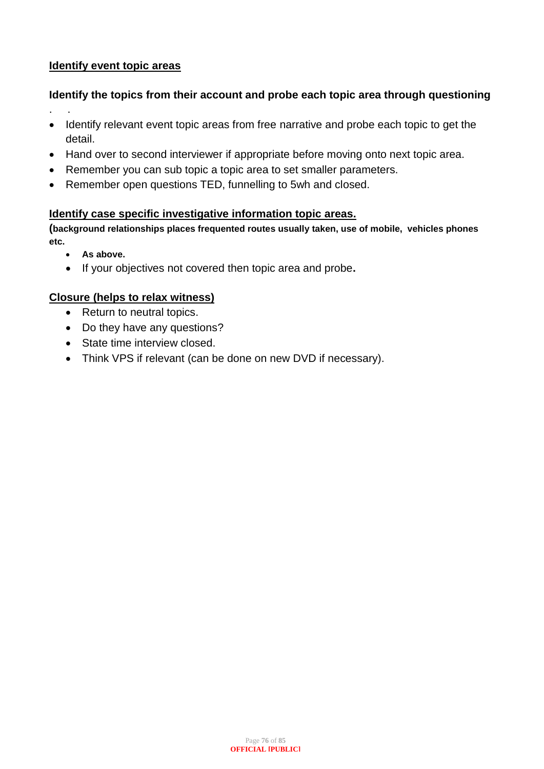### **Identify event topic areas**

## **Identify the topics from their account and probe each topic area through questioning**

- . .
- Identify relevant event topic areas from free narrative and probe each topic to get the detail.
- Hand over to second interviewer if appropriate before moving onto next topic area.
- Remember you can sub topic a topic area to set smaller parameters.
- Remember open questions TED, funnelling to 5wh and closed.

### **Identify case specific investigative information topic areas.**

**(background relationships places frequented routes usually taken, use of mobile, vehicles phones etc.**

- **As above.**
- If your objectives not covered then topic area and probe**.**

### **Closure (helps to relax witness)**

- Return to neutral topics.
- Do they have any questions?
- State time interview closed.
- Think VPS if relevant (can be done on new DVD if necessary).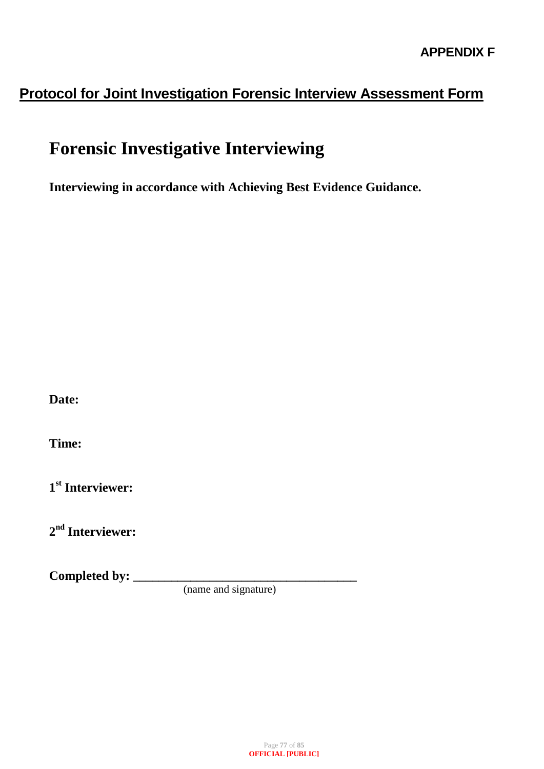## **Protocol for Joint Investigation Forensic Interview Assessment Form**

# **Forensic Investigative Interviewing**

**Interviewing in accordance with Achieving Best Evidence Guidance.**

**Date:**

**Time:**

**1 st Interviewer:**

**2 nd Interviewer:**

**Completed by: \_\_\_\_\_\_\_\_\_\_\_\_\_\_\_\_\_\_\_\_\_\_\_\_\_\_\_\_\_\_\_\_\_\_\_** 

(name and signature)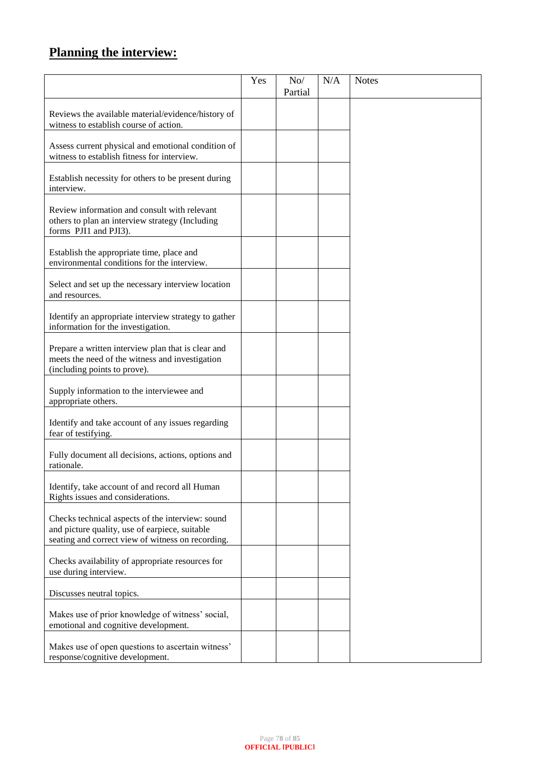## **Planning the interview:**

|                                                                                                                                                         | Yes | No/<br>Partial | N/A | <b>Notes</b> |
|---------------------------------------------------------------------------------------------------------------------------------------------------------|-----|----------------|-----|--------------|
| Reviews the available material/evidence/history of<br>witness to establish course of action.                                                            |     |                |     |              |
| Assess current physical and emotional condition of<br>witness to establish fitness for interview.                                                       |     |                |     |              |
| Establish necessity for others to be present during<br>interview.                                                                                       |     |                |     |              |
| Review information and consult with relevant<br>others to plan an interview strategy (Including<br>forms PJI1 and PJI3).                                |     |                |     |              |
| Establish the appropriate time, place and<br>environmental conditions for the interview.                                                                |     |                |     |              |
| Select and set up the necessary interview location<br>and resources.                                                                                    |     |                |     |              |
| Identify an appropriate interview strategy to gather<br>information for the investigation.                                                              |     |                |     |              |
| Prepare a written interview plan that is clear and<br>meets the need of the witness and investigation<br>(including points to prove).                   |     |                |     |              |
| Supply information to the interviewee and<br>appropriate others.                                                                                        |     |                |     |              |
| Identify and take account of any issues regarding<br>fear of testifying.                                                                                |     |                |     |              |
| Fully document all decisions, actions, options and<br>rationale.                                                                                        |     |                |     |              |
| Identify, take account of and record all Human<br>Rights issues and considerations.                                                                     |     |                |     |              |
| Checks technical aspects of the interview: sound<br>and picture quality, use of earpiece, suitable<br>seating and correct view of witness on recording. |     |                |     |              |
| Checks availability of appropriate resources for<br>use during interview.                                                                               |     |                |     |              |
| Discusses neutral topics.                                                                                                                               |     |                |     |              |
| Makes use of prior knowledge of witness' social,<br>emotional and cognitive development.                                                                |     |                |     |              |
| Makes use of open questions to ascertain witness'<br>response/cognitive development.                                                                    |     |                |     |              |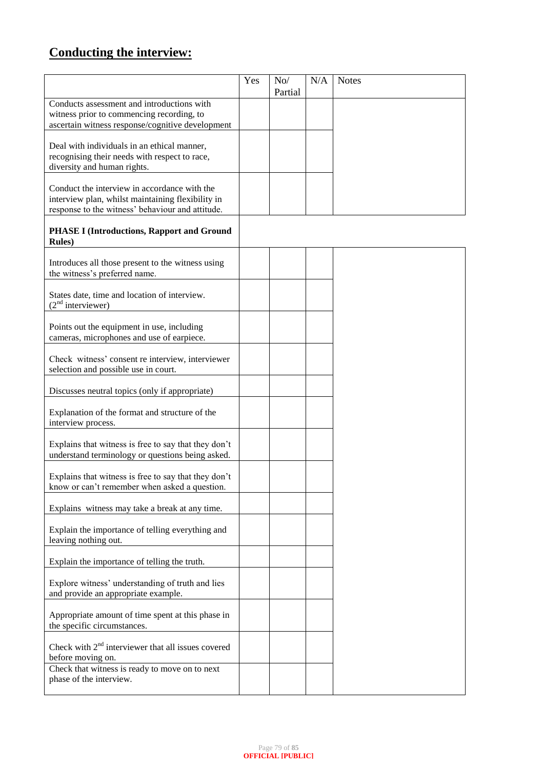## **Conducting the interview:**

|                                                                                                          | Yes | No/     | N/A | <b>Notes</b> |
|----------------------------------------------------------------------------------------------------------|-----|---------|-----|--------------|
| Conducts assessment and introductions with                                                               |     | Partial |     |              |
| witness prior to commencing recording, to                                                                |     |         |     |              |
| ascertain witness response/cognitive development                                                         |     |         |     |              |
| Deal with individuals in an ethical manner,                                                              |     |         |     |              |
| recognising their needs with respect to race,                                                            |     |         |     |              |
| diversity and human rights.                                                                              |     |         |     |              |
| Conduct the interview in accordance with the                                                             |     |         |     |              |
| interview plan, whilst maintaining flexibility in<br>response to the witness' behaviour and attitude.    |     |         |     |              |
|                                                                                                          |     |         |     |              |
| <b>PHASE I (Introductions, Rapport and Ground</b><br><b>Rules</b> )                                      |     |         |     |              |
| Introduces all those present to the witness using                                                        |     |         |     |              |
| the witness's preferred name.                                                                            |     |         |     |              |
| States date, time and location of interview.<br>$(2nd$ interviewer)                                      |     |         |     |              |
|                                                                                                          |     |         |     |              |
| Points out the equipment in use, including<br>cameras, microphones and use of earpiece.                  |     |         |     |              |
|                                                                                                          |     |         |     |              |
| Check witness' consent re interview, interviewer<br>selection and possible use in court.                 |     |         |     |              |
|                                                                                                          |     |         |     |              |
| Discusses neutral topics (only if appropriate)                                                           |     |         |     |              |
| Explanation of the format and structure of the<br>interview process.                                     |     |         |     |              |
|                                                                                                          |     |         |     |              |
| Explains that witness is free to say that they don't<br>understand terminology or questions being asked. |     |         |     |              |
| Explains that witness is free to say that they don't                                                     |     |         |     |              |
| know or can't remember when asked a question.                                                            |     |         |     |              |
| Explains witness may take a break at any time.                                                           |     |         |     |              |
| Explain the importance of telling everything and<br>leaving nothing out.                                 |     |         |     |              |
| Explain the importance of telling the truth.                                                             |     |         |     |              |
|                                                                                                          |     |         |     |              |
| Explore witness' understanding of truth and lies<br>and provide an appropriate example.                  |     |         |     |              |
| Appropriate amount of time spent at this phase in<br>the specific circumstances.                         |     |         |     |              |
| Check with $2nd$ interviewer that all issues covered<br>before moving on.                                |     |         |     |              |
| Check that witness is ready to move on to next                                                           |     |         |     |              |
| phase of the interview.                                                                                  |     |         |     |              |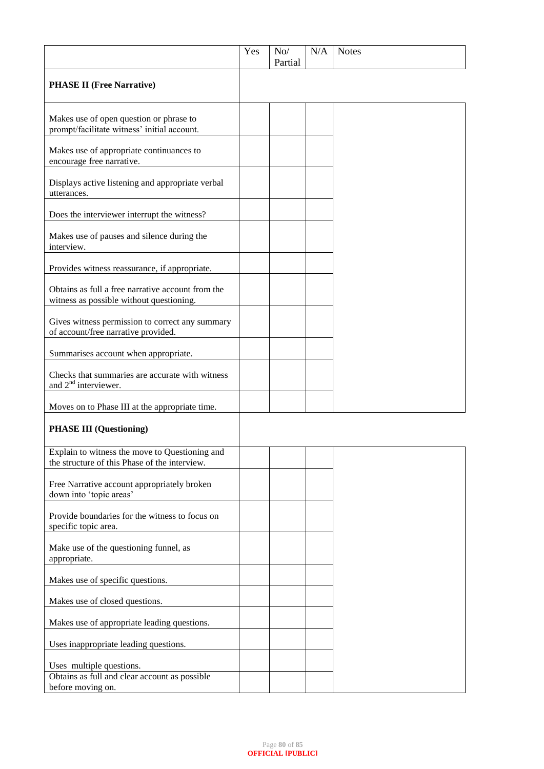|                                                                                                 | Yes | No/<br>Partial | N/A | <b>Notes</b> |
|-------------------------------------------------------------------------------------------------|-----|----------------|-----|--------------|
| <b>PHASE II (Free Narrative)</b>                                                                |     |                |     |              |
| Makes use of open question or phrase to<br>prompt/facilitate witness' initial account.          |     |                |     |              |
| Makes use of appropriate continuances to<br>encourage free narrative.                           |     |                |     |              |
| Displays active listening and appropriate verbal<br>utterances.                                 |     |                |     |              |
| Does the interviewer interrupt the witness?                                                     |     |                |     |              |
| Makes use of pauses and silence during the<br>interview.                                        |     |                |     |              |
| Provides witness reassurance, if appropriate.                                                   |     |                |     |              |
| Obtains as full a free narrative account from the<br>witness as possible without questioning.   |     |                |     |              |
| Gives witness permission to correct any summary<br>of account/free narrative provided.          |     |                |     |              |
| Summarises account when appropriate.                                                            |     |                |     |              |
| Checks that summaries are accurate with witness<br>and $2nd$ interviewer.                       |     |                |     |              |
| Moves on to Phase III at the appropriate time.                                                  |     |                |     |              |
| <b>PHASE III</b> (Questioning)                                                                  |     |                |     |              |
| Explain to witness the move to Questioning and<br>the structure of this Phase of the interview. |     |                |     |              |
| Free Narrative account appropriately broken<br>down into 'topic areas'                          |     |                |     |              |
| Provide boundaries for the witness to focus on<br>specific topic area.                          |     |                |     |              |
| Make use of the questioning funnel, as<br>appropriate.                                          |     |                |     |              |
| Makes use of specific questions.                                                                |     |                |     |              |
| Makes use of closed questions.                                                                  |     |                |     |              |
| Makes use of appropriate leading questions.                                                     |     |                |     |              |
| Uses inappropriate leading questions.                                                           |     |                |     |              |
| Uses multiple questions.                                                                        |     |                |     |              |
| Obtains as full and clear account as possible<br>before moving on.                              |     |                |     |              |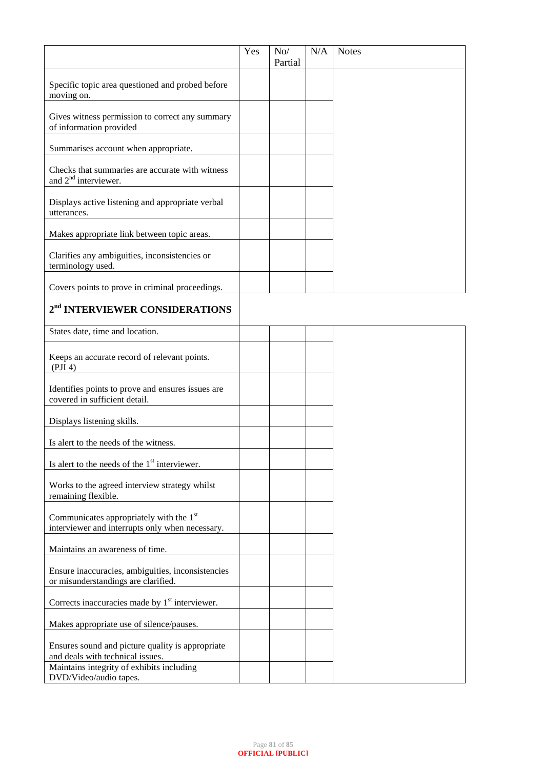|                                                                                                        | Yes | No/     | N/A | <b>Notes</b> |
|--------------------------------------------------------------------------------------------------------|-----|---------|-----|--------------|
|                                                                                                        |     | Partial |     |              |
| Specific topic area questioned and probed before<br>moving on.                                         |     |         |     |              |
| Gives witness permission to correct any summary<br>of information provided                             |     |         |     |              |
| Summarises account when appropriate.                                                                   |     |         |     |              |
| Checks that summaries are accurate with witness<br>and $2nd$ interviewer.                              |     |         |     |              |
| Displays active listening and appropriate verbal<br>utterances.                                        |     |         |     |              |
| Makes appropriate link between topic areas.                                                            |     |         |     |              |
| Clarifies any ambiguities, inconsistencies or<br>terminology used.                                     |     |         |     |              |
| Covers points to prove in criminal proceedings.                                                        |     |         |     |              |
| 2 <sup>nd</sup> INTERVIEWER CONSIDERATIONS                                                             |     |         |     |              |
| States date, time and location.                                                                        |     |         |     |              |
| Keeps an accurate record of relevant points.<br>(PII 4)                                                |     |         |     |              |
| Identifies points to prove and ensures issues are<br>covered in sufficient detail.                     |     |         |     |              |
| Displays listening skills.                                                                             |     |         |     |              |
| Is alert to the needs of the witness.                                                                  |     |         |     |              |
| Is alert to the needs of the $1st$ interviewer.                                                        |     |         |     |              |
| Works to the agreed interview strategy whilst<br>remaining flexible.                                   |     |         |     |              |
| Communicates appropriately with the 1 <sup>st</sup><br>interviewer and interrupts only when necessary. |     |         |     |              |
| Maintains an awareness of time.                                                                        |     |         |     |              |
| Ensure inaccuracies, ambiguities, inconsistencies<br>or misunderstandings are clarified.               |     |         |     |              |
| Corrects inaccuracies made by 1 <sup>st</sup> interviewer.                                             |     |         |     |              |
| Makes appropriate use of silence/pauses.                                                               |     |         |     |              |
| Ensures sound and picture quality is appropriate<br>and deals with technical issues.                   |     |         |     |              |
| Maintains integrity of exhibits including<br>DVD/Video/audio tapes.                                    |     |         |     |              |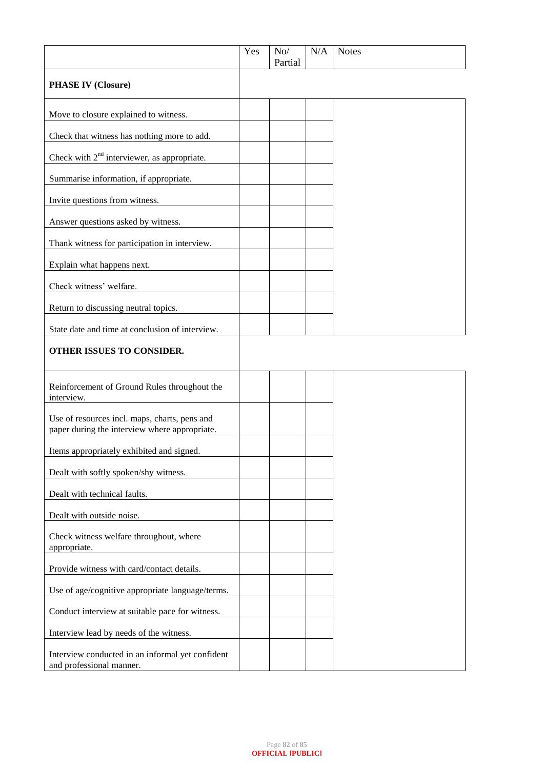|                                                                                                | Yes | No/<br>Partial | N/A | <b>Notes</b> |
|------------------------------------------------------------------------------------------------|-----|----------------|-----|--------------|
| <b>PHASE IV (Closure)</b>                                                                      |     |                |     |              |
| Move to closure explained to witness.                                                          |     |                |     |              |
| Check that witness has nothing more to add.                                                    |     |                |     |              |
| Check with $2nd$ interviewer, as appropriate.                                                  |     |                |     |              |
| Summarise information, if appropriate.                                                         |     |                |     |              |
| Invite questions from witness.                                                                 |     |                |     |              |
| Answer questions asked by witness.                                                             |     |                |     |              |
| Thank witness for participation in interview.                                                  |     |                |     |              |
| Explain what happens next.                                                                     |     |                |     |              |
| Check witness' welfare.                                                                        |     |                |     |              |
| Return to discussing neutral topics.                                                           |     |                |     |              |
| State date and time at conclusion of interview.                                                |     |                |     |              |
| OTHER ISSUES TO CONSIDER.                                                                      |     |                |     |              |
| Reinforcement of Ground Rules throughout the<br>interview.                                     |     |                |     |              |
| Use of resources incl. maps, charts, pens and<br>paper during the interview where appropriate. |     |                |     |              |
| Items appropriately exhibited and signed.                                                      |     |                |     |              |
| Dealt with softly spoken/shy witness.                                                          |     |                |     |              |
| Dealt with technical faults.                                                                   |     |                |     |              |
| Dealt with outside noise.                                                                      |     |                |     |              |
| Check witness welfare throughout, where<br>appropriate.                                        |     |                |     |              |
| Provide witness with card/contact details.                                                     |     |                |     |              |
| Use of age/cognitive appropriate language/terms.                                               |     |                |     |              |
| Conduct interview at suitable pace for witness.                                                |     |                |     |              |
| Interview lead by needs of the witness.                                                        |     |                |     |              |
| Interview conducted in an informal yet confident<br>and professional manner.                   |     |                |     |              |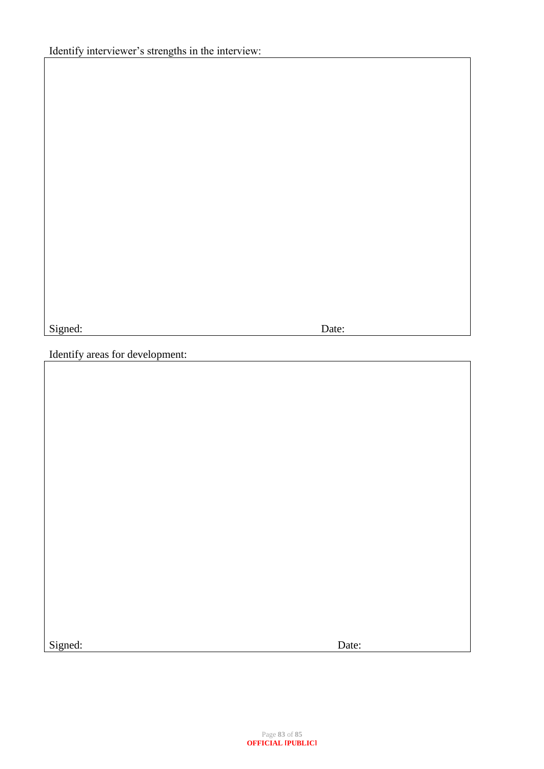Signed: Date:

Identify areas for development:

Signed: Date: